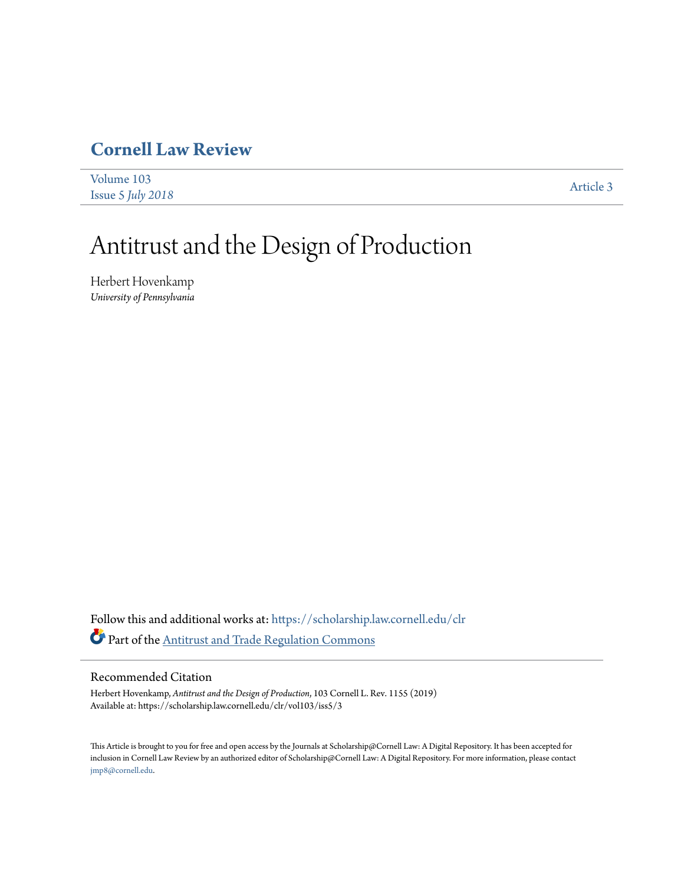## **[Cornell Law Review](https://scholarship.law.cornell.edu/clr?utm_source=scholarship.law.cornell.edu%2Fclr%2Fvol103%2Fiss5%2F3&utm_medium=PDF&utm_campaign=PDFCoverPages)**

| Volume 103        | Article 3 |
|-------------------|-----------|
| Issue 5 July 2018 |           |

# Antitrust and the Design of Production

Herbert Hovenkamp *University of Pennsylvania*

Follow this and additional works at: [https://scholarship.law.cornell.edu/clr](https://scholarship.law.cornell.edu/clr?utm_source=scholarship.law.cornell.edu%2Fclr%2Fvol103%2Fiss5%2F3&utm_medium=PDF&utm_campaign=PDFCoverPages) Part of the [Antitrust and Trade Regulation Commons](http://network.bepress.com/hgg/discipline/911?utm_source=scholarship.law.cornell.edu%2Fclr%2Fvol103%2Fiss5%2F3&utm_medium=PDF&utm_campaign=PDFCoverPages)

#### Recommended Citation

Herbert Hovenkamp, *Antitrust and the Design of Production*, 103 Cornell L. Rev. 1155 (2019) Available at: https://scholarship.law.cornell.edu/clr/vol103/iss5/3

This Article is brought to you for free and open access by the Journals at Scholarship@Cornell Law: A Digital Repository. It has been accepted for inclusion in Cornell Law Review by an authorized editor of Scholarship@Cornell Law: A Digital Repository. For more information, please contact [jmp8@cornell.edu.](mailto:jmp8@cornell.edu)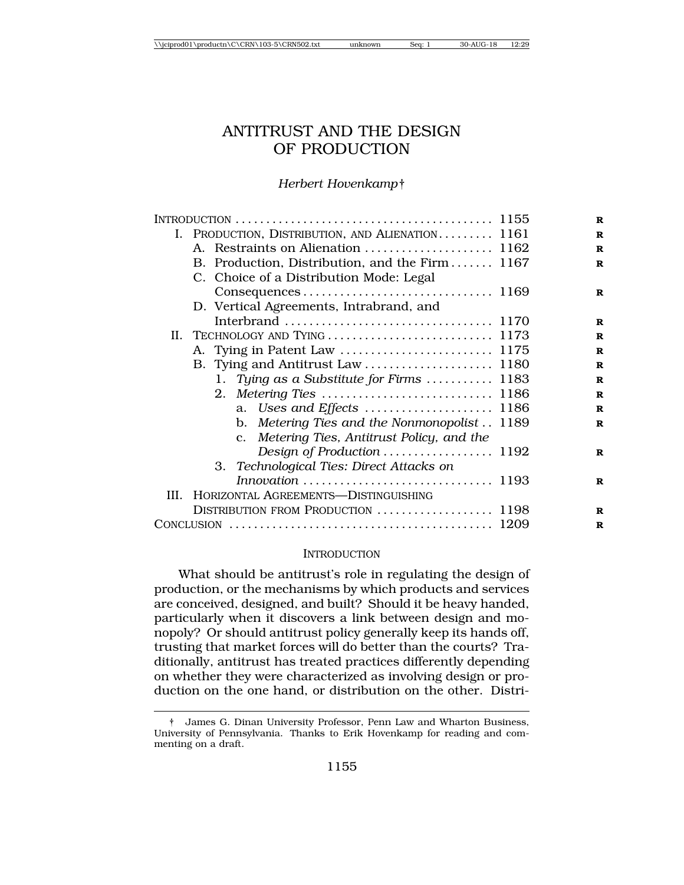### ANTITRUST AND THE DESIGN OF PRODUCTION

#### *Herbert Hovenkamp*†

|      | I. PRODUCTION, DISTRIBUTION, AND ALIENATION 1161 |  |
|------|--------------------------------------------------|--|
|      |                                                  |  |
|      | B. Production, Distribution, and the Firm 1167   |  |
|      | C. Choice of a Distribution Mode: Legal          |  |
|      |                                                  |  |
|      | D. Vertical Agreements, Intrabrand, and          |  |
|      |                                                  |  |
|      |                                                  |  |
|      |                                                  |  |
|      |                                                  |  |
|      | 1. Tying as a Substitute for Firms  1183         |  |
|      |                                                  |  |
|      | a. Uses and Effects  1186                        |  |
|      | b. Metering Ties and the Nonmonopolist . 1189    |  |
|      | c. Metering Ties, Antitrust Policy, and the      |  |
|      | Design of Production  1192                       |  |
|      | 3. Technological Ties: Direct Attacks on         |  |
|      | Innovation  1193                                 |  |
| III. | HORIZONTAL AGREEMENTS-DISTINGUISHING             |  |
|      | DISTRIBUTION FROM PRODUCTION  1198               |  |
|      |                                                  |  |

#### **INTRODUCTION**

What should be antitrust's role in regulating the design of production, or the mechanisms by which products and services are conceived, designed, and built? Should it be heavy handed, particularly when it discovers a link between design and monopoly? Or should antitrust policy generally keep its hands off, trusting that market forces will do better than the courts? Traditionally, antitrust has treated practices differently depending on whether they were characterized as involving design or production on the one hand, or distribution on the other. Distri-

<sup>†</sup> James G. Dinan University Professor, Penn Law and Wharton Business, University of Pennsylvania. Thanks to Erik Hovenkamp for reading and commenting on a draft.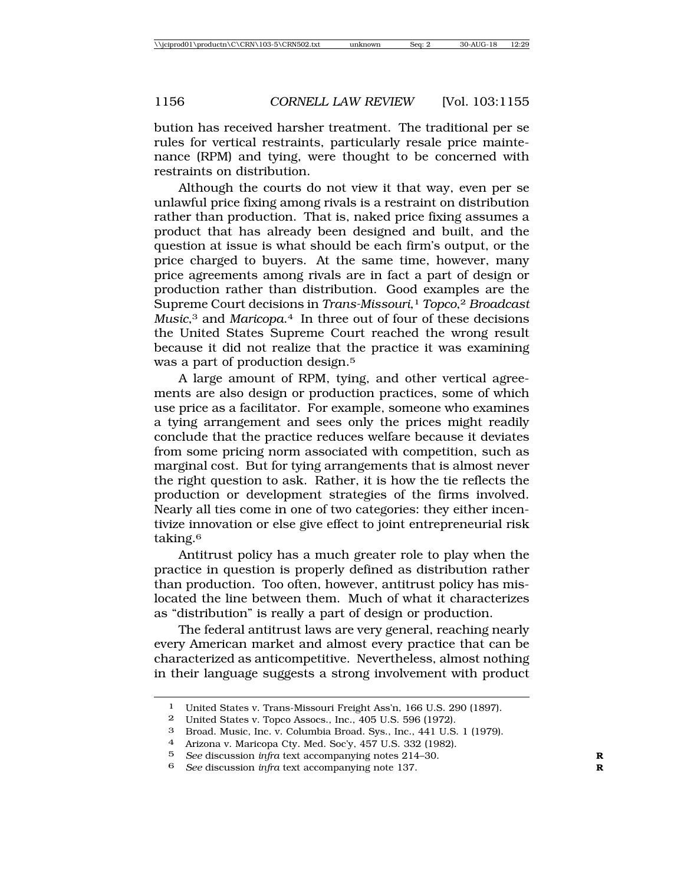bution has received harsher treatment. The traditional per se rules for vertical restraints, particularly resale price maintenance (RPM) and tying, were thought to be concerned with restraints on distribution.

Although the courts do not view it that way, even per se unlawful price fixing among rivals is a restraint on distribution rather than production. That is, naked price fixing assumes a product that has already been designed and built, and the question at issue is what should be each firm's output, or the price charged to buyers. At the same time, however, many price agreements among rivals are in fact a part of design or production rather than distribution. Good examples are the Supreme Court decisions in *Trans-Missouri*,1 *Topco*,2 *Broadcast Music*,3 and *Maricopa*.4 In three out of four of these decisions the United States Supreme Court reached the wrong result because it did not realize that the practice it was examining was a part of production design.<sup>5</sup>

A large amount of RPM, tying, and other vertical agreements are also design or production practices, some of which use price as a facilitator. For example, someone who examines a tying arrangement and sees only the prices might readily conclude that the practice reduces welfare because it deviates from some pricing norm associated with competition, such as marginal cost. But for tying arrangements that is almost never the right question to ask. Rather, it is how the tie reflects the production or development strategies of the firms involved. Nearly all ties come in one of two categories: they either incentivize innovation or else give effect to joint entrepreneurial risk taking.6

Antitrust policy has a much greater role to play when the practice in question is properly defined as distribution rather than production. Too often, however, antitrust policy has mislocated the line between them. Much of what it characterizes as "distribution" is really a part of design or production.

The federal antitrust laws are very general, reaching nearly every American market and almost every practice that can be characterized as anticompetitive. Nevertheless, almost nothing in their language suggests a strong involvement with product

<sup>1</sup> United States v. Trans-Missouri Freight Ass'n, 166 U.S. 290 (1897).

<sup>2</sup> United States v. Topco Assocs., Inc., 405 U.S. 596 (1972).

<sup>3</sup> Broad. Music, Inc. v. Columbia Broad. Sys., Inc., 441 U.S. 1 (1979).

<sup>4</sup> Arizona v. Maricopa Cty. Med. Soc'y, 457 U.S. 332 (1982).

<sup>5</sup> *See* discussion *infra* text accompanying notes 214–30. **R**

<sup>6</sup> *See* discussion *infra* text accompanying note 137. **R**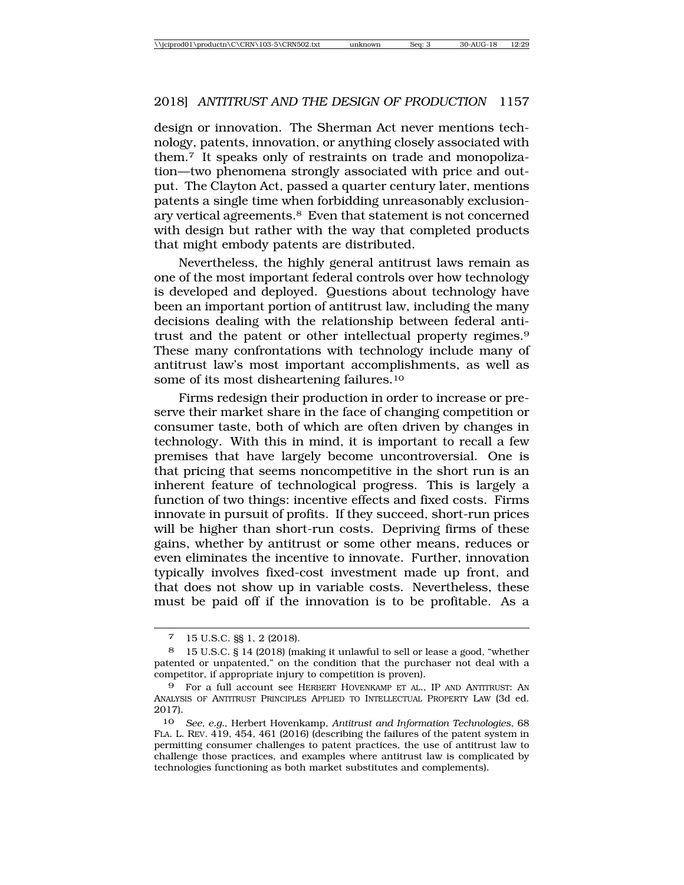design or innovation. The Sherman Act never mentions technology, patents, innovation, or anything closely associated with them.7 It speaks only of restraints on trade and monopolization—two phenomena strongly associated with price and output. The Clayton Act, passed a quarter century later, mentions patents a single time when forbidding unreasonably exclusionary vertical agreements.8 Even that statement is not concerned with design but rather with the way that completed products that might embody patents are distributed.

Nevertheless, the highly general antitrust laws remain as one of the most important federal controls over how technology is developed and deployed. Questions about technology have been an important portion of antitrust law, including the many decisions dealing with the relationship between federal antitrust and the patent or other intellectual property regimes.9 These many confrontations with technology include many of antitrust law's most important accomplishments, as well as some of its most disheartening failures.10

Firms redesign their production in order to increase or preserve their market share in the face of changing competition or consumer taste, both of which are often driven by changes in technology. With this in mind, it is important to recall a few premises that have largely become uncontroversial. One is that pricing that seems noncompetitive in the short run is an inherent feature of technological progress. This is largely a function of two things: incentive effects and fixed costs. Firms innovate in pursuit of profits. If they succeed, short-run prices will be higher than short-run costs. Depriving firms of these gains, whether by antitrust or some other means, reduces or even eliminates the incentive to innovate. Further, innovation typically involves fixed-cost investment made up front, and that does not show up in variable costs. Nevertheless, these must be paid off if the innovation is to be profitable. As a

<sup>7</sup> 15 U.S.C. §§ 1, 2 (2018).

<sup>8</sup> 15 U.S.C. § 14 (2018) (making it unlawful to sell or lease a good, "whether patented or unpatented," on the condition that the purchaser not deal with a competitor, if appropriate injury to competition is proven).

<sup>9</sup> For a full account see HERBERT HOVENKAMP ET AL., IP AND ANTITRUST: AN ANALYSIS OF ANTITRUST PRINCIPLES APPLIED TO INTELLECTUAL PROPERTY LAW (3d ed. 2017).

<sup>10</sup> *See, e.g.*, Herbert Hovenkamp, *Antitrust and Information Technologies*, 68 FLA. L. REV. 419, 454, 461 (2016) (describing the failures of the patent system in permitting consumer challenges to patent practices, the use of antitrust law to challenge those practices, and examples where antitrust law is complicated by technologies functioning as both market substitutes and complements).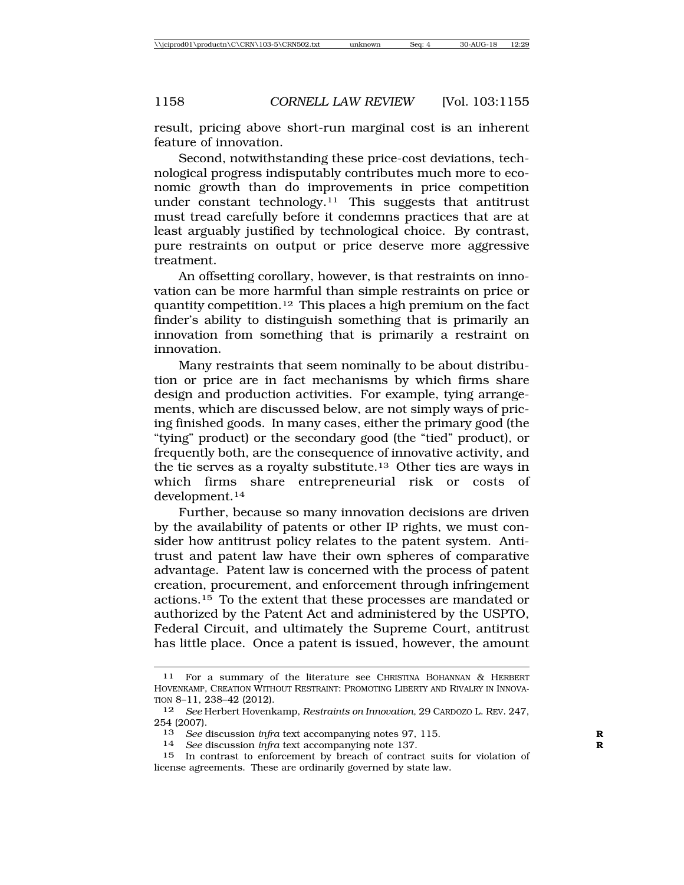result, pricing above short-run marginal cost is an inherent feature of innovation.

Second, notwithstanding these price-cost deviations, technological progress indisputably contributes much more to economic growth than do improvements in price competition under constant technology.<sup>11</sup> This suggests that antitrust must tread carefully before it condemns practices that are at least arguably justified by technological choice. By contrast, pure restraints on output or price deserve more aggressive treatment.

An offsetting corollary, however, is that restraints on innovation can be more harmful than simple restraints on price or quantity competition.12 This places a high premium on the fact finder's ability to distinguish something that is primarily an innovation from something that is primarily a restraint on innovation.

Many restraints that seem nominally to be about distribution or price are in fact mechanisms by which firms share design and production activities. For example, tying arrangements, which are discussed below, are not simply ways of pricing finished goods. In many cases, either the primary good (the "tying" product) or the secondary good (the "tied" product), or frequently both, are the consequence of innovative activity, and the tie serves as a royalty substitute.13 Other ties are ways in which firms share entrepreneurial risk or costs of development.14

Further, because so many innovation decisions are driven by the availability of patents or other IP rights, we must consider how antitrust policy relates to the patent system. Antitrust and patent law have their own spheres of comparative advantage. Patent law is concerned with the process of patent creation, procurement, and enforcement through infringement actions.15 To the extent that these processes are mandated or authorized by the Patent Act and administered by the USPTO, Federal Circuit, and ultimately the Supreme Court, antitrust has little place. Once a patent is issued, however, the amount

<sup>11</sup> For a summary of the literature see CHRISTINA BOHANNAN & HERBERT HOVENKAMP, CREATION WITHOUT RESTRAINT: PROMOTING LIBERTY AND RIVALRY IN INNOVA-TION 8–11, 238–42 (2012).

<sup>12</sup> *See* Herbert Hovenkamp, *Restraints on Innovation*, 29 CARDOZO L. REV. 247, 254 (2007).

<sup>13</sup> *See* discussion *infra* text accompanying notes 97, 115. **R**

<sup>14</sup> *See* discussion *infra* text accompanying note 137. **R**

<sup>15</sup> In contrast to enforcement by breach of contract suits for violation of license agreements. These are ordinarily governed by state law.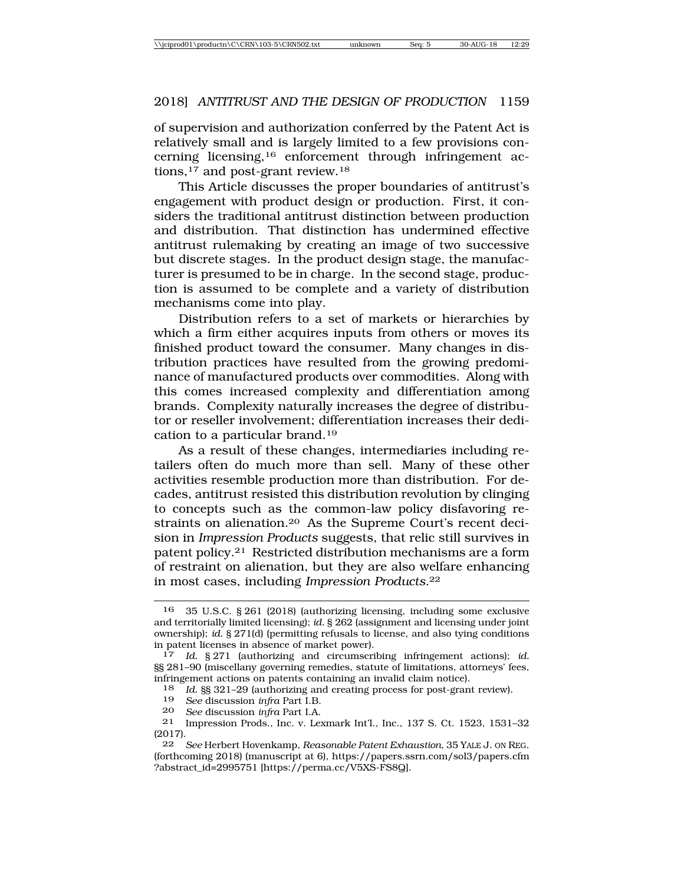of supervision and authorization conferred by the Patent Act is relatively small and is largely limited to a few provisions concerning licensing,16 enforcement through infringement actions,<sup>17</sup> and post-grant review.<sup>18</sup>

This Article discusses the proper boundaries of antitrust's engagement with product design or production. First, it considers the traditional antitrust distinction between production and distribution. That distinction has undermined effective antitrust rulemaking by creating an image of two successive but discrete stages. In the product design stage, the manufacturer is presumed to be in charge. In the second stage, production is assumed to be complete and a variety of distribution mechanisms come into play.

Distribution refers to a set of markets or hierarchies by which a firm either acquires inputs from others or moves its finished product toward the consumer. Many changes in distribution practices have resulted from the growing predominance of manufactured products over commodities. Along with this comes increased complexity and differentiation among brands. Complexity naturally increases the degree of distributor or reseller involvement; differentiation increases their dedication to a particular brand.19

As a result of these changes, intermediaries including retailers often do much more than sell. Many of these other activities resemble production more than distribution. For decades, antitrust resisted this distribution revolution by clinging to concepts such as the common-law policy disfavoring restraints on alienation.20 As the Supreme Court's recent decision in *Impression Products* suggests, that relic still survives in patent policy.21 Restricted distribution mechanisms are a form of restraint on alienation, but they are also welfare enhancing in most cases, including *Impression Products*.22

<sup>16</sup> 35 U.S.C. § 261 (2018) (authorizing licensing, including some exclusive and territorially limited licensing); *id.* § 262 (assignment and licensing under joint ownership); *id.* § 271(d) (permitting refusals to license, and also tying conditions in patent licenses in absence of market power).

<sup>17</sup> *Id.* § 271 (authorizing and circumscribing infringement actions); *id.* §§ 281–90 (miscellany governing remedies, statute of limitations, attorneys' fees, infringement actions on patents containing an invalid claim notice).

<sup>18</sup> *Id.* §§ 321–29 (authorizing and creating process for post-grant review).<br>19 See discussion infra Part I B

<sup>19</sup> *See* discussion *infra* Part I.B.

<sup>20</sup> *See* discussion *infra* Part I.A.

<sup>21</sup> Impression Prods., Inc. v. Lexmark Int'l., Inc., 137 S. Ct. 1523, 1531–32 (2017).

<sup>22</sup> *See* Herbert Hovenkamp, *Reasonable Patent Exhaustion*, 35 YALE J. ON REG. (forthcoming 2018) (manuscript at 6), https://papers.ssrn.com/sol3/papers.cfm ?abstract\_id=2995751 [https://perma.cc/V5XS-FS8Q].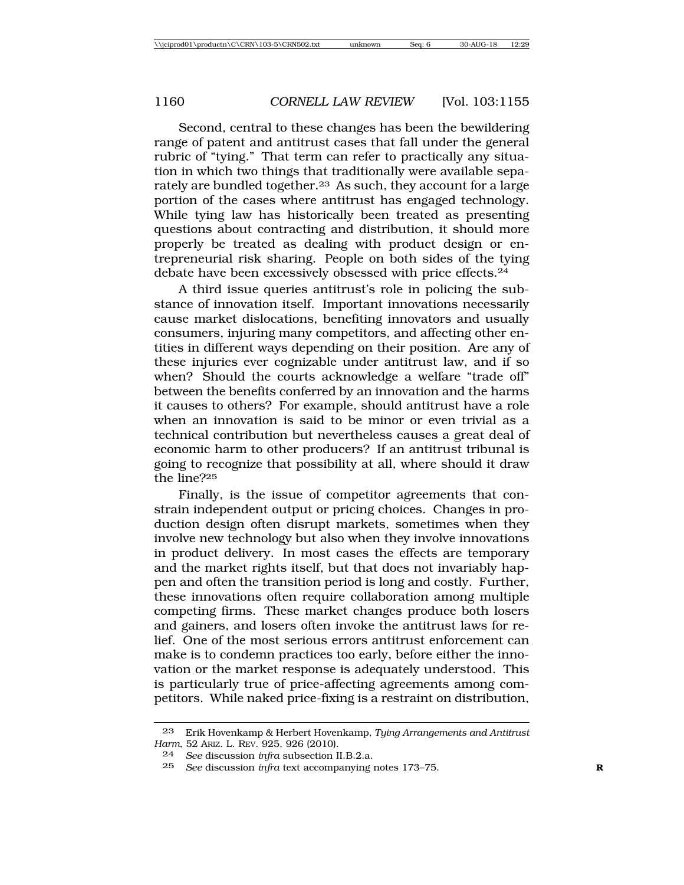Second, central to these changes has been the bewildering range of patent and antitrust cases that fall under the general rubric of "tying." That term can refer to practically any situation in which two things that traditionally were available separately are bundled together.<sup>23</sup> As such, they account for a large portion of the cases where antitrust has engaged technology. While tying law has historically been treated as presenting questions about contracting and distribution, it should more properly be treated as dealing with product design or entrepreneurial risk sharing. People on both sides of the tying debate have been excessively obsessed with price effects.24

A third issue queries antitrust's role in policing the substance of innovation itself. Important innovations necessarily cause market dislocations, benefiting innovators and usually consumers, injuring many competitors, and affecting other entities in different ways depending on their position. Are any of these injuries ever cognizable under antitrust law, and if so when? Should the courts acknowledge a welfare "trade off" between the benefits conferred by an innovation and the harms it causes to others? For example, should antitrust have a role when an innovation is said to be minor or even trivial as a technical contribution but nevertheless causes a great deal of economic harm to other producers? If an antitrust tribunal is going to recognize that possibility at all, where should it draw the line?25

Finally, is the issue of competitor agreements that constrain independent output or pricing choices. Changes in production design often disrupt markets, sometimes when they involve new technology but also when they involve innovations in product delivery. In most cases the effects are temporary and the market rights itself, but that does not invariably happen and often the transition period is long and costly. Further, these innovations often require collaboration among multiple competing firms. These market changes produce both losers and gainers, and losers often invoke the antitrust laws for relief. One of the most serious errors antitrust enforcement can make is to condemn practices too early, before either the innovation or the market response is adequately understood. This is particularly true of price-affecting agreements among competitors. While naked price-fixing is a restraint on distribution,

<sup>23</sup> Erik Hovenkamp & Herbert Hovenkamp, *Tying Arrangements and Antitrust Harm*, 52 ARIZ. L. REV. 925, 926 (2010).

<sup>24</sup> *See* discussion *infra* subsection II.B.2.a.

<sup>25</sup> *See* discussion *infra* text accompanying notes 173–75. **R**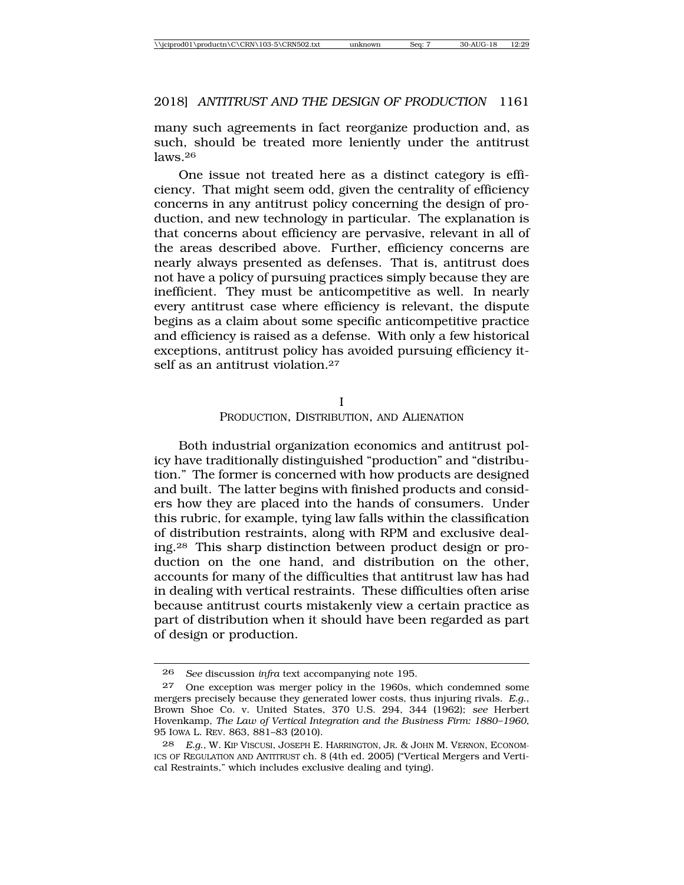many such agreements in fact reorganize production and, as such, should be treated more leniently under the antitrust laws.26

One issue not treated here as a distinct category is efficiency. That might seem odd, given the centrality of efficiency concerns in any antitrust policy concerning the design of production, and new technology in particular. The explanation is that concerns about efficiency are pervasive, relevant in all of the areas described above. Further, efficiency concerns are nearly always presented as defenses. That is, antitrust does not have a policy of pursuing practices simply because they are inefficient. They must be anticompetitive as well. In nearly every antitrust case where efficiency is relevant, the dispute begins as a claim about some specific anticompetitive practice and efficiency is raised as a defense. With only a few historical exceptions, antitrust policy has avoided pursuing efficiency itself as an antitrust violation.<sup>27</sup>

I

#### PRODUCTION, DISTRIBUTION, AND ALIENATION

Both industrial organization economics and antitrust policy have traditionally distinguished "production" and "distribution." The former is concerned with how products are designed and built. The latter begins with finished products and considers how they are placed into the hands of consumers. Under this rubric, for example, tying law falls within the classification of distribution restraints, along with RPM and exclusive dealing.28 This sharp distinction between product design or production on the one hand, and distribution on the other, accounts for many of the difficulties that antitrust law has had in dealing with vertical restraints. These difficulties often arise because antitrust courts mistakenly view a certain practice as part of distribution when it should have been regarded as part of design or production.

<sup>26</sup> *See* discussion *infra* text accompanying note 195.

<sup>27</sup> One exception was merger policy in the 1960s, which condemned some mergers precisely because they generated lower costs, thus injuring rivals. *E.g*., Brown Shoe Co. v. United States, 370 U.S. 294, 344 (1962); *see* Herbert Hovenkamp, *The Law of Vertical Integration and the Business Firm: 1880–1960*, 95 IOWA L. REV. 863, 881–83 (2010).

<sup>28</sup> *E.g*., W. KIP VISCUSI, JOSEPH E. HARRINGTON, JR. & JOHN M. VERNON, ECONOM-ICS OF REGULATION AND ANTITRUST ch. 8 (4th ed. 2005) ("Vertical Mergers and Vertical Restraints," which includes exclusive dealing and tying).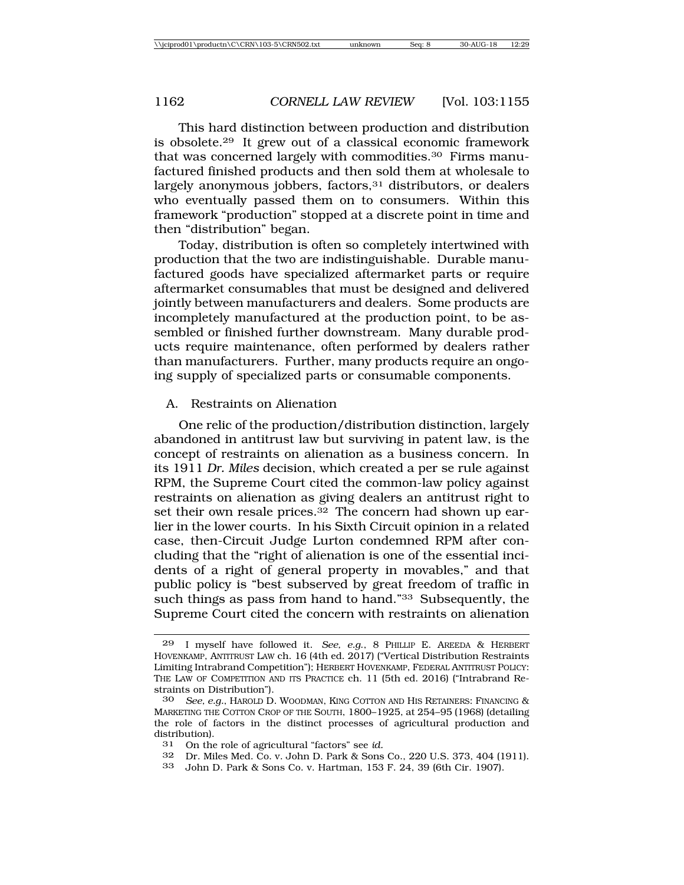This hard distinction between production and distribution is obsolete.29 It grew out of a classical economic framework that was concerned largely with commodities.30 Firms manufactured finished products and then sold them at wholesale to largely anonymous jobbers, factors,<sup>31</sup> distributors, or dealers who eventually passed them on to consumers. Within this framework "production" stopped at a discrete point in time and then "distribution" began.

Today, distribution is often so completely intertwined with production that the two are indistinguishable. Durable manufactured goods have specialized aftermarket parts or require aftermarket consumables that must be designed and delivered jointly between manufacturers and dealers. Some products are incompletely manufactured at the production point, to be assembled or finished further downstream. Many durable products require maintenance, often performed by dealers rather than manufacturers. Further, many products require an ongoing supply of specialized parts or consumable components.

#### A. Restraints on Alienation

One relic of the production/distribution distinction, largely abandoned in antitrust law but surviving in patent law, is the concept of restraints on alienation as a business concern. In its 1911 *Dr. Miles* decision, which created a per se rule against RPM, the Supreme Court cited the common-law policy against restraints on alienation as giving dealers an antitrust right to set their own resale prices. $32$  The concern had shown up earlier in the lower courts. In his Sixth Circuit opinion in a related case, then-Circuit Judge Lurton condemned RPM after concluding that the "right of alienation is one of the essential incidents of a right of general property in movables," and that public policy is "best subserved by great freedom of traffic in such things as pass from hand to hand."33 Subsequently, the Supreme Court cited the concern with restraints on alienation

- 31 On the role of agricultural "factors" see *id.*
- 32 Dr. Miles Med. Co. v. John D. Park & Sons Co., 220 U.S. 373, 404 (1911).<br>33 John D. Park & Sons Co. v. Hartman, 153 F. 24, 39 (6th Cir. 1907).
- 33 John D. Park & Sons Co. v. Hartman, 153 F. 24, 39 (6th Cir. 1907).

<sup>29</sup> I myself have followed it. *See, e.g*., 8 PHILLIP E. AREEDA & HERBERT HOVENKAMP, ANTITRUST LAW ch. 16 (4th ed. 2017) ("Vertical Distribution Restraints Limiting Intrabrand Competition"); HERBERT HOVENKAMP, FEDERAL ANTITRUST POLICY: THE LAW OF COMPETITION AND ITS PRACTICE ch. 11 (5th ed. 2016) ("Intrabrand Restraints on Distribution").

<sup>30</sup> *See, e.g.*, HAROLD D. WOODMAN, KING COTTON AND HIS RETAINERS: FINANCING & MARKETING THE COTTON CROP OF THE SOUTH, 1800–1925, at 254–95 (1968) (detailing the role of factors in the distinct processes of agricultural production and distribution).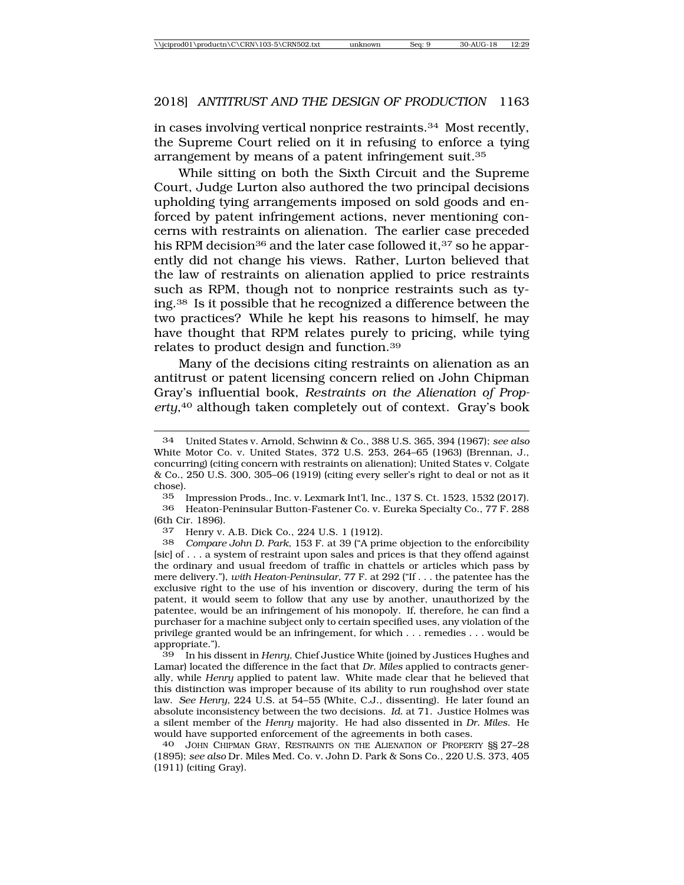in cases involving vertical nonprice restraints.34 Most recently, the Supreme Court relied on it in refusing to enforce a tying arrangement by means of a patent infringement suit.35

While sitting on both the Sixth Circuit and the Supreme Court, Judge Lurton also authored the two principal decisions upholding tying arrangements imposed on sold goods and enforced by patent infringement actions, never mentioning concerns with restraints on alienation. The earlier case preceded his RPM decision<sup>36</sup> and the later case followed it,<sup>37</sup> so he apparently did not change his views. Rather, Lurton believed that the law of restraints on alienation applied to price restraints such as RPM, though not to nonprice restraints such as tying.38 Is it possible that he recognized a difference between the two practices? While he kept his reasons to himself, he may have thought that RPM relates purely to pricing, while tying relates to product design and function.39

Many of the decisions citing restraints on alienation as an antitrust or patent licensing concern relied on John Chipman Gray's influential book, *Restraints on the Alienation of Prop*erty,<sup>40</sup> although taken completely out of context. Gray's book

35 Impression Prods., Inc. v. Lexmark Int'l, Inc., 137 S. Ct. 1523, 1532 (2017). 36 Heaton-Peninsular Button-Fastener Co. v. Eureka Specialty Co., 77 F. 288 (6th Cir. 1896).

37 Henry v. A.B. Dick Co., 224 U.S. 1 (1912).<br>38 Compare John D. Park 153 F. at 39 ("A pri-

38 *Compare John D. Park*, 153 F. at 39 ("A prime objection to the enforcibility [sic] of . . . a system of restraint upon sales and prices is that they offend against the ordinary and usual freedom of traffic in chattels or articles which pass by mere delivery."), *with Heaton-Peninsular*, 77 F. at 292 ("If . . . the patentee has the exclusive right to the use of his invention or discovery, during the term of his patent, it would seem to follow that any use by another, unauthorized by the patentee, would be an infringement of his monopoly. If, therefore, he can find a purchaser for a machine subject only to certain specified uses, any violation of the privilege granted would be an infringement, for which . . . remedies . . . would be appropriate.").

39 In his dissent in *Henry*, Chief Justice White (joined by Justices Hughes and Lamar) located the difference in the fact that *Dr. Miles* applied to contracts generally, while *Henry* applied to patent law. White made clear that he believed that this distinction was improper because of its ability to run roughshod over state law. *See Henry*, 224 U.S. at 54–55 (White, C.J., dissenting). He later found an absolute inconsistency between the two decisions. *Id*. at 71. Justice Holmes was a silent member of the *Henry* majority. He had also dissented in *Dr. Miles*. He would have supported enforcement of the agreements in both cases.

40 JOHN CHIPMAN GRAY, RESTRAINTS ON THE ALIENATION OF PROPERTY §§ 27–28 (1895); *see also* Dr. Miles Med. Co. v. John D. Park & Sons Co., 220 U.S. 373, 405 (1911) (citing Gray).

<sup>34</sup> United States v. Arnold, Schwinn & Co., 388 U.S. 365, 394 (1967); *see also* White Motor Co. v. United States, 372 U.S. 253, 264–65 (1963) (Brennan, J., concurring) (citing concern with restraints on alienation); United States v. Colgate & Co., 250 U.S. 300, 305–06 (1919) (citing every seller's right to deal or not as it chose).<br> $35$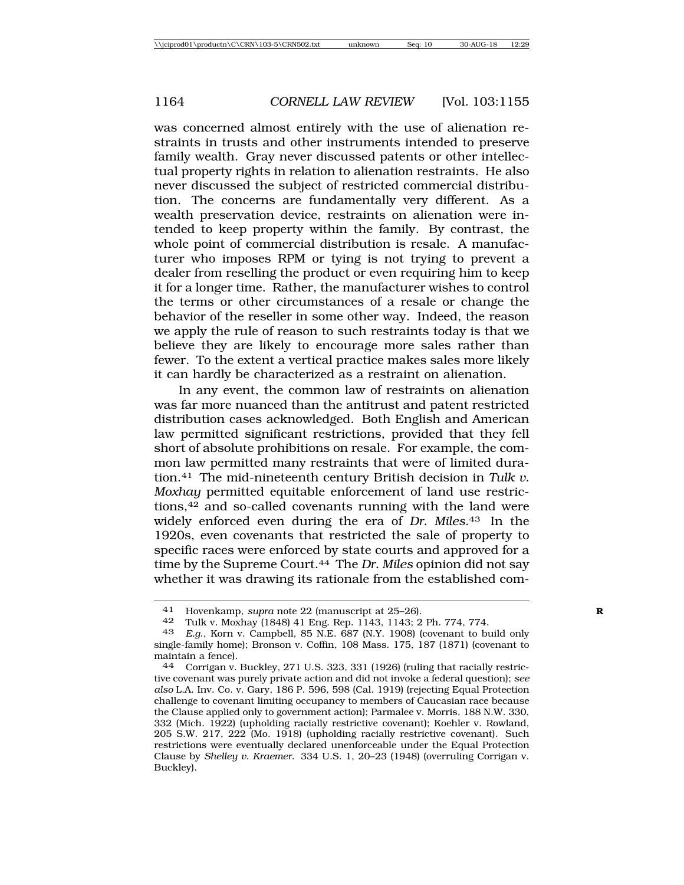was concerned almost entirely with the use of alienation restraints in trusts and other instruments intended to preserve family wealth. Gray never discussed patents or other intellectual property rights in relation to alienation restraints. He also never discussed the subject of restricted commercial distribution. The concerns are fundamentally very different. As a wealth preservation device, restraints on alienation were intended to keep property within the family. By contrast, the whole point of commercial distribution is resale. A manufacturer who imposes RPM or tying is not trying to prevent a dealer from reselling the product or even requiring him to keep it for a longer time. Rather, the manufacturer wishes to control the terms or other circumstances of a resale or change the behavior of the reseller in some other way. Indeed, the reason we apply the rule of reason to such restraints today is that we believe they are likely to encourage more sales rather than fewer. To the extent a vertical practice makes sales more likely it can hardly be characterized as a restraint on alienation.

In any event, the common law of restraints on alienation was far more nuanced than the antitrust and patent restricted distribution cases acknowledged. Both English and American law permitted significant restrictions, provided that they fell short of absolute prohibitions on resale. For example, the common law permitted many restraints that were of limited duration.41 The mid-nineteenth century British decision in *Tulk v. Moxhay* permitted equitable enforcement of land use restrictions,42 and so-called covenants running with the land were widely enforced even during the era of *Dr. Miles*.43 In the 1920s, even covenants that restricted the sale of property to specific races were enforced by state courts and approved for a time by the Supreme Court.44 The *Dr. Miles* opinion did not say whether it was drawing its rationale from the established com-

<sup>41</sup> Hovenkamp, *supra* note 22 (manuscript at 25–26). **R**

<sup>42</sup> Tulk v. Moxhay (1848) 41 Eng. Rep. 1143, 1143; 2 Ph. 774, 774.

<sup>43</sup> *E.g*., Korn v. Campbell, 85 N.E. 687 (N.Y. 1908) (covenant to build only single-family home); Bronson v. Coffin, 108 Mass. 175, 187 (1871) (covenant to maintain a fence).<br>44 Corrigan v.

Corrigan v. Buckley, 271 U.S. 323, 331 (1926) (ruling that racially restrictive covenant was purely private action and did not invoke a federal question); *see also* L.A. Inv. Co. v. Gary, 186 P. 596, 598 (Cal. 1919) (rejecting Equal Protection challenge to covenant limiting occupancy to members of Caucasian race because the Clause applied only to government action); Parmalee v. Morris, 188 N.W. 330, 332 (Mich. 1922) (upholding racially restrictive covenant); Koehler v. Rowland, 205 S.W. 217, 222 (Mo. 1918) (upholding racially restrictive covenant). Such restrictions were eventually declared unenforceable under the Equal Protection Clause by *Shelley v. Kraemer*. 334 U.S. 1, 20–23 (1948) (overruling Corrigan v. Buckley).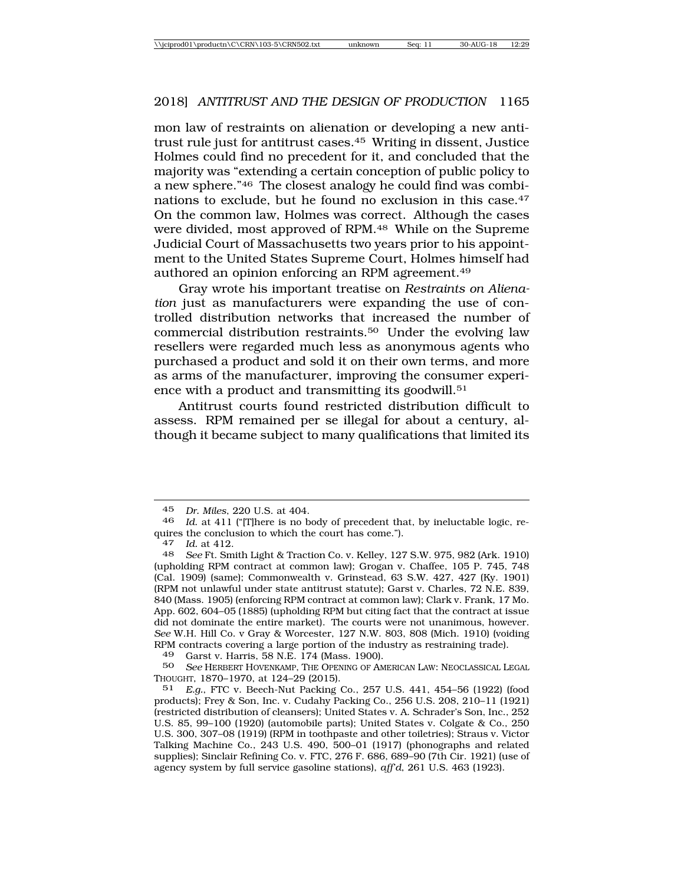mon law of restraints on alienation or developing a new antitrust rule just for antitrust cases.45 Writing in dissent, Justice Holmes could find no precedent for it, and concluded that the majority was "extending a certain conception of public policy to a new sphere."46 The closest analogy he could find was combinations to exclude, but he found no exclusion in this case.47 On the common law, Holmes was correct. Although the cases were divided, most approved of RPM.48 While on the Supreme Judicial Court of Massachusetts two years prior to his appointment to the United States Supreme Court, Holmes himself had authored an opinion enforcing an RPM agreement.49

Gray wrote his important treatise on *Restraints on Alienation* just as manufacturers were expanding the use of controlled distribution networks that increased the number of commercial distribution restraints.50 Under the evolving law resellers were regarded much less as anonymous agents who purchased a product and sold it on their own terms, and more as arms of the manufacturer, improving the consumer experience with a product and transmitting its goodwill.<sup>51</sup>

Antitrust courts found restricted distribution difficult to assess. RPM remained per se illegal for about a century, although it became subject to many qualifications that limited its

49 Garst v. Harris, 58 N.E. 174 (Mass. 1900).<br>50 See Herbert Hovenkamp The Opening of Am

50 *See* HERBERT HOVENKAMP, THE OPENING OF AMERICAN LAW: NEOCLASSICAL LEGAL THOUGHT, 1870–1970, at 124–29 (2015).

51 *E.g.*, FTC v. Beech-Nut Packing Co., 257 U.S. 441, 454–56 (1922) (food products); Frey & Son, Inc. v. Cudahy Packing Co., 256 U.S. 208, 210–11 (1921) (restricted distribution of cleansers); United States v. A. Schrader's Son, Inc., 252 U.S. 85, 99–100 (1920) (automobile parts); United States v. Colgate & Co., 250 U.S. 300, 307–08 (1919) (RPM in toothpaste and other toiletries); Straus v. Victor Talking Machine Co., 243 U.S. 490, 500–01 (1917) (phonographs and related supplies); Sinclair Refining Co. v. FTC, 276 F. 686, 689–90 (7th Cir. 1921) (use of agency system by full service gasoline stations), *aff'd*, 261 U.S. 463 (1923).

<sup>45</sup> *Dr. Miles*, 220 U.S. at 404.

Id. at 411 ("[T]here is no body of precedent that, by ineluctable logic, requires the conclusion to which the court has come.").

<sup>47</sup> *Id.* at 412.

<sup>48</sup> *See* Ft. Smith Light & Traction Co. v. Kelley, 127 S.W. 975, 982 (Ark. 1910) (upholding RPM contract at common law); Grogan v. Chaffee, 105 P. 745, 748 (Cal. 1909) (same); Commonwealth v. Grinstead, 63 S.W. 427, 427 (Ky. 1901) (RPM not unlawful under state antitrust statute); Garst v. Charles, 72 N.E. 839, 840 (Mass. 1905) (enforcing RPM contract at common law); Clark v. Frank, 17 Mo. App. 602, 604–05 (1885) (upholding RPM but citing fact that the contract at issue did not dominate the entire market). The courts were not unanimous, however. *See* W.H. Hill Co. v Gray & Worcester, 127 N.W. 803, 808 (Mich. 1910) (voiding RPM contracts covering a large portion of the industry as restraining trade).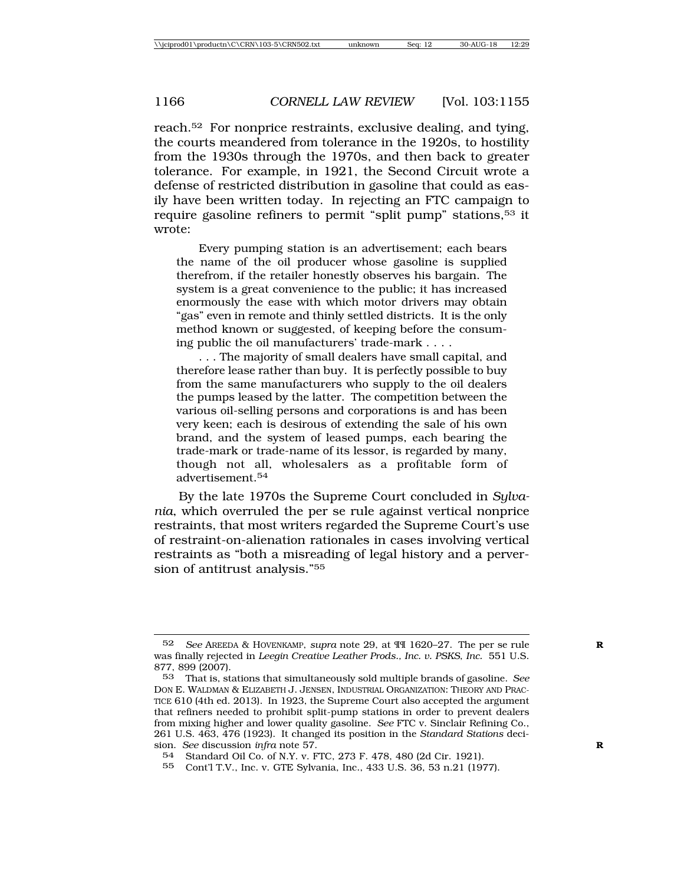reach.52 For nonprice restraints, exclusive dealing, and tying, the courts meandered from tolerance in the 1920s, to hostility from the 1930s through the 1970s, and then back to greater tolerance. For example, in 1921, the Second Circuit wrote a defense of restricted distribution in gasoline that could as easily have been written today. In rejecting an FTC campaign to require gasoline refiners to permit "split pump" stations,53 it wrote:

Every pumping station is an advertisement; each bears the name of the oil producer whose gasoline is supplied therefrom, if the retailer honestly observes his bargain. The system is a great convenience to the public; it has increased enormously the ease with which motor drivers may obtain "gas" even in remote and thinly settled districts. It is the only method known or suggested, of keeping before the consuming public the oil manufacturers' trade-mark . . . .

. . . The majority of small dealers have small capital, and therefore lease rather than buy. It is perfectly possible to buy from the same manufacturers who supply to the oil dealers the pumps leased by the latter. The competition between the various oil-selling persons and corporations is and has been very keen; each is desirous of extending the sale of his own brand, and the system of leased pumps, each bearing the trade-mark or trade-name of its lessor, is regarded by many, though not all, wholesalers as a profitable form of advertisement.<sup>54</sup>

By the late 1970s the Supreme Court concluded in *Sylvania*, which overruled the per se rule against vertical nonprice restraints, that most writers regarded the Supreme Court's use of restraint-on-alienation rationales in cases involving vertical restraints as "both a misreading of legal history and a perversion of antitrust analysis."55

<sup>52</sup> *See* AREEDA & HOVENKAMP, *supra* note 29, at ¶¶ 1620–27. The per se rule **R** was finally rejected in *Leegin Creative Leather Prods., Inc. v. PSKS*, *Inc.* 551 U.S. 877, 899 (2007).

<sup>53</sup> That is, stations that simultaneously sold multiple brands of gasoline. *See* DON E. WALDMAN & ELIZABETH J. JENSEN, INDUSTRIAL ORGANIZATION: THEORY AND PRAC-TICE 610 (4th ed. 2013). In 1923, the Supreme Court also accepted the argument that refiners needed to prohibit split-pump stations in order to prevent dealers from mixing higher and lower quality gasoline. *See* FTC v. Sinclair Refining Co., 261 U.S. 463, 476 (1923). It changed its position in the *Standard Stations* decision. *See* discussion *infra* note 57. **R**

<sup>54</sup> Standard Oil Co. of N.Y. v. FTC, 273 F. 478, 480 (2d Cir. 1921).

<sup>55</sup> Cont'l T.V., Inc. v. GTE Sylvania, Inc., 433 U.S. 36, 53 n.21 (1977).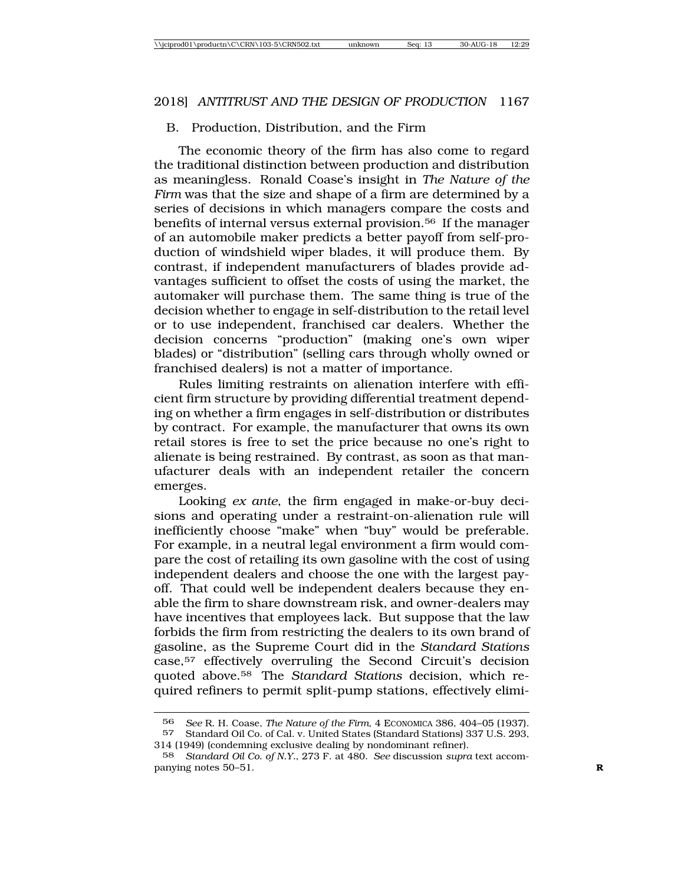#### B. Production, Distribution, and the Firm

The economic theory of the firm has also come to regard the traditional distinction between production and distribution as meaningless. Ronald Coase's insight in *The Nature of the Firm* was that the size and shape of a firm are determined by a series of decisions in which managers compare the costs and benefits of internal versus external provision.56 If the manager of an automobile maker predicts a better payoff from self-production of windshield wiper blades, it will produce them. By contrast, if independent manufacturers of blades provide advantages sufficient to offset the costs of using the market, the automaker will purchase them. The same thing is true of the decision whether to engage in self-distribution to the retail level or to use independent, franchised car dealers. Whether the decision concerns "production" (making one's own wiper blades) or "distribution" (selling cars through wholly owned or franchised dealers) is not a matter of importance.

Rules limiting restraints on alienation interfere with efficient firm structure by providing differential treatment depending on whether a firm engages in self-distribution or distributes by contract. For example, the manufacturer that owns its own retail stores is free to set the price because no one's right to alienate is being restrained. By contrast, as soon as that manufacturer deals with an independent retailer the concern emerges.

Looking *ex ante*, the firm engaged in make-or-buy decisions and operating under a restraint-on-alienation rule will inefficiently choose "make" when "buy" would be preferable. For example, in a neutral legal environment a firm would compare the cost of retailing its own gasoline with the cost of using independent dealers and choose the one with the largest payoff. That could well be independent dealers because they enable the firm to share downstream risk, and owner-dealers may have incentives that employees lack. But suppose that the law forbids the firm from restricting the dealers to its own brand of gasoline, as the Supreme Court did in the *Standard Stations* case,57 effectively overruling the Second Circuit's decision quoted above.58 The *Standard Stations* decision, which required refiners to permit split-pump stations, effectively elimi-

<sup>56</sup> *See* R. H. Coase, *The Nature of the Firm*, 4 ECONOMICA 386, 404–05 (1937). 57 Standard Oil Co. of Cal. v. United States (Standard Stations) 337 U.S. 293, 314 (1949) (condemning exclusive dealing by nondominant refiner).

<sup>58</sup> *Standard Oil Co. of N.Y.*, 273 F. at 480. *See* discussion *supra* text accompanying notes 50–51. **R**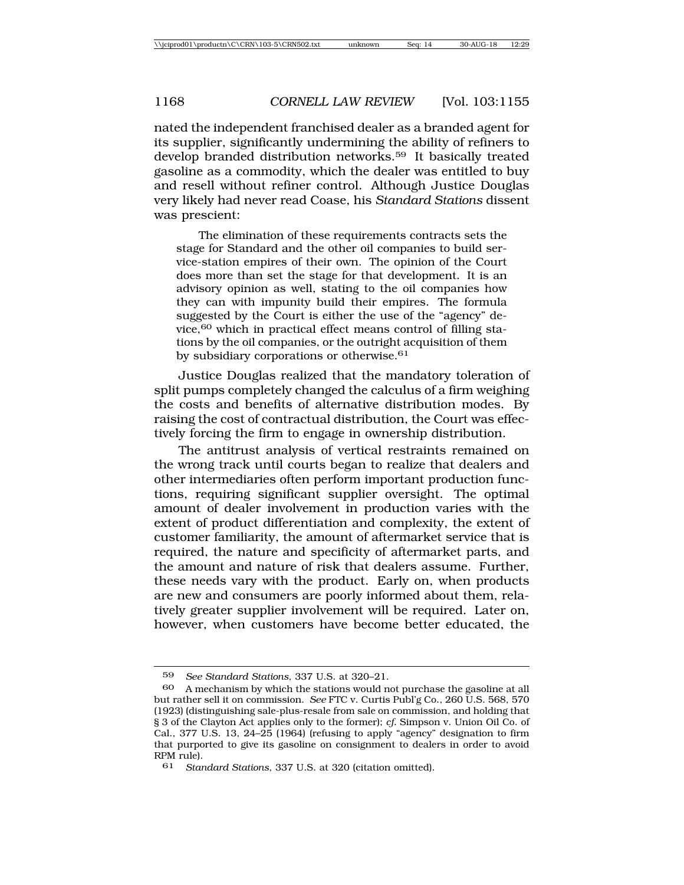nated the independent franchised dealer as a branded agent for its supplier, significantly undermining the ability of refiners to develop branded distribution networks.59 It basically treated gasoline as a commodity, which the dealer was entitled to buy and resell without refiner control. Although Justice Douglas very likely had never read Coase, his *Standard Stations* dissent was prescient:

The elimination of these requirements contracts sets the stage for Standard and the other oil companies to build service-station empires of their own. The opinion of the Court does more than set the stage for that development. It is an advisory opinion as well, stating to the oil companies how they can with impunity build their empires. The formula suggested by the Court is either the use of the "agency" device,<sup>60</sup> which in practical effect means control of filling stations by the oil companies, or the outright acquisition of them by subsidiary corporations or otherwise.<sup>61</sup>

Justice Douglas realized that the mandatory toleration of split pumps completely changed the calculus of a firm weighing the costs and benefits of alternative distribution modes. By raising the cost of contractual distribution, the Court was effectively forcing the firm to engage in ownership distribution.

The antitrust analysis of vertical restraints remained on the wrong track until courts began to realize that dealers and other intermediaries often perform important production functions, requiring significant supplier oversight. The optimal amount of dealer involvement in production varies with the extent of product differentiation and complexity, the extent of customer familiarity, the amount of aftermarket service that is required, the nature and specificity of aftermarket parts, and the amount and nature of risk that dealers assume. Further, these needs vary with the product. Early on, when products are new and consumers are poorly informed about them, relatively greater supplier involvement will be required. Later on, however, when customers have become better educated, the

<sup>59</sup> *See Standard Stations*, 337 U.S. at 320–21.

A mechanism by which the stations would not purchase the gasoline at all but rather sell it on commission. *See* FTC v. Curtis Publ'g Co., 260 U.S. 568, 570 (1923) (distinguishing sale-plus-resale from sale on commission, and holding that § 3 of the Clayton Act applies only to the former); *cf.* Simpson v. Union Oil Co. of Cal., 377 U.S. 13, 24–25 (1964) (refusing to apply "agency" designation to firm that purported to give its gasoline on consignment to dealers in order to avoid RPM rule).

<sup>61</sup> *Standard Stations*, 337 U.S. at 320 (citation omitted).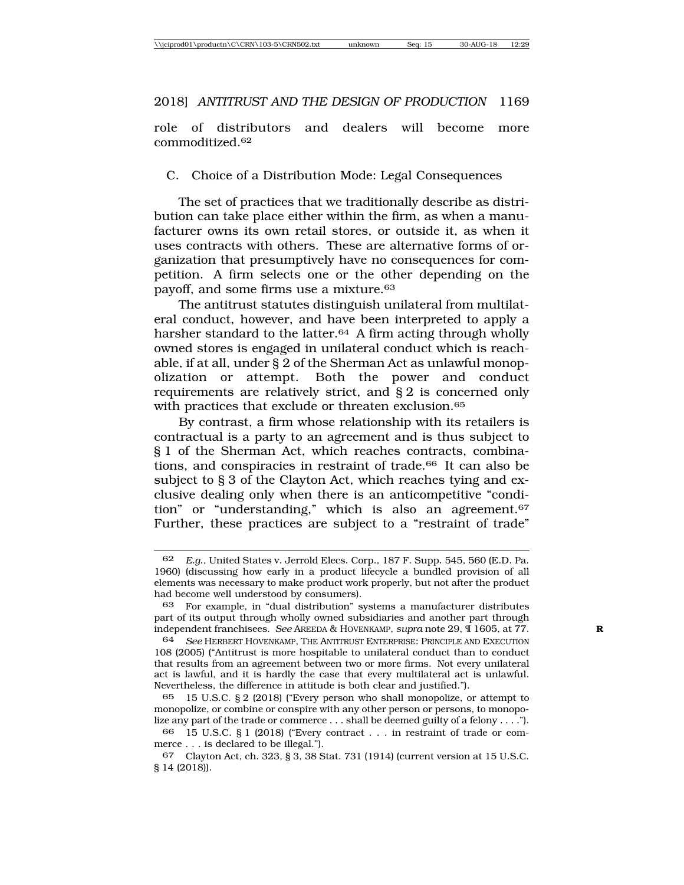role of distributors and dealers will become more commoditized.62

C. Choice of a Distribution Mode: Legal Consequences

The set of practices that we traditionally describe as distribution can take place either within the firm, as when a manufacturer owns its own retail stores, or outside it, as when it uses contracts with others. These are alternative forms of organization that presumptively have no consequences for competition. A firm selects one or the other depending on the payoff, and some firms use a mixture.63

The antitrust statutes distinguish unilateral from multilateral conduct, however, and have been interpreted to apply a harsher standard to the latter.<sup>64</sup> A firm acting through wholly owned stores is engaged in unilateral conduct which is reachable, if at all, under § 2 of the Sherman Act as unlawful monopolization or attempt. Both the power and conduct requirements are relatively strict, and § 2 is concerned only with practices that exclude or threaten exclusion.<sup>65</sup>

By contrast, a firm whose relationship with its retailers is contractual is a party to an agreement and is thus subject to § 1 of the Sherman Act, which reaches contracts, combinations, and conspiracies in restraint of trade.66 It can also be subject to § 3 of the Clayton Act, which reaches tying and exclusive dealing only when there is an anticompetitive "condition" or "understanding," which is also an agreement.<sup>67</sup> Further, these practices are subject to a "restraint of trade"

<sup>62</sup> *E.g*., United States v. Jerrold Elecs. Corp., 187 F. Supp. 545, 560 (E.D. Pa. 1960) (discussing how early in a product lifecycle a bundled provision of all elements was necessary to make product work properly, but not after the product had become well understood by consumers).

<sup>63</sup> For example, in "dual distribution" systems a manufacturer distributes part of its output through wholly owned subsidiaries and another part through independent franchisees. *See* AREEDA & HOVENKAMP, *supra* note 29, ¶ 1605, at 77. **R**

<sup>64</sup> *See* HERBERT HOVENKAMP, THE ANTITRUST ENTERPRISE: PRINCIPLE AND EXECUTION 108 (2005) ("Antitrust is more hospitable to unilateral conduct than to conduct that results from an agreement between two or more firms. Not every unilateral act is lawful, and it is hardly the case that every multilateral act is unlawful. Nevertheless, the difference in attitude is both clear and justified.").

<sup>65</sup> 15 U.S.C. § 2 (2018) ("Every person who shall monopolize, or attempt to monopolize, or combine or conspire with any other person or persons, to monopolize any part of the trade or commerce . . . shall be deemed guilty of a felony . . . .").

<sup>66</sup> 15 U.S.C. § 1 (2018) ("Every contract . . . in restraint of trade or commerce . . . is declared to be illegal.").

<sup>67</sup> Clayton Act, ch. 323, § 3, 38 Stat. 731 (1914) (current version at 15 U.S.C. § 14 (2018)).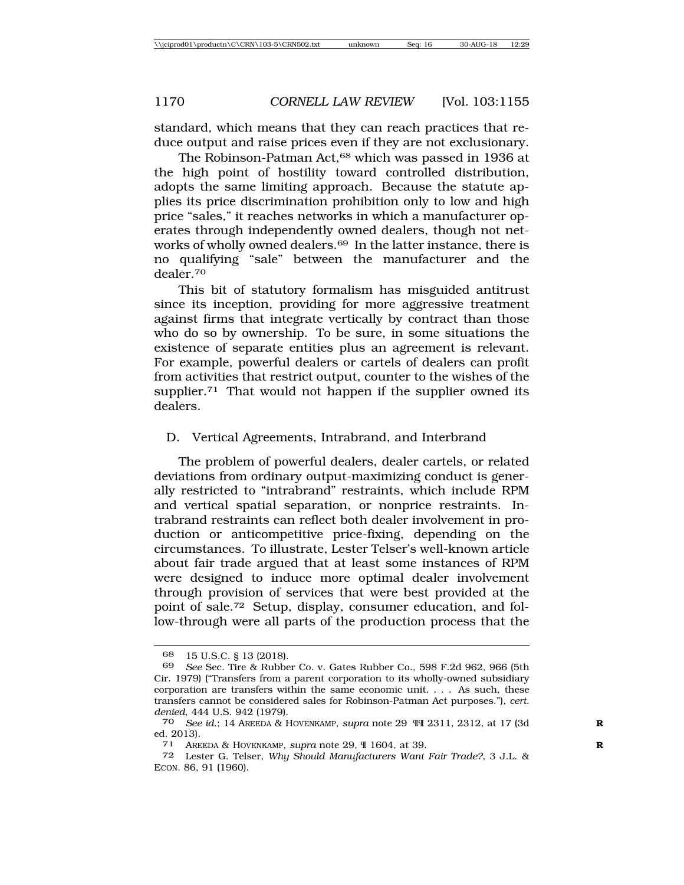standard, which means that they can reach practices that reduce output and raise prices even if they are not exclusionary.

The Robinson-Patman Act,<sup>68</sup> which was passed in 1936 at the high point of hostility toward controlled distribution, adopts the same limiting approach. Because the statute applies its price discrimination prohibition only to low and high price "sales," it reaches networks in which a manufacturer operates through independently owned dealers, though not networks of wholly owned dealers.<sup>69</sup> In the latter instance, there is no qualifying "sale" between the manufacturer and the dealer.70

This bit of statutory formalism has misguided antitrust since its inception, providing for more aggressive treatment against firms that integrate vertically by contract than those who do so by ownership. To be sure, in some situations the existence of separate entities plus an agreement is relevant. For example, powerful dealers or cartels of dealers can profit from activities that restrict output, counter to the wishes of the supplier.<sup>71</sup> That would not happen if the supplier owned its dealers.

#### D. Vertical Agreements, Intrabrand, and Interbrand

The problem of powerful dealers, dealer cartels, or related deviations from ordinary output-maximizing conduct is generally restricted to "intrabrand" restraints, which include RPM and vertical spatial separation, or nonprice restraints. Intrabrand restraints can reflect both dealer involvement in production or anticompetitive price-fixing, depending on the circumstances. To illustrate, Lester Telser's well-known article about fair trade argued that at least some instances of RPM were designed to induce more optimal dealer involvement through provision of services that were best provided at the point of sale.72 Setup, display, consumer education, and follow-through were all parts of the production process that the

<sup>68 15</sup> U.S.C. § 13 (2018).<br>69 See Sec Tire & Rubbe

<sup>69</sup> *See* Sec. Tire & Rubber Co. v. Gates Rubber Co., 598 F.2d 962, 966 (5th Cir. 1979) ("Transfers from a parent corporation to its wholly-owned subsidiary corporation are transfers within the same economic unit. . . . As such, these transfers cannot be considered sales for Robinson-Patman Act purposes."), *cert. denied*, 444 U.S. 942 (1979).

<sup>70</sup> *See id*.; 14 AREEDA & HOVENKAMP, *supra* note 29 ¶¶ 2311, 2312, at 17 (3d **R** ed. 2013).

<sup>71</sup> AREEDA & HOVENKAMP, *supra* note 29, ¶ 1604, at 39. **R**

<sup>72</sup> Lester G. Telser, *Why Should Manufacturers Want Fair Trade?*, 3 J.L. & ECON. 86, 91 (1960).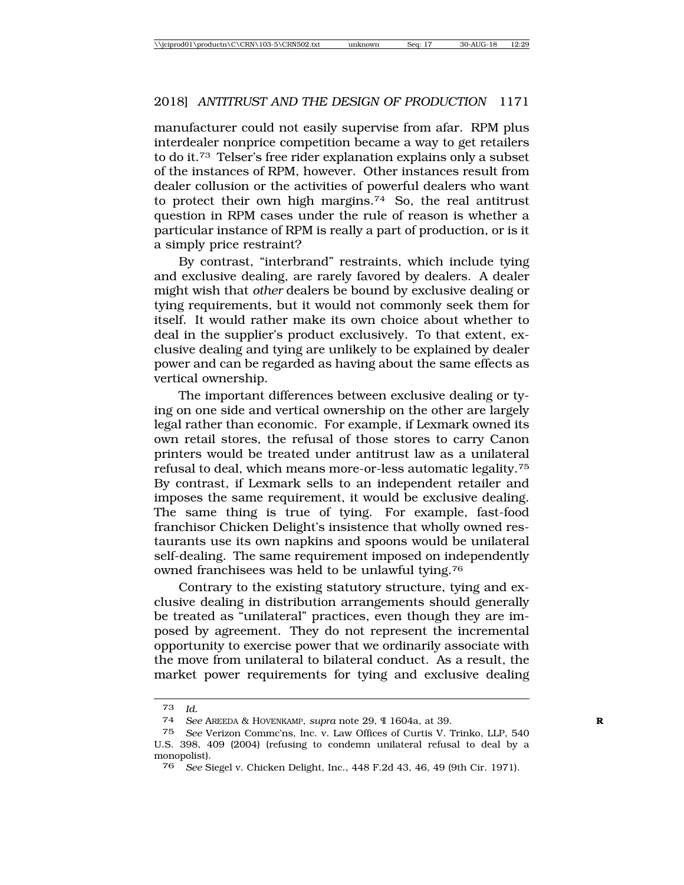manufacturer could not easily supervise from afar. RPM plus interdealer nonprice competition became a way to get retailers to do it.73 Telser's free rider explanation explains only a subset of the instances of RPM, however. Other instances result from dealer collusion or the activities of powerful dealers who want to protect their own high margins.74 So, the real antitrust question in RPM cases under the rule of reason is whether a particular instance of RPM is really a part of production, or is it a simply price restraint?

By contrast, "interbrand" restraints, which include tying and exclusive dealing, are rarely favored by dealers. A dealer might wish that *other* dealers be bound by exclusive dealing or tying requirements, but it would not commonly seek them for itself. It would rather make its own choice about whether to deal in the supplier's product exclusively. To that extent, exclusive dealing and tying are unlikely to be explained by dealer power and can be regarded as having about the same effects as vertical ownership.

The important differences between exclusive dealing or tying on one side and vertical ownership on the other are largely legal rather than economic. For example, if Lexmark owned its own retail stores, the refusal of those stores to carry Canon printers would be treated under antitrust law as a unilateral refusal to deal, which means more-or-less automatic legality.75 By contrast, if Lexmark sells to an independent retailer and imposes the same requirement, it would be exclusive dealing. The same thing is true of tying. For example, fast-food franchisor Chicken Delight's insistence that wholly owned restaurants use its own napkins and spoons would be unilateral self-dealing. The same requirement imposed on independently owned franchisees was held to be unlawful tying.76

Contrary to the existing statutory structure, tying and exclusive dealing in distribution arrangements should generally be treated as "unilateral" practices, even though they are imposed by agreement. They do not represent the incremental opportunity to exercise power that we ordinarily associate with the move from unilateral to bilateral conduct. As a result, the market power requirements for tying and exclusive dealing

<sup>73</sup> *Id.*

<sup>74</sup> *See* AREEDA & HOVENKAMP, *supra* note 29, ¶ 1604a, at 39. **R**

<sup>75</sup> *See* Verizon Commc'ns, Inc. v. Law Offices of Curtis V. Trinko, LLP, 540 U.S. 398, 409 (2004) (refusing to condemn unilateral refusal to deal by a monopolist).

<sup>76</sup> *See* Siegel v. Chicken Delight, Inc., 448 F.2d 43, 46, 49 (9th Cir. 1971).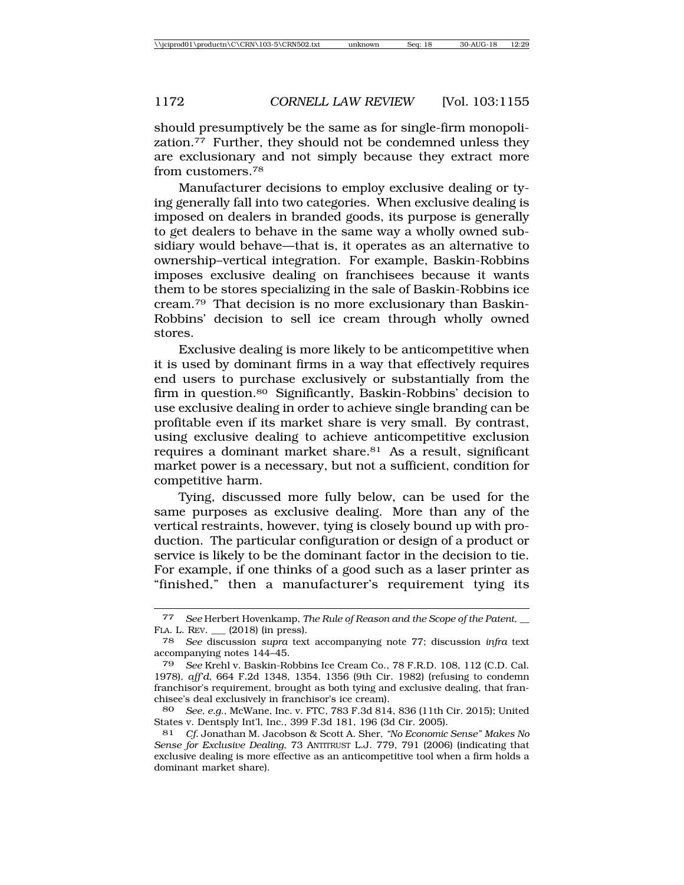should presumptively be the same as for single-firm monopolization.77 Further, they should not be condemned unless they are exclusionary and not simply because they extract more from customers.78

Manufacturer decisions to employ exclusive dealing or tying generally fall into two categories. When exclusive dealing is imposed on dealers in branded goods, its purpose is generally to get dealers to behave in the same way a wholly owned subsidiary would behave—that is, it operates as an alternative to ownership–vertical integration. For example, Baskin-Robbins imposes exclusive dealing on franchisees because it wants them to be stores specializing in the sale of Baskin-Robbins ice cream.79 That decision is no more exclusionary than Baskin-Robbins' decision to sell ice cream through wholly owned stores.

Exclusive dealing is more likely to be anticompetitive when it is used by dominant firms in a way that effectively requires end users to purchase exclusively or substantially from the firm in question.<sup>80</sup> Significantly, Baskin-Robbins' decision to use exclusive dealing in order to achieve single branding can be profitable even if its market share is very small. By contrast, using exclusive dealing to achieve anticompetitive exclusion requires a dominant market share.<sup>81</sup> As a result, significant market power is a necessary, but not a sufficient, condition for competitive harm.

Tying, discussed more fully below, can be used for the same purposes as exclusive dealing. More than any of the vertical restraints, however, tying is closely bound up with production. The particular configuration or design of a product or service is likely to be the dominant factor in the decision to tie. For example, if one thinks of a good such as a laser printer as "finished," then a manufacturer's requirement tying its

<sup>77</sup> *See* Herbert Hovenkamp, *The Rule of Reason and the Scope of the Patent*, \_\_ FLA. L. REV. \_\_\_ (2018) (in press).

<sup>78</sup> *See* discussion *supra* text accompanying note 77; discussion *infra* text accompanying notes 144–45.

<sup>79</sup> *See* Krehl v. Baskin-Robbins Ice Cream Co., 78 F.R.D. 108, 112 (C.D. Cal. 1978), *aff'd*, 664 F.2d 1348, 1354, 1356 (9th Cir. 1982) (refusing to condemn franchisor's requirement, brought as both tying and exclusive dealing, that franchisee's deal exclusively in franchisor's ice cream).

<sup>80</sup> *See, e.g*., McWane, Inc. v. FTC, 783 F.3d 814, 836 (11th Cir. 2015); United States v. Dentsply Int'l, Inc., 399 F.3d 181, 196 (3d Cir. 2005).

<sup>81</sup> *Cf.* Jonathan M. Jacobson & Scott A. Sher, *"No Economic Sense" Makes No Sense for Exclusive Dealing*, 73 ANTITRUST L.J. 779, 791 (2006) (indicating that exclusive dealing is more effective as an anticompetitive tool when a firm holds a dominant market share).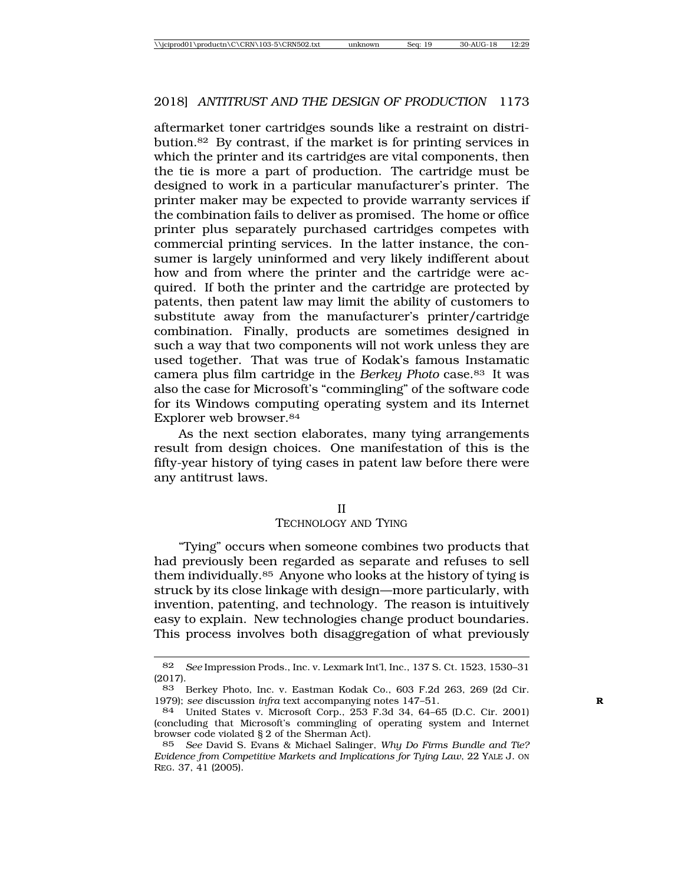aftermarket toner cartridges sounds like a restraint on distribution.82 By contrast, if the market is for printing services in which the printer and its cartridges are vital components, then the tie is more a part of production. The cartridge must be designed to work in a particular manufacturer's printer. The printer maker may be expected to provide warranty services if the combination fails to deliver as promised. The home or office printer plus separately purchased cartridges competes with commercial printing services. In the latter instance, the consumer is largely uninformed and very likely indifferent about how and from where the printer and the cartridge were acquired. If both the printer and the cartridge are protected by patents, then patent law may limit the ability of customers to substitute away from the manufacturer's printer/cartridge combination. Finally, products are sometimes designed in such a way that two components will not work unless they are used together. That was true of Kodak's famous Instamatic camera plus film cartridge in the *Berkey Photo* case.83 It was also the case for Microsoft's "commingling" of the software code for its Windows computing operating system and its Internet Explorer web browser.84

As the next section elaborates, many tying arrangements result from design choices. One manifestation of this is the fifty-year history of tying cases in patent law before there were any antitrust laws.

#### II

#### TECHNOLOGY AND TYING

"Tying" occurs when someone combines two products that had previously been regarded as separate and refuses to sell them individually.85 Anyone who looks at the history of tying is struck by its close linkage with design—more particularly, with invention, patenting, and technology. The reason is intuitively easy to explain. New technologies change product boundaries. This process involves both disaggregation of what previously

<sup>82</sup> *See* Impression Prods., Inc. v. Lexmark Int'l, Inc., 137 S. Ct. 1523, 1530–31 (2017).

<sup>83</sup> Berkey Photo, Inc. v. Eastman Kodak Co., 603 F.2d 263, 269 (2d Cir. 1979); *see* discussion *infra* text accompanying notes 147–51. **R**

<sup>84</sup> United States v. Microsoft Corp., 253 F.3d 34, 64–65 (D.C. Cir. 2001) (concluding that Microsoft's commingling of operating system and Internet browser code violated § 2 of the Sherman Act).

<sup>85</sup> *See* David S. Evans & Michael Salinger, *Why Do Firms Bundle and Tie? Evidence from Competitive Markets and Implications for Tying Law*, 22 YALE J. ON REG. 37, 41 (2005).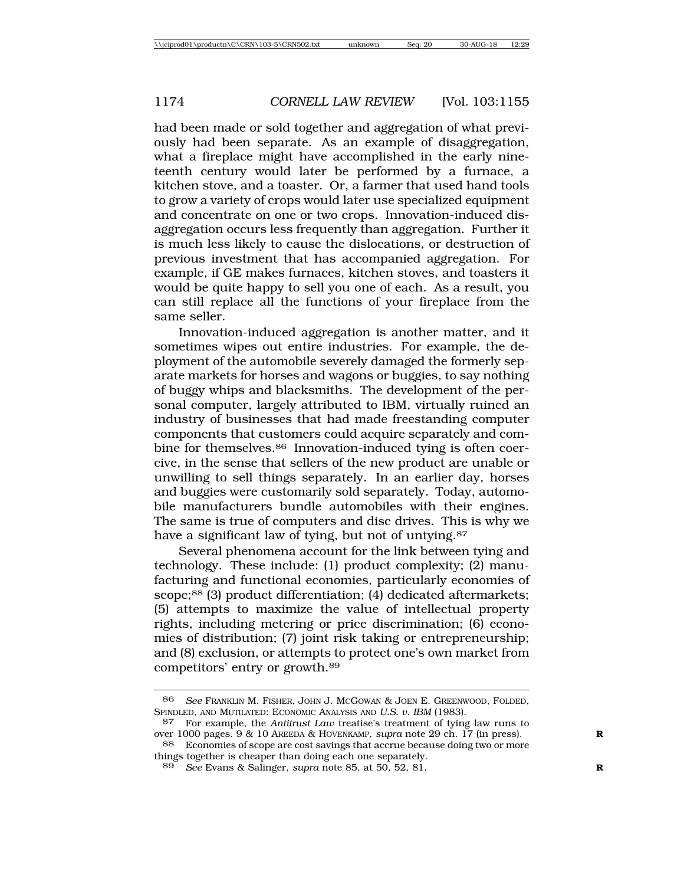had been made or sold together and aggregation of what previously had been separate. As an example of disaggregation, what a fireplace might have accomplished in the early nineteenth century would later be performed by a furnace, a kitchen stove, and a toaster. Or, a farmer that used hand tools to grow a variety of crops would later use specialized equipment and concentrate on one or two crops. Innovation-induced disaggregation occurs less frequently than aggregation. Further it is much less likely to cause the dislocations, or destruction of previous investment that has accompanied aggregation. For example, if GE makes furnaces, kitchen stoves, and toasters it would be quite happy to sell you one of each. As a result, you can still replace all the functions of your fireplace from the same seller.

Innovation-induced aggregation is another matter, and it sometimes wipes out entire industries. For example, the deployment of the automobile severely damaged the formerly separate markets for horses and wagons or buggies, to say nothing of buggy whips and blacksmiths. The development of the personal computer, largely attributed to IBM, virtually ruined an industry of businesses that had made freestanding computer components that customers could acquire separately and combine for themselves.<sup>86</sup> Innovation-induced tying is often coercive, in the sense that sellers of the new product are unable or unwilling to sell things separately. In an earlier day, horses and buggies were customarily sold separately. Today, automobile manufacturers bundle automobiles with their engines. The same is true of computers and disc drives. This is why we have a significant law of tying, but not of untying.<sup>87</sup>

Several phenomena account for the link between tying and technology. These include: (1) product complexity; (2) manufacturing and functional economies, particularly economies of scope;<sup>88</sup> (3) product differentiation; (4) dedicated aftermarkets; (5) attempts to maximize the value of intellectual property rights, including metering or price discrimination; (6) economies of distribution; (7) joint risk taking or entrepreneurship; and (8) exclusion, or attempts to protect one's own market from competitors' entry or growth.89

<sup>86</sup> *See* FRANKLIN M. FISHER, JOHN J. MCGOWAN & JOEN E. GREENWOOD, FOLDED, SPINDLED, AND MUTILATED: ECONOMIC ANALYSIS AND *U.S. v. IBM* (1983).

<sup>87</sup> For example, the *Antitrust Law* treatise's treatment of tying law runs to over 1000 pages. 9 & 10 AREEDA & HOVENKAMP, *supra* note 29 ch. 17 (in press). **R**

<sup>88</sup> Economies of scope are cost savings that accrue because doing two or more things together is cheaper than doing each one separately.

<sup>89</sup> *See* Evans & Salinger, *supra* note 85, at 50, 52, 81. **R**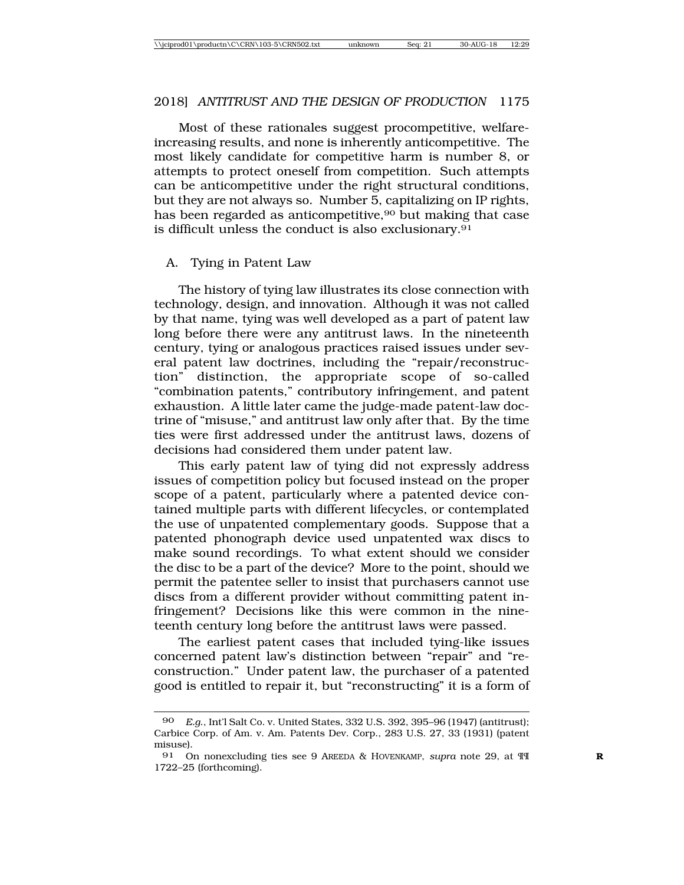#### 2018] *ANTITRUST AND THE DESIGN OF PRODUCTION* 1175

Most of these rationales suggest procompetitive, welfareincreasing results, and none is inherently anticompetitive. The most likely candidate for competitive harm is number 8, or attempts to protect oneself from competition. Such attempts can be anticompetitive under the right structural conditions, but they are not always so. Number 5, capitalizing on IP rights, has been regarded as anticompetitive,  $90$  but making that case is difficult unless the conduct is also exclusionary.<sup>91</sup>

#### A. Tying in Patent Law

The history of tying law illustrates its close connection with technology, design, and innovation. Although it was not called by that name, tying was well developed as a part of patent law long before there were any antitrust laws. In the nineteenth century, tying or analogous practices raised issues under several patent law doctrines, including the "repair/reconstruction" distinction, the appropriate scope of so-called "combination patents," contributory infringement, and patent exhaustion. A little later came the judge-made patent-law doctrine of "misuse," and antitrust law only after that. By the time ties were first addressed under the antitrust laws, dozens of decisions had considered them under patent law.

This early patent law of tying did not expressly address issues of competition policy but focused instead on the proper scope of a patent, particularly where a patented device contained multiple parts with different lifecycles, or contemplated the use of unpatented complementary goods. Suppose that a patented phonograph device used unpatented wax discs to make sound recordings. To what extent should we consider the disc to be a part of the device? More to the point, should we permit the patentee seller to insist that purchasers cannot use discs from a different provider without committing patent infringement? Decisions like this were common in the nineteenth century long before the antitrust laws were passed.

The earliest patent cases that included tying-like issues concerned patent law's distinction between "repair" and "reconstruction." Under patent law, the purchaser of a patented good is entitled to repair it, but "reconstructing" it is a form of

<sup>90</sup> *E.g*., Int'l Salt Co. v. United States, 332 U.S. 392, 395–96 (1947) (antitrust); Carbice Corp. of Am. v. Am. Patents Dev. Corp., 283 U.S. 27, 33 (1931) (patent misuse).

<sup>91</sup> On nonexcluding ties see 9 AREEDA & HOVENKAMP, *supra* note 29, at ¶¶ **R** 1722–25 (forthcoming).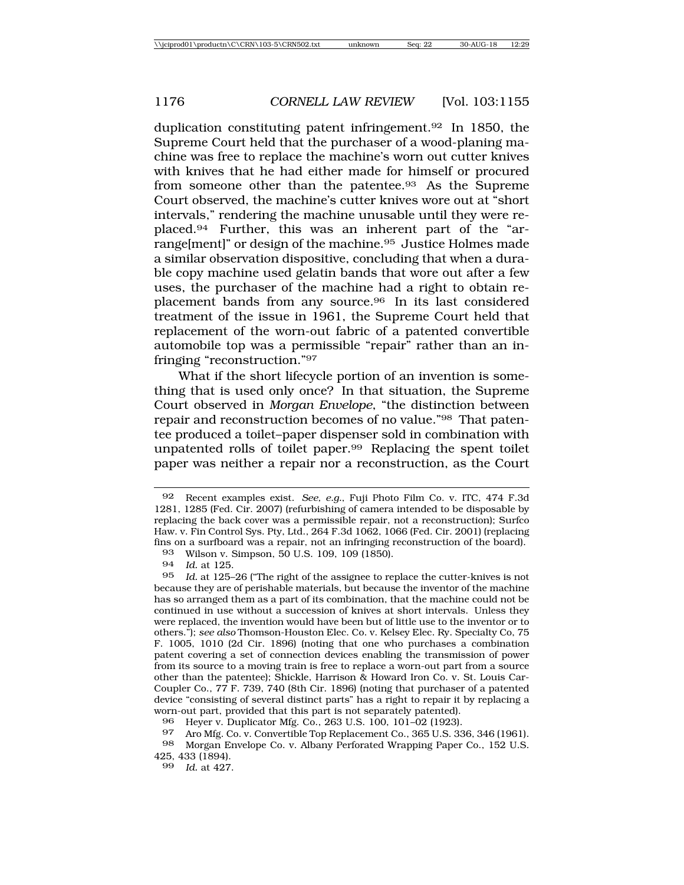duplication constituting patent infringement.92 In 1850, the Supreme Court held that the purchaser of a wood-planing machine was free to replace the machine's worn out cutter knives with knives that he had either made for himself or procured from someone other than the patentee.<sup>93</sup> As the Supreme Court observed, the machine's cutter knives wore out at "short intervals," rendering the machine unusable until they were replaced.94 Further, this was an inherent part of the "arrange[ment]" or design of the machine.95 Justice Holmes made a similar observation dispositive, concluding that when a durable copy machine used gelatin bands that wore out after a few uses, the purchaser of the machine had a right to obtain replacement bands from any source.96 In its last considered treatment of the issue in 1961, the Supreme Court held that replacement of the worn-out fabric of a patented convertible automobile top was a permissible "repair" rather than an infringing "reconstruction."97

What if the short lifecycle portion of an invention is something that is used only once? In that situation, the Supreme Court observed in *Morgan Envelope*, "the distinction between repair and reconstruction becomes of no value."98 That patentee produced a toilet–paper dispenser sold in combination with unpatented rolls of toilet paper.99 Replacing the spent toilet paper was neither a repair nor a reconstruction, as the Court

93 Wilson v. Simpson, 50 U.S. 109, 109 (1850).<br>94 Id. at 125

94 *Id.* at 125.<br>95 *Id* at 125-

<sup>92</sup> Recent examples exist. *See, e.g.*, Fuji Photo Film Co. v. ITC, 474 F.3d 1281, 1285 (Fed. Cir. 2007) (refurbishing of camera intended to be disposable by replacing the back cover was a permissible repair, not a reconstruction); Surfco Haw. v. Fin Control Sys. Pty, Ltd., 264 F.3d 1062, 1066 (Fed. Cir. 2001) (replacing fins on a surfboard was a repair, not an infringing reconstruction of the board).

Id. at 125-26 ("The right of the assignee to replace the cutter-knives is not because they are of perishable materials, but because the inventor of the machine has so arranged them as a part of its combination, that the machine could not be continued in use without a succession of knives at short intervals. Unless they were replaced, the invention would have been but of little use to the inventor or to others."); *see also* Thomson-Houston Elec. Co. v. Kelsey Elec. Ry. Specialty Co, 75 F. 1005, 1010 (2d Cir. 1896) (noting that one who purchases a combination patent covering a set of connection devices enabling the transmission of power from its source to a moving train is free to replace a worn-out part from a source other than the patentee); Shickle, Harrison & Howard Iron Co. v. St. Louis Car-Coupler Co., 77 F. 739, 740 (8th Cir. 1896) (noting that purchaser of a patented device "consisting of several distinct parts" has a right to repair it by replacing a worn-out part, provided that this part is not separately patented).

<sup>96</sup> Heyer v. Duplicator Mfg. Co., 263 U.S. 100, 101–02 (1923).

<sup>97</sup> Aro Mfg. Co. v. Convertible Top Replacement Co., 365 U.S. 336, 346 (1961).

<sup>98</sup> Morgan Envelope Co. v. Albany Perforated Wrapping Paper Co., 152 U.S. 425, 433 (1894).

<sup>99</sup> *Id.* at 427.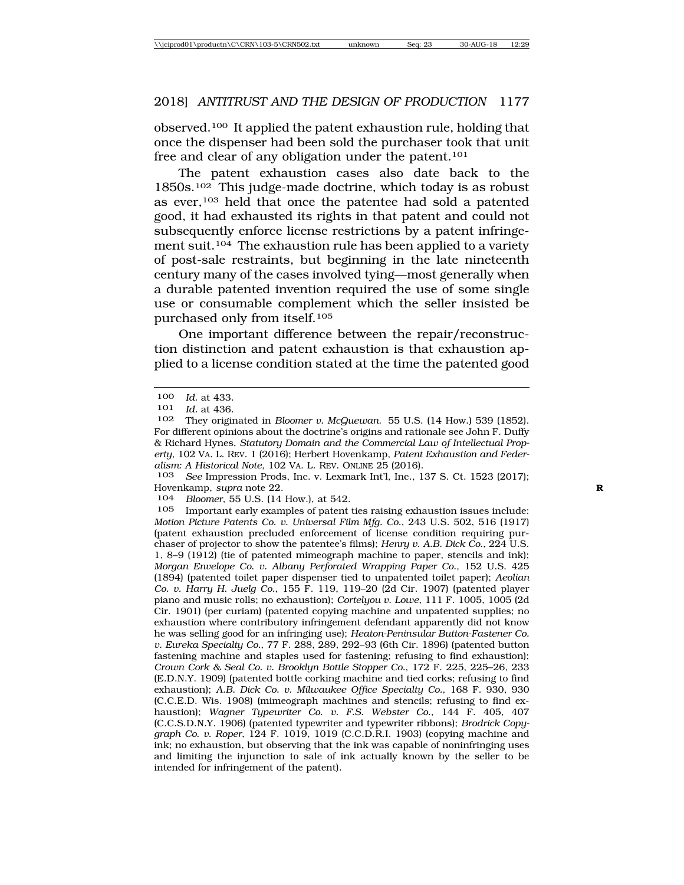observed.100 It applied the patent exhaustion rule, holding that once the dispenser had been sold the purchaser took that unit free and clear of any obligation under the patent.101

The patent exhaustion cases also date back to the  $1850$ s.<sup>102</sup> This judge-made doctrine, which today is as robust as ever,103 held that once the patentee had sold a patented good, it had exhausted its rights in that patent and could not subsequently enforce license restrictions by a patent infringement suit.<sup>104</sup> The exhaustion rule has been applied to a variety of post-sale restraints, but beginning in the late nineteenth century many of the cases involved tying—most generally when a durable patented invention required the use of some single use or consumable complement which the seller insisted be purchased only from itself.105

One important difference between the repair/reconstruction distinction and patent exhaustion is that exhaustion applied to a license condition stated at the time the patented good

103 *See* Impression Prods, Inc. v. Lexmark Int'l, Inc., 137 S. Ct. 1523 (2017); Hovenkamp, *supra* note 22. **R**

104 *Bloomer*, 55 U.S. (14 How.), at 542.

105 Important early examples of patent ties raising exhaustion issues include: *Motion Picture Patents Co. v. Universal Film Mfg. Co.*, 243 U.S. 502, 516 (1917) (patent exhaustion precluded enforcement of license condition requiring purchaser of projector to show the patentee's films); *Henry v. A.B. Dick Co.*, 224 U.S. 1, 8–9 (1912) (tie of patented mimeograph machine to paper, stencils and ink); *Morgan Envelope Co. v. Albany Perforated Wrapping Paper Co.*, 152 U.S. 425 (1894) (patented toilet paper dispenser tied to unpatented toilet paper); *Aeolian Co. v. Harry H. Juelg Co.*, 155 F. 119, 119–20 (2d Cir. 1907) (patented player piano and music rolls; no exhaustion); *Cortelyou v. Lowe*, 111 F. 1005, 1005 (2d Cir. 1901) (per curiam) (patented copying machine and unpatented supplies; no exhaustion where contributory infringement defendant apparently did not know he was selling good for an infringing use); *Heaton-Peninsular Button-Fastener Co. v. Eureka Specialty Co.*, 77 F. 288, 289, 292–93 (6th Cir. 1896) (patented button fastening machine and staples used for fastening; refusing to find exhaustion); *Crown Cork & Seal Co. v. Brooklyn Bottle Stopper Co.*, 172 F. 225, 225–26, 233 (E.D.N.Y. 1909) (patented bottle corking machine and tied corks; refusing to find exhaustion); *A.B. Dick Co. v. Milwaukee Office Specialty Co.*, 168 F. 930, 930 (C.C.E.D. Wis. 1908) (mimeograph machines and stencils; refusing to find exhaustion); *Wagner Typewriter Co. v. F.S. Webster Co.*, 144 F. 405, 407 (C.C.S.D.N.Y. 1906) (patented typewriter and typewriter ribbons); *Brodrick Copygraph Co. v. Roper*, 124 F. 1019, 1019 (C.C.D.R.I. 1903) (copying machine and ink; no exhaustion, but observing that the ink was capable of noninfringing uses and limiting the injunction to sale of ink actually known by the seller to be intended for infringement of the patent).

<sup>100</sup> *Id.* at 433.<br>101 *Id.* at 436.

<sup>101</sup> *Id.* at 436.

<sup>102</sup> They originated in *Bloomer v. McQuewan*. 55 U.S. (14 How.) 539 (1852). For different opinions about the doctrine's origins and rationale see John F. Duffy & Richard Hynes, *Statutory Domain and the Commercial Law of Intellectual Property*, 102 VA. L. REV. 1 (2016); Herbert Hovenkamp, *Patent Exhaustion and Federalism: A Historical Note*, 102 VA. L. REV. ONLINE 25 (2016).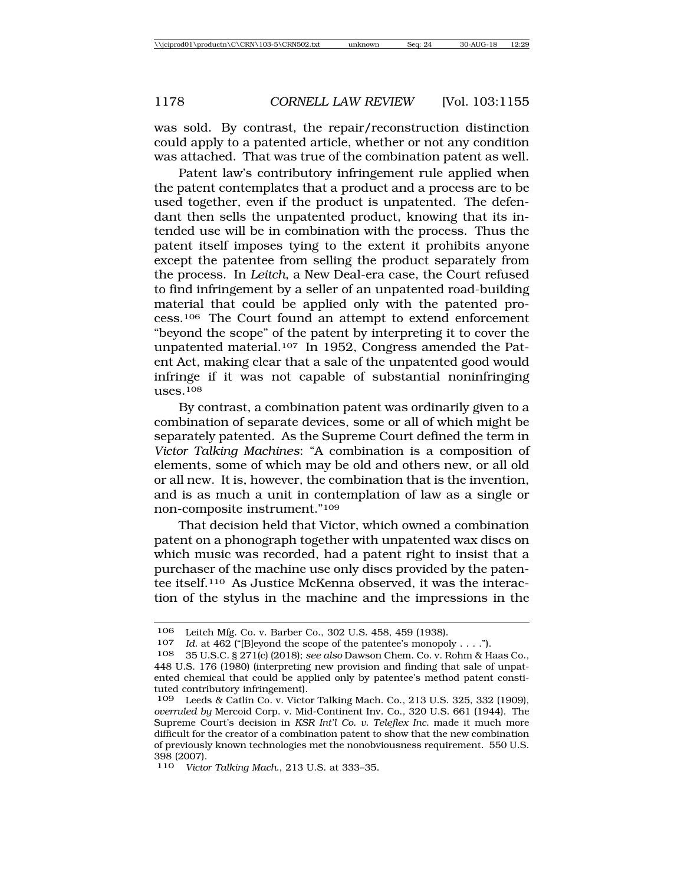was sold. By contrast, the repair/reconstruction distinction could apply to a patented article, whether or not any condition was attached. That was true of the combination patent as well.

Patent law's contributory infringement rule applied when the patent contemplates that a product and a process are to be used together, even if the product is unpatented. The defendant then sells the unpatented product, knowing that its intended use will be in combination with the process. Thus the patent itself imposes tying to the extent it prohibits anyone except the patentee from selling the product separately from the process. In *Leitch*, a New Deal-era case, the Court refused to find infringement by a seller of an unpatented road-building material that could be applied only with the patented process.106 The Court found an attempt to extend enforcement "beyond the scope" of the patent by interpreting it to cover the unpatented material.107 In 1952, Congress amended the Patent Act, making clear that a sale of the unpatented good would infringe if it was not capable of substantial noninfringing uses.108

By contrast, a combination patent was ordinarily given to a combination of separate devices, some or all of which might be separately patented. As the Supreme Court defined the term in *Victor Talking Machines*: "A combination is a composition of elements, some of which may be old and others new, or all old or all new. It is, however, the combination that is the invention, and is as much a unit in contemplation of law as a single or non-composite instrument."109

That decision held that Victor, which owned a combination patent on a phonograph together with unpatented wax discs on which music was recorded, had a patent right to insist that a purchaser of the machine use only discs provided by the patentee itself.110 As Justice McKenna observed, it was the interaction of the stylus in the machine and the impressions in the

<sup>106</sup> Leitch Mfg. Co. v. Barber Co., 302 U.S. 458, 459 (1938).<br>107 *Id.* at 462 ("IBlevond the scope of the patentee's monopology

<sup>107</sup> *Id.* at 462 ("[B]eyond the scope of the patentee's monopoly . . . .").<br>108 35 U.S.C. 8.271(c) (2018): see also Dawson Chem. Co. v. Rohm & H

<sup>108</sup> 35 U.S.C. § 271(c) (2018); *see also* Dawson Chem. Co. v. Rohm & Haas Co., 448 U.S. 176 (1980) (interpreting new provision and finding that sale of unpatented chemical that could be applied only by patentee's method patent constituted contributory infringement).

<sup>109</sup> Leeds & Catlin Co. v. Victor Talking Mach. Co., 213 U.S. 325, 332 (1909), *overruled by* Mercoid Corp. v. Mid-Continent Inv. Co., 320 U.S. 661 (1944). The Supreme Court's decision in *KSR Int'l Co. v. Teleflex Inc.* made it much more difficult for the creator of a combination patent to show that the new combination of previously known technologies met the nonobviousness requirement. 550 U.S. 398 (2007).

<sup>110</sup> *Victor Talking Mach.*, 213 U.S. at 333–35.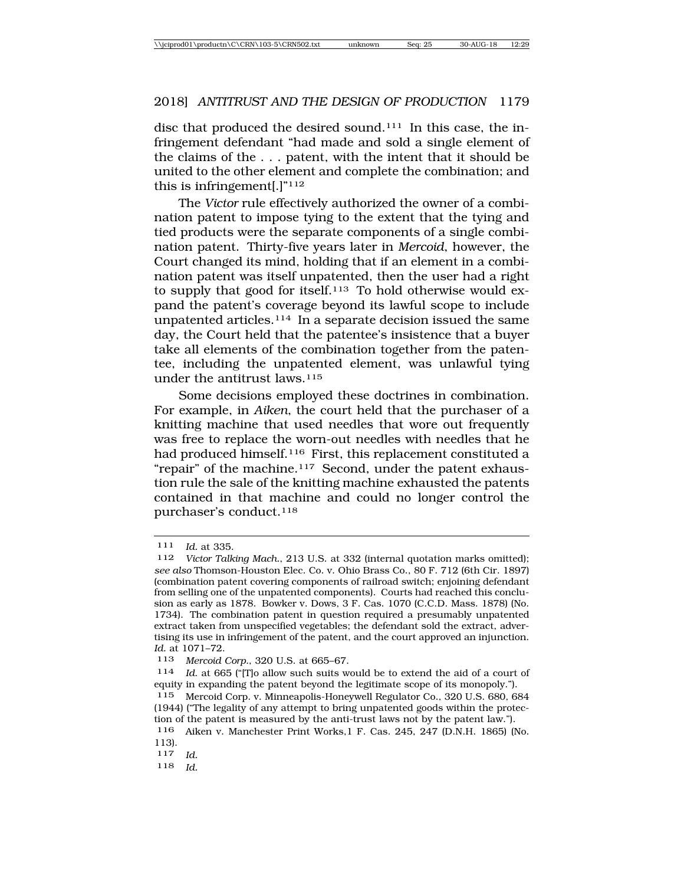disc that produced the desired sound.111 In this case, the infringement defendant "had made and sold a single element of the claims of the . . . patent, with the intent that it should be united to the other element and complete the combination; and this is infringement[.]"<sup>112</sup>

The *Victor* rule effectively authorized the owner of a combination patent to impose tying to the extent that the tying and tied products were the separate components of a single combination patent. Thirty-five years later in *Mercoid*, however, the Court changed its mind, holding that if an element in a combination patent was itself unpatented, then the user had a right to supply that good for itself.<sup>113</sup> To hold otherwise would expand the patent's coverage beyond its lawful scope to include unpatented articles.<sup>114</sup> In a separate decision issued the same day, the Court held that the patentee's insistence that a buyer take all elements of the combination together from the patentee, including the unpatented element, was unlawful tying under the antitrust laws.115

Some decisions employed these doctrines in combination. For example, in *Aiken*, the court held that the purchaser of a knitting machine that used needles that wore out frequently was free to replace the worn-out needles with needles that he had produced himself.<sup>116</sup> First, this replacement constituted a "repair" of the machine.<sup>117</sup> Second, under the patent exhaustion rule the sale of the knitting machine exhausted the patents contained in that machine and could no longer control the purchaser's conduct.<sup>118</sup>

113 *Mercoid Corp.*, 320 U.S. at 665–67.

114 *Id*. at 665 ("[T]o allow such suits would be to extend the aid of a court of equity in expanding the patent beyond the legitimate scope of its monopoly.").

115 Mercoid Corp. v. Minneapolis-Honeywell Regulator Co., 320 U.S. 680, 684 (1944) ("The legality of any attempt to bring unpatented goods within the protection of the patent is measured by the anti-trust laws not by the patent law.").

116 Aiken v. Manchester Print Works,1 F. Cas. 245, 247 (D.N.H. 1865) (No. 113).

<sup>111</sup> *Id.* at 335.

<sup>112</sup> *Victor Talking Mach.*, 213 U.S. at 332 (internal quotation marks omitted); *see also* Thomson-Houston Elec. Co. v. Ohio Brass Co., 80 F. 712 (6th Cir. 1897) (combination patent covering components of railroad switch; enjoining defendant from selling one of the unpatented components). Courts had reached this conclusion as early as 1878. Bowker v. Dows, 3 F. Cas. 1070 (C.C.D. Mass. 1878) (No. 1734). The combination patent in question required a presumably unpatented extract taken from unspecified vegetables; the defendant sold the extract, advertising its use in infringement of the patent, and the court approved an injunction. *Id.* at 1071–72.

<sup>117</sup> *Id.*

<sup>118</sup> *Id.*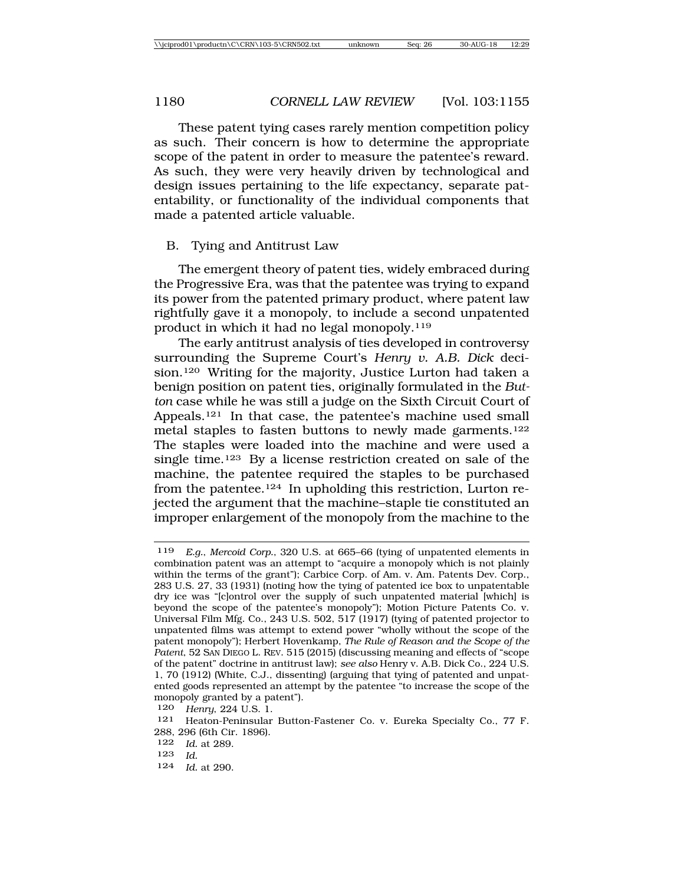These patent tying cases rarely mention competition policy as such. Their concern is how to determine the appropriate scope of the patent in order to measure the patentee's reward. As such, they were very heavily driven by technological and design issues pertaining to the life expectancy, separate patentability, or functionality of the individual components that made a patented article valuable.

#### B. Tying and Antitrust Law

The emergent theory of patent ties, widely embraced during the Progressive Era, was that the patentee was trying to expand its power from the patented primary product, where patent law rightfully gave it a monopoly, to include a second unpatented product in which it had no legal monopoly.119

The early antitrust analysis of ties developed in controversy surrounding the Supreme Court's *Henry v. A.B. Dick* decision.<sup>120</sup> Writing for the majority, Justice Lurton had taken a benign position on patent ties, originally formulated in the *Button* case while he was still a judge on the Sixth Circuit Court of Appeals.121 In that case, the patentee's machine used small metal staples to fasten buttons to newly made garments.<sup>122</sup> The staples were loaded into the machine and were used a single time.123 By a license restriction created on sale of the machine, the patentee required the staples to be purchased from the patentee.124 In upholding this restriction, Lurton rejected the argument that the machine–staple tie constituted an improper enlargement of the monopoly from the machine to the

- 123 *Id.*
- 124 *Id.* at 290.

<sup>119</sup> *E.g.*, *Mercoid Corp.*, 320 U.S. at 665–66 (tying of unpatented elements in combination patent was an attempt to "acquire a monopoly which is not plainly within the terms of the grant"); Carbice Corp. of Am. v. Am. Patents Dev. Corp., 283 U.S. 27, 33 (1931) (noting how the tying of patented ice box to unpatentable dry ice was "[c]ontrol over the supply of such unpatented material [which] is beyond the scope of the patentee's monopoly"); Motion Picture Patents Co. v. Universal Film Mfg. Co., 243 U.S. 502, 517 (1917) (tying of patented projector to unpatented films was attempt to extend power "wholly without the scope of the patent monopoly"); Herbert Hovenkamp, *The Rule of Reason and the Scope of the Patent*, 52 SAN DIEGO L. REV. 515 (2015) (discussing meaning and effects of "scope of the patent" doctrine in antitrust law); *see also* Henry v. A.B. Dick Co., 224 U.S. 1, 70 (1912) (White, C.J., dissenting) (arguing that tying of patented and unpatented goods represented an attempt by the patentee "to increase the scope of the monopoly granted by a patent").

<sup>120</sup> *Henry*, 224 U.S. 1.

<sup>121</sup> Heaton-Peninsular Button-Fastener Co. v. Eureka Specialty Co., 77 F. 288, 296 (6th Cir. 1896).

<sup>122</sup> *Id.* at 289.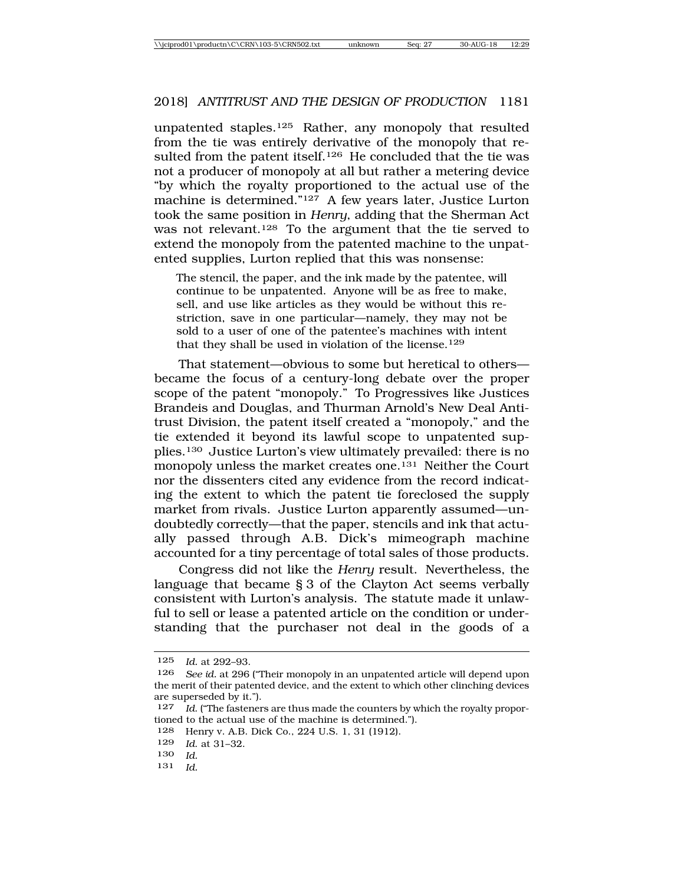unpatented staples.125 Rather, any monopoly that resulted from the tie was entirely derivative of the monopoly that resulted from the patent itself.<sup>126</sup> He concluded that the tie was not a producer of monopoly at all but rather a metering device "by which the royalty proportioned to the actual use of the machine is determined."127 A few years later, Justice Lurton took the same position in *Henry*, adding that the Sherman Act was not relevant.128 To the argument that the tie served to extend the monopoly from the patented machine to the unpatented supplies, Lurton replied that this was nonsense:

The stencil, the paper, and the ink made by the patentee, will continue to be unpatented. Anyone will be as free to make, sell, and use like articles as they would be without this restriction, save in one particular—namely, they may not be sold to a user of one of the patentee's machines with intent that they shall be used in violation of the license.<sup>129</sup>

That statement—obvious to some but heretical to others became the focus of a century-long debate over the proper scope of the patent "monopoly." To Progressives like Justices Brandeis and Douglas, and Thurman Arnold's New Deal Antitrust Division, the patent itself created a "monopoly," and the tie extended it beyond its lawful scope to unpatented supplies.130 Justice Lurton's view ultimately prevailed: there is no monopoly unless the market creates one.131 Neither the Court nor the dissenters cited any evidence from the record indicating the extent to which the patent tie foreclosed the supply market from rivals. Justice Lurton apparently assumed—undoubtedly correctly—that the paper, stencils and ink that actually passed through A.B. Dick's mimeograph machine accounted for a tiny percentage of total sales of those products.

Congress did not like the *Henry* result. Nevertheless, the language that became § 3 of the Clayton Act seems verbally consistent with Lurton's analysis. The statute made it unlawful to sell or lease a patented article on the condition or understanding that the purchaser not deal in the goods of a

<sup>125</sup> *Id.* at 292–93.

<sup>126</sup> *See id.* at 296 ("Their monopoly in an unpatented article will depend upon the merit of their patented device, and the extent to which other clinching devices are superseded by it.").

<sup>127</sup> *Id*. ("The fasteners are thus made the counters by which the royalty proportioned to the actual use of the machine is determined.").

<sup>128</sup> Henry v. A.B. Dick Co., 224 U.S. 1, 31 (1912).

<sup>129</sup> *Id*. at 31–32.

<sup>130</sup> *Id.*

<sup>131</sup> *Id.*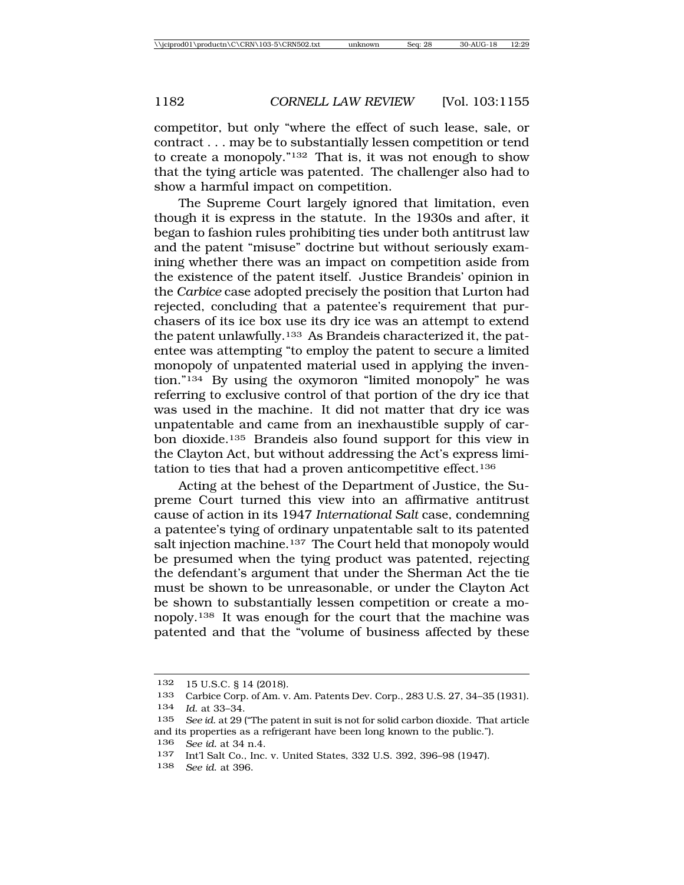competitor, but only "where the effect of such lease, sale, or contract . . . may be to substantially lessen competition or tend to create a monopoly."132 That is, it was not enough to show that the tying article was patented. The challenger also had to show a harmful impact on competition.

The Supreme Court largely ignored that limitation, even though it is express in the statute. In the 1930s and after, it began to fashion rules prohibiting ties under both antitrust law and the patent "misuse" doctrine but without seriously examining whether there was an impact on competition aside from the existence of the patent itself. Justice Brandeis' opinion in the *Carbice* case adopted precisely the position that Lurton had rejected, concluding that a patentee's requirement that purchasers of its ice box use its dry ice was an attempt to extend the patent unlawfully.133 As Brandeis characterized it, the patentee was attempting "to employ the patent to secure a limited monopoly of unpatented material used in applying the invention."134 By using the oxymoron "limited monopoly" he was referring to exclusive control of that portion of the dry ice that was used in the machine. It did not matter that dry ice was unpatentable and came from an inexhaustible supply of carbon dioxide.135 Brandeis also found support for this view in the Clayton Act, but without addressing the Act's express limitation to ties that had a proven anticompetitive effect.136

Acting at the behest of the Department of Justice, the Supreme Court turned this view into an affirmative antitrust cause of action in its 1947 *International Salt* case, condemning a patentee's tying of ordinary unpatentable salt to its patented salt injection machine.<sup>137</sup> The Court held that monopoly would be presumed when the tying product was patented, rejecting the defendant's argument that under the Sherman Act the tie must be shown to be unreasonable, or under the Clayton Act be shown to substantially lessen competition or create a monopoly.138 It was enough for the court that the machine was patented and that the "volume of business affected by these

<sup>132</sup> 15 U.S.C. § 14 (2018).

<sup>133</sup> Carbice Corp. of Am. v. Am. Patents Dev. Corp., 283 U.S. 27, 34–35 (1931). 134 *Id*. at 33–34.

<sup>135</sup> *See id*. at 29 ("The patent in suit is not for solid carbon dioxide. That article and its properties as a refrigerant have been long known to the public.").

<sup>136</sup> *See id.* at 34 n.4.

<sup>137</sup> Int'l Salt Co., Inc. v. United States, 332 U.S. 392, 396–98 (1947).<br>138 See id. at 396

<sup>138</sup> *See id*. at 396.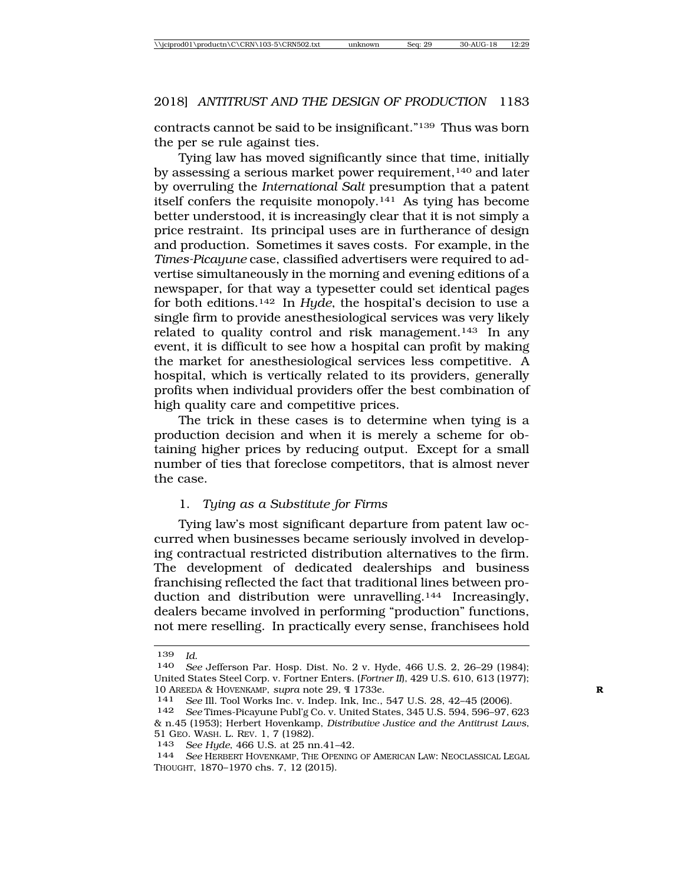contracts cannot be said to be insignificant."139 Thus was born the per se rule against ties.

Tying law has moved significantly since that time, initially by assessing a serious market power requirement,<sup>140</sup> and later by overruling the *International Salt* presumption that a patent itself confers the requisite monopoly.141 As tying has become better understood, it is increasingly clear that it is not simply a price restraint. Its principal uses are in furtherance of design and production. Sometimes it saves costs. For example, in the *Times-Picayune* case, classified advertisers were required to advertise simultaneously in the morning and evening editions of a newspaper, for that way a typesetter could set identical pages for both editions.142 In *Hyde*, the hospital's decision to use a single firm to provide anesthesiological services was very likely related to quality control and risk management.143 In any event, it is difficult to see how a hospital can profit by making the market for anesthesiological services less competitive. A hospital, which is vertically related to its providers, generally profits when individual providers offer the best combination of high quality care and competitive prices.

The trick in these cases is to determine when tying is a production decision and when it is merely a scheme for obtaining higher prices by reducing output. Except for a small number of ties that foreclose competitors, that is almost never the case.

#### 1. *Tying as a Substitute for Firms*

Tying law's most significant departure from patent law occurred when businesses became seriously involved in developing contractual restricted distribution alternatives to the firm. The development of dedicated dealerships and business franchising reflected the fact that traditional lines between production and distribution were unravelling.144 Increasingly, dealers became involved in performing "production" functions, not mere reselling. In practically every sense, franchisees hold

<sup>139</sup> *Id*. <sup>140</sup> *See* Jefferson Par. Hosp. Dist. No. 2 v. Hyde, 466 U.S. 2, 26–29 (1984); United States Steel Corp. v. Fortner Enters. (*Fortner II*), 429 U.S. 610, 613 (1977); 10 AREEDA & HOVENKAMP, *supra* note 29, ¶ 1733e.<br><sup>141</sup> See Ill. Tool Works Inc. v. Inden. Ink. Inc.

<sup>141</sup> *See* Ill. Tool Works Inc. v. Indep. Ink, Inc., 547 U.S. 28, 42–45 (2006).

See Times-Picayune Publ'g Co. v. United States, 345 U.S. 594, 596-97, 623 & n.45 (1953); Herbert Hovenkamp, *Distributive Justice and the Antitrust Laws*, 51 GEO. WASH. L. REV. 1, 7 (1982).

<sup>143</sup> *See Hyde*, 466 U.S. at 25 nn.41–42. <sup>144</sup> *See* HERBERT HOVENKAMP, THE OPENING OF AMERICAN LAW: NEOCLASSICAL LEGAL THOUGHT, 1870–1970 chs. 7, 12 (2015).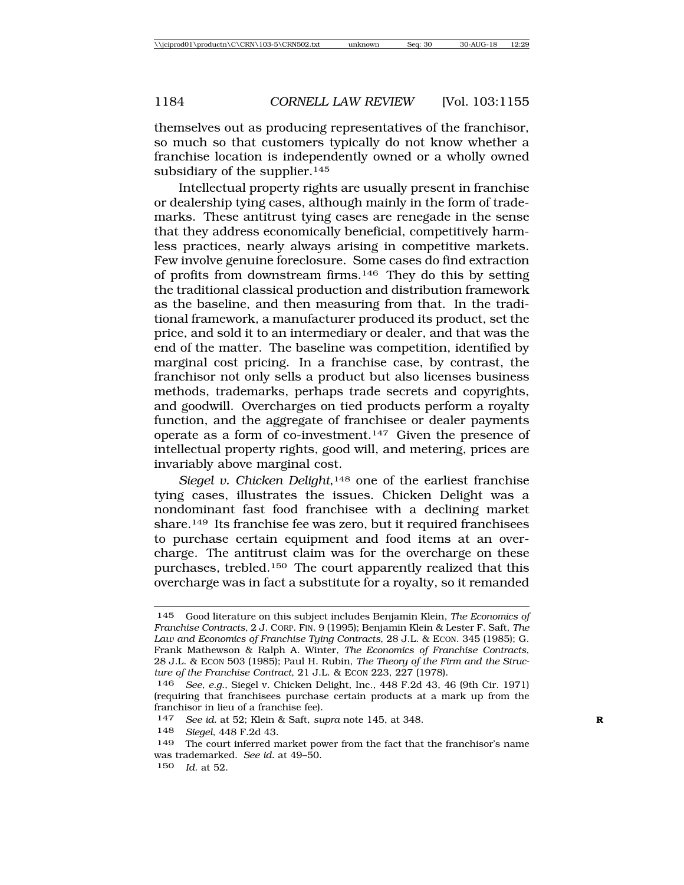themselves out as producing representatives of the franchisor, so much so that customers typically do not know whether a franchise location is independently owned or a wholly owned subsidiary of the supplier.<sup>145</sup>

Intellectual property rights are usually present in franchise or dealership tying cases, although mainly in the form of trademarks. These antitrust tying cases are renegade in the sense that they address economically beneficial, competitively harmless practices, nearly always arising in competitive markets. Few involve genuine foreclosure. Some cases do find extraction of profits from downstream firms.146 They do this by setting the traditional classical production and distribution framework as the baseline, and then measuring from that. In the traditional framework, a manufacturer produced its product, set the price, and sold it to an intermediary or dealer, and that was the end of the matter. The baseline was competition, identified by marginal cost pricing. In a franchise case, by contrast, the franchisor not only sells a product but also licenses business methods, trademarks, perhaps trade secrets and copyrights, and goodwill. Overcharges on tied products perform a royalty function, and the aggregate of franchisee or dealer payments operate as a form of co-investment.147 Given the presence of intellectual property rights, good will, and metering, prices are invariably above marginal cost.

Siegel v. Chicken Delight,<sup>148</sup> one of the earliest franchise tying cases, illustrates the issues. Chicken Delight was a nondominant fast food franchisee with a declining market share.149 Its franchise fee was zero, but it required franchisees to purchase certain equipment and food items at an overcharge. The antitrust claim was for the overcharge on these purchases, trebled.150 The court apparently realized that this overcharge was in fact a substitute for a royalty, so it remanded

<sup>145</sup> Good literature on this subject includes Benjamin Klein, *The Economics of Franchise Contracts*, 2 J. CORP. FIN. 9 (1995); Benjamin Klein & Lester F. Saft, *The Law and Economics of Franchise Tying Contracts*, 28 J.L. & ECON. 345 (1985); G. Frank Mathewson & Ralph A. Winter, *The Economics of Franchise Contracts*, 28 J.L. & ECON 503 (1985); Paul H. Rubin, *The Theory of the Firm and the Structure of the Franchise Contract*, 21 J.L. & ECON 223, 227 (1978).

<sup>146</sup> *See, e.g.*, Siegel v. Chicken Delight, Inc., 448 F.2d 43, 46 (9th Cir. 1971) (requiring that franchisees purchase certain products at a mark up from the franchisor in lieu of a franchise fee).

<sup>147</sup> *See id.* at 52; Klein & Saft, *supra* note 145, at 348. **R**

<sup>148</sup> *Siegel*, 448 F.2d 43.

<sup>149</sup> The court inferred market power from the fact that the franchisor's name was trademarked. *See id.* at 49–50.

<sup>150</sup> *Id*. at 52.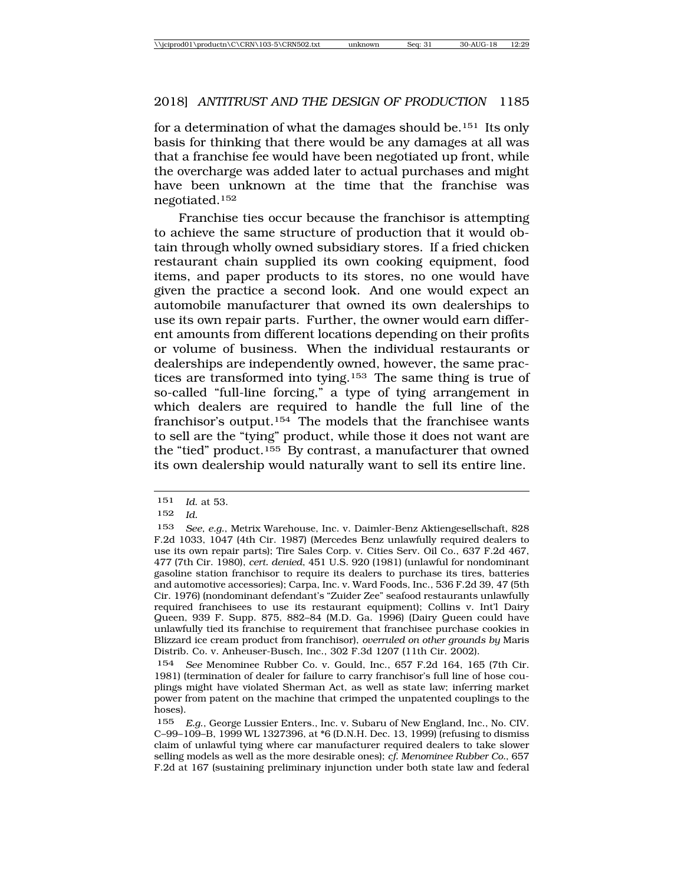for a determination of what the damages should be.151 Its only basis for thinking that there would be any damages at all was that a franchise fee would have been negotiated up front, while the overcharge was added later to actual purchases and might have been unknown at the time that the franchise was negotiated.152

Franchise ties occur because the franchisor is attempting to achieve the same structure of production that it would obtain through wholly owned subsidiary stores. If a fried chicken restaurant chain supplied its own cooking equipment, food items, and paper products to its stores, no one would have given the practice a second look. And one would expect an automobile manufacturer that owned its own dealerships to use its own repair parts. Further, the owner would earn different amounts from different locations depending on their profits or volume of business. When the individual restaurants or dealerships are independently owned, however, the same practices are transformed into tying.153 The same thing is true of so-called "full-line forcing," a type of tying arrangement in which dealers are required to handle the full line of the franchisor's output.154 The models that the franchisee wants to sell are the "tying" product, while those it does not want are the "tied" product.155 By contrast, a manufacturer that owned its own dealership would naturally want to sell its entire line.

<sup>151</sup> *Id*. at 53.

<sup>152</sup> *Id.*

<sup>153</sup> *See, e.g.*, Metrix Warehouse, Inc. v. Daimler-Benz Aktiengesellschaft, 828 F.2d 1033, 1047 (4th Cir. 1987) (Mercedes Benz unlawfully required dealers to use its own repair parts); Tire Sales Corp. v. Cities Serv. Oil Co., 637 F.2d 467, 477 (7th Cir. 1980), *cert. denied*, 451 U.S. 920 (1981) (unlawful for nondominant gasoline station franchisor to require its dealers to purchase its tires, batteries and automotive accessories); Carpa, Inc. v. Ward Foods, Inc., 536 F.2d 39, 47 (5th Cir. 1976) (nondominant defendant's "Zuider Zee" seafood restaurants unlawfully required franchisees to use its restaurant equipment); Collins v. Int'l Dairy Queen, 939 F. Supp. 875, 882–84 (M.D. Ga. 1996) (Dairy Queen could have unlawfully tied its franchise to requirement that franchisee purchase cookies in Blizzard ice cream product from franchisor), *overruled on other grounds by* Maris Distrib. Co. v. Anheuser-Busch, Inc., 302 F.3d 1207 (11th Cir. 2002).

<sup>154</sup> *See* Menominee Rubber Co. v. Gould, Inc., 657 F.2d 164, 165 (7th Cir. 1981) (termination of dealer for failure to carry franchisor's full line of hose couplings might have violated Sherman Act, as well as state law; inferring market power from patent on the machine that crimped the unpatented couplings to the hoses).

<sup>155</sup> *E.g*., George Lussier Enters., Inc. v. Subaru of New England, Inc., No. CIV. C–99–109–B, 1999 WL 1327396, at \*6 (D.N.H. Dec. 13, 1999) (refusing to dismiss claim of unlawful tying where car manufacturer required dealers to take slower selling models as well as the more desirable ones); *cf. Menominee Rubber Co.*, 657 F.2d at 167 (sustaining preliminary injunction under both state law and federal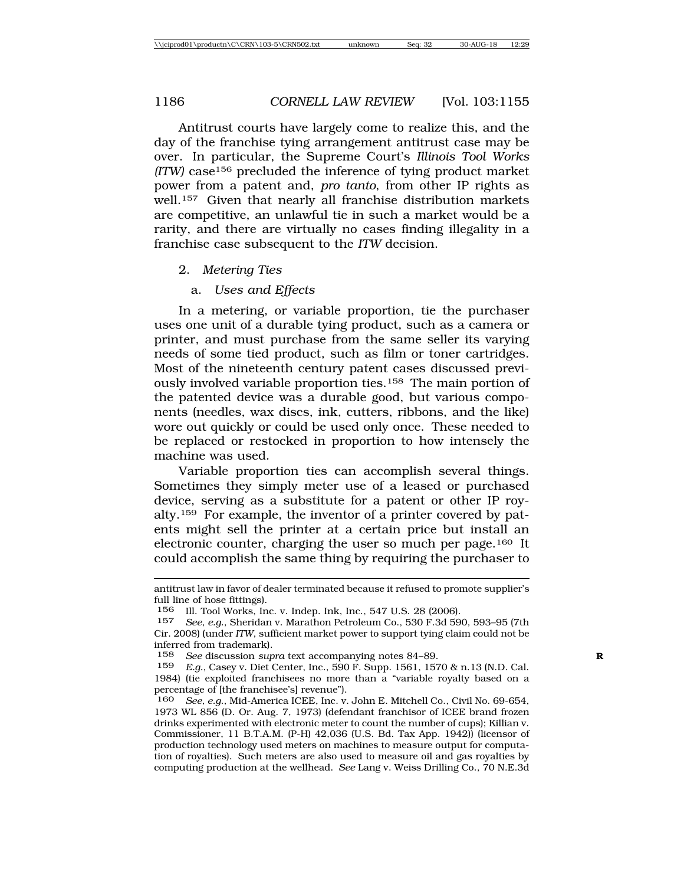Antitrust courts have largely come to realize this, and the day of the franchise tying arrangement antitrust case may be over. In particular, the Supreme Court's *Illinois Tool Works (ITW)* case156 precluded the inference of tying product market power from a patent and, *pro tanto*, from other IP rights as well.157 Given that nearly all franchise distribution markets are competitive, an unlawful tie in such a market would be a rarity, and there are virtually no cases finding illegality in a franchise case subsequent to the *ITW* decision.

#### 2. *Metering Ties*

#### a. *Uses and Effects*

In a metering, or variable proportion, tie the purchaser uses one unit of a durable tying product, such as a camera or printer, and must purchase from the same seller its varying needs of some tied product, such as film or toner cartridges. Most of the nineteenth century patent cases discussed previously involved variable proportion ties.158 The main portion of the patented device was a durable good, but various components (needles, wax discs, ink, cutters, ribbons, and the like) wore out quickly or could be used only once. These needed to be replaced or restocked in proportion to how intensely the machine was used.

Variable proportion ties can accomplish several things. Sometimes they simply meter use of a leased or purchased device, serving as a substitute for a patent or other IP royalty.159 For example, the inventor of a printer covered by patents might sell the printer at a certain price but install an electronic counter, charging the user so much per page.160 It could accomplish the same thing by requiring the purchaser to

antitrust law in favor of dealer terminated because it refused to promote supplier's full line of hose fittings).

<sup>156</sup> Ill. Tool Works, Inc. v. Indep. Ink, Inc., 547 U.S. 28 (2006).

<sup>157</sup> *See, e.g*., Sheridan v. Marathon Petroleum Co., 530 F.3d 590, 593–95 (7th Cir. 2008) (under *ITW*, sufficient market power to support tying claim could not be inferred from trademark).

<sup>158</sup> *See* discussion *supra* text accompanying notes 84–89. **R**

<sup>159</sup> *E.g.*, Casey v. Diet Center, Inc., 590 F. Supp. 1561, 1570 & n.13 (N.D. Cal. 1984) (tie exploited franchisees no more than a "variable royalty based on a percentage of [the franchisee's] revenue").

<sup>160</sup> *See, e.g*., Mid-America ICEE, Inc. v. John E. Mitchell Co., Civil No. 69-654, 1973 WL 856 (D. Or. Aug. 7, 1973) (defendant franchisor of ICEE brand frozen drinks experimented with electronic meter to count the number of cups); Killian v. Commissioner, 11 B.T.A.M. (P-H) 42,036 (U.S. Bd. Tax App. 1942)) (licensor of production technology used meters on machines to measure output for computation of royalties). Such meters are also used to measure oil and gas royalties by computing production at the wellhead. *See* Lang v. Weiss Drilling Co., 70 N.E.3d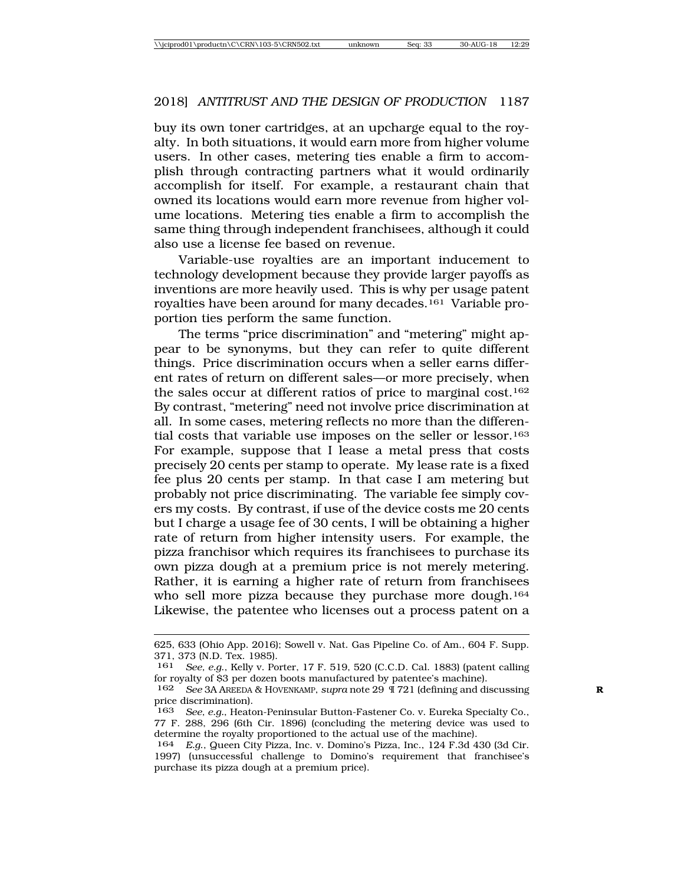buy its own toner cartridges, at an upcharge equal to the royalty. In both situations, it would earn more from higher volume users. In other cases, metering ties enable a firm to accomplish through contracting partners what it would ordinarily accomplish for itself. For example, a restaurant chain that owned its locations would earn more revenue from higher volume locations. Metering ties enable a firm to accomplish the same thing through independent franchisees, although it could also use a license fee based on revenue.

Variable-use royalties are an important inducement to technology development because they provide larger payoffs as inventions are more heavily used. This is why per usage patent royalties have been around for many decades.161 Variable proportion ties perform the same function.

The terms "price discrimination" and "metering" might appear to be synonyms, but they can refer to quite different things. Price discrimination occurs when a seller earns different rates of return on different sales—or more precisely, when the sales occur at different ratios of price to marginal cost.162 By contrast, "metering" need not involve price discrimination at all. In some cases, metering reflects no more than the differential costs that variable use imposes on the seller or lessor.163 For example, suppose that I lease a metal press that costs precisely 20 cents per stamp to operate. My lease rate is a fixed fee plus 20 cents per stamp. In that case I am metering but probably not price discriminating. The variable fee simply covers my costs. By contrast, if use of the device costs me 20 cents but I charge a usage fee of 30 cents, I will be obtaining a higher rate of return from higher intensity users. For example, the pizza franchisor which requires its franchisees to purchase its own pizza dough at a premium price is not merely metering. Rather, it is earning a higher rate of return from franchisees who sell more pizza because they purchase more dough.<sup>164</sup> Likewise, the patentee who licenses out a process patent on a

<sup>625, 633 (</sup>Ohio App. 2016); Sowell v. Nat. Gas Pipeline Co. of Am., 604 F. Supp. 371, 373 (N.D. Tex. 1985).<br>161 *See en* Kelly v Po

See, e.g., Kelly v. Porter, 17 F. 519, 520 (C.C.D. Cal. 1883) (patent calling for royalty of \$3 per dozen boots manufactured by patentee's machine).

<sup>162</sup> *See* 3A AREEDA & HOVENKAMP, *supra* note 29 ¶ 721 (defining and discussing **R** price discrimination).

<sup>163</sup> *See, e.g.*, Heaton-Peninsular Button-Fastener Co. v. Eureka Specialty Co., 77 F. 288, 296 (6th Cir. 1896) (concluding the metering device was used to determine the royalty proportioned to the actual use of the machine).

<sup>164</sup> *E.g*., Queen City Pizza, Inc. v. Domino's Pizza, Inc., 124 F.3d 430 (3d Cir. 1997) (unsuccessful challenge to Domino's requirement that franchisee's purchase its pizza dough at a premium price).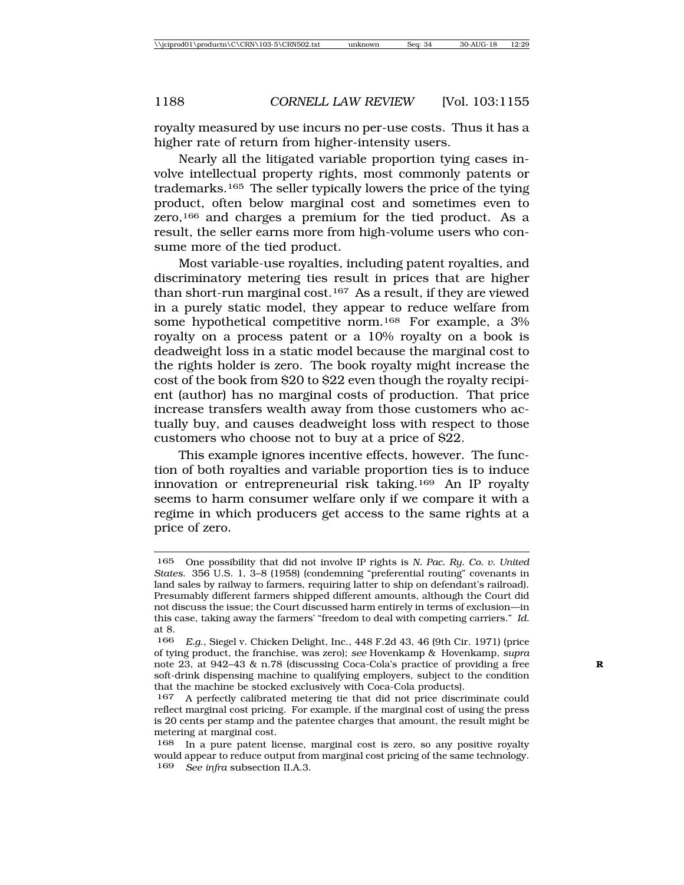royalty measured by use incurs no per-use costs. Thus it has a higher rate of return from higher-intensity users.

Nearly all the litigated variable proportion tying cases involve intellectual property rights, most commonly patents or trademarks.165 The seller typically lowers the price of the tying product, often below marginal cost and sometimes even to zero,166 and charges a premium for the tied product. As a result, the seller earns more from high-volume users who consume more of the tied product.

Most variable-use royalties, including patent royalties, and discriminatory metering ties result in prices that are higher than short-run marginal cost.167 As a result, if they are viewed in a purely static model, they appear to reduce welfare from some hypothetical competitive norm.168 For example, a 3% royalty on a process patent or a 10% royalty on a book is deadweight loss in a static model because the marginal cost to the rights holder is zero. The book royalty might increase the cost of the book from \$20 to \$22 even though the royalty recipient (author) has no marginal costs of production. That price increase transfers wealth away from those customers who actually buy, and causes deadweight loss with respect to those customers who choose not to buy at a price of \$22.

This example ignores incentive effects, however. The function of both royalties and variable proportion ties is to induce innovation or entrepreneurial risk taking.169 An IP royalty seems to harm consumer welfare only if we compare it with a regime in which producers get access to the same rights at a price of zero.

<sup>165</sup> One possibility that did not involve IP rights is *N. Pac. Ry. Co. v. United States*. 356 U.S. 1, 3–8 (1958) (condemning "preferential routing" covenants in land sales by railway to farmers, requiring latter to ship on defendant's railroad). Presumably different farmers shipped different amounts, although the Court did not discuss the issue; the Court discussed harm entirely in terms of exclusion—in this case, taking away the farmers' "freedom to deal with competing carriers." *Id.* at 8.

<sup>166</sup> *E.g*., Siegel v. Chicken Delight, Inc., 448 F.2d 43, 46 (9th Cir. 1971) (price of tying product, the franchise, was zero); *see* Hovenkamp & Hovenkamp, *supra* note 23, at 942–43 & n.78 (discussing Coca-Cola's practice of providing a free **R** soft-drink dispensing machine to qualifying employers, subject to the condition that the machine be stocked exclusively with Coca-Cola products).

<sup>167</sup> A perfectly calibrated metering tie that did not price discriminate could reflect marginal cost pricing. For example, if the marginal cost of using the press is 20 cents per stamp and the patentee charges that amount, the result might be metering at marginal cost.

<sup>168</sup> In a pure patent license, marginal cost is zero, so any positive royalty would appear to reduce output from marginal cost pricing of the same technology. 169 *See infra* subsection II.A.3.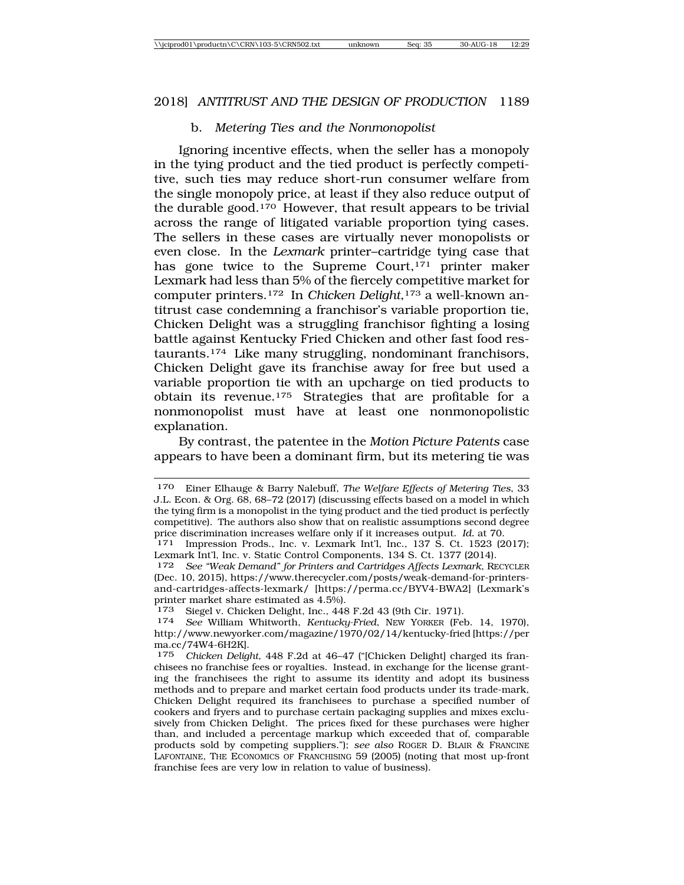#### b. *Metering Ties and the Nonmonopolist*

Ignoring incentive effects, when the seller has a monopoly in the tying product and the tied product is perfectly competitive, such ties may reduce short-run consumer welfare from the single monopoly price, at least if they also reduce output of the durable good.170 However, that result appears to be trivial across the range of litigated variable proportion tying cases. The sellers in these cases are virtually never monopolists or even close. In the *Lexmark* printer–cartridge tying case that has gone twice to the Supreme Court,<sup>171</sup> printer maker Lexmark had less than 5% of the fiercely competitive market for computer printers.172 In *Chicken Delight*,173 a well-known antitrust case condemning a franchisor's variable proportion tie, Chicken Delight was a struggling franchisor fighting a losing battle against Kentucky Fried Chicken and other fast food restaurants.174 Like many struggling, nondominant franchisors, Chicken Delight gave its franchise away for free but used a variable proportion tie with an upcharge on tied products to obtain its revenue.175 Strategies that are profitable for a nonmonopolist must have at least one nonmonopolistic explanation.

By contrast, the patentee in the *Motion Picture Patents* case appears to have been a dominant firm, but its metering tie was

<sup>170</sup> Einer Elhauge & Barry Nalebuff, *The Welfare Effects of Metering Ties*, 33 J.L. Econ. & Org. 68, 68–72 (2017) (discussing effects based on a model in which the tying firm is a monopolist in the tying product and the tied product is perfectly competitive). The authors also show that on realistic assumptions second degree price discrimination increases welfare only if it increases output. Id. at 70.

<sup>&</sup>lt;sup>171</sup> Impression Prods., Inc. v. Lexmark Int'l, Inc., 137 S. Ct. 1523 (2017); Lexmark Int'l, Inc. v. Static Control Components, 134 S. Ct. 1377 (2014).

<sup>172</sup> *See "Weak Demand" for Printers and Cartridges Affects Lexmark*, RECYCLER (Dec. 10, 2015), https://www.therecycler.com/posts/weak-demand-for-printersand-cartridges-affects-lexmark/ [https://perma.cc/BYV4-BWA2] (Lexmark's printer market share estimated as 4.5%).<br><sup>173</sup> Siegel v. Chicken Delight, Inc., 448 F.2d 43 (9th Cir. 1971).

<sup>174</sup> See William Whitworth, *Kentucky-Fried*, NEW YORKER (Feb. 14, 1970), http://www.newyorker.com/magazine/1970/02/14/kentucky-fried [https://per ma.cc/74W4-6H2K].

<sup>175</sup> *Chicken Delight*, 448 F.2d at 46–47 ("[Chicken Delight] charged its franchisees no franchise fees or royalties. Instead, in exchange for the license granting the franchisees the right to assume its identity and adopt its business methods and to prepare and market certain food products under its trade-mark, Chicken Delight required its franchisees to purchase a specified number of cookers and fryers and to purchase certain packaging supplies and mixes exclusively from Chicken Delight. The prices fixed for these purchases were higher than, and included a percentage markup which exceeded that of, comparable products sold by competing suppliers."); *see also* ROGER D. BLAIR & FRANCINE LAFONTAINE, THE ECONOMICS OF FRANCHISING 59 (2005) (noting that most up-front franchise fees are very low in relation to value of business).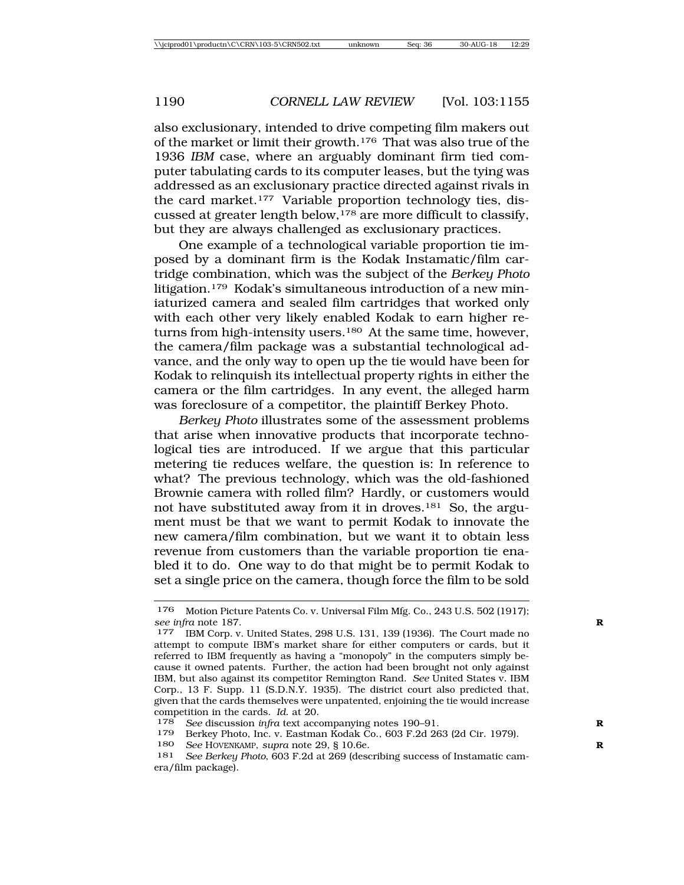also exclusionary, intended to drive competing film makers out of the market or limit their growth.176 That was also true of the 1936 *IBM* case, where an arguably dominant firm tied computer tabulating cards to its computer leases, but the tying was addressed as an exclusionary practice directed against rivals in the card market.177 Variable proportion technology ties, discussed at greater length below,178 are more difficult to classify, but they are always challenged as exclusionary practices.

One example of a technological variable proportion tie imposed by a dominant firm is the Kodak Instamatic/film cartridge combination, which was the subject of the *Berkey Photo* litigation.<sup>179</sup> Kodak's simultaneous introduction of a new miniaturized camera and sealed film cartridges that worked only with each other very likely enabled Kodak to earn higher returns from high-intensity users.<sup>180</sup> At the same time, however, the camera/film package was a substantial technological advance, and the only way to open up the tie would have been for Kodak to relinquish its intellectual property rights in either the camera or the film cartridges. In any event, the alleged harm was foreclosure of a competitor, the plaintiff Berkey Photo.

*Berkey Photo* illustrates some of the assessment problems that arise when innovative products that incorporate technological ties are introduced. If we argue that this particular metering tie reduces welfare, the question is: In reference to what? The previous technology, which was the old-fashioned Brownie camera with rolled film? Hardly, or customers would not have substituted away from it in droves.181 So, the argument must be that we want to permit Kodak to innovate the new camera/film combination, but we want it to obtain less revenue from customers than the variable proportion tie enabled it to do. One way to do that might be to permit Kodak to set a single price on the camera, though force the film to be sold

<sup>176</sup> Motion Picture Patents Co. v. Universal Film Mfg. Co., 243 U.S. 502 (1917); *see infra* note 187. **R**

<sup>177</sup> IBM Corp. v. United States, 298 U.S. 131, 139 (1936). The Court made no attempt to compute IBM's market share for either computers or cards, but it referred to IBM frequently as having a "monopoly" in the computers simply because it owned patents. Further, the action had been brought not only against IBM, but also against its competitor Remington Rand. *See* United States v. IBM Corp., 13 F. Supp. 11 (S.D.N.Y. 1935). The district court also predicted that, given that the cards themselves were unpatented, enjoining the tie would increase competition in the cards. *Id*. at 20.

<sup>178</sup> *See* discussion *infra* text accompanying notes 190–91. **R**

Berkey Photo, Inc. v. Eastman Kodak Co., 603 F.2d 263 (2d Cir. 1979).

<sup>180</sup> *See* HOVENKAMP, *supra* note 29, § 10.6e. **R**

<sup>181</sup> *See Berkey Photo*, 603 F.2d at 269 (describing success of Instamatic camera/film package).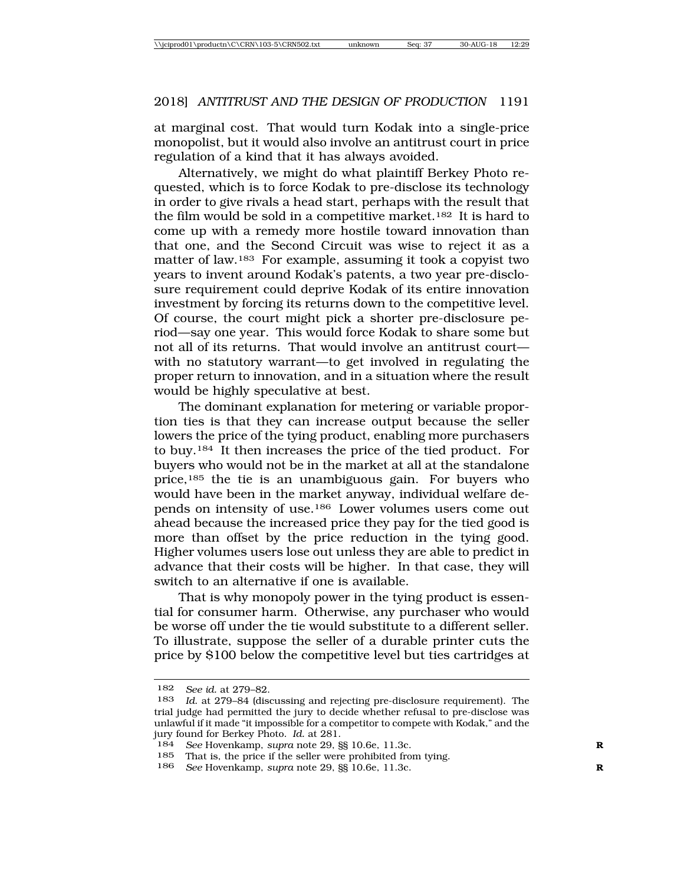at marginal cost. That would turn Kodak into a single-price monopolist, but it would also involve an antitrust court in price regulation of a kind that it has always avoided.

Alternatively, we might do what plaintiff Berkey Photo requested, which is to force Kodak to pre-disclose its technology in order to give rivals a head start, perhaps with the result that the film would be sold in a competitive market.182 It is hard to come up with a remedy more hostile toward innovation than that one, and the Second Circuit was wise to reject it as a matter of law.183 For example, assuming it took a copyist two years to invent around Kodak's patents, a two year pre-disclosure requirement could deprive Kodak of its entire innovation investment by forcing its returns down to the competitive level. Of course, the court might pick a shorter pre-disclosure period—say one year. This would force Kodak to share some but not all of its returns. That would involve an antitrust court with no statutory warrant—to get involved in regulating the proper return to innovation, and in a situation where the result would be highly speculative at best.

The dominant explanation for metering or variable proportion ties is that they can increase output because the seller lowers the price of the tying product, enabling more purchasers to buy.184 It then increases the price of the tied product. For buyers who would not be in the market at all at the standalone price,185 the tie is an unambiguous gain. For buyers who would have been in the market anyway, individual welfare depends on intensity of use.186 Lower volumes users come out ahead because the increased price they pay for the tied good is more than offset by the price reduction in the tying good. Higher volumes users lose out unless they are able to predict in advance that their costs will be higher. In that case, they will switch to an alternative if one is available.

That is why monopoly power in the tying product is essential for consumer harm. Otherwise, any purchaser who would be worse off under the tie would substitute to a different seller. To illustrate, suppose the seller of a durable printer cuts the price by \$100 below the competitive level but ties cartridges at

<sup>182</sup> *See id.* at 279–82.

Id. at 279-84 (discussing and rejecting pre-disclosure requirement). The trial judge had permitted the jury to decide whether refusal to pre-disclose was unlawful if it made "it impossible for a competitor to compete with Kodak," and the jury found for Berkey Photo. *Id.* at 281.

<sup>184</sup> *See* Hovenkamp, *supra* note 29, §§ 10.6e, 11.3c. **R**

<sup>185</sup> That is, the price if the seller were prohibited from tying.

<sup>186</sup> *See* Hovenkamp, *supra* note 29, §§ 10.6e, 11.3c. **R**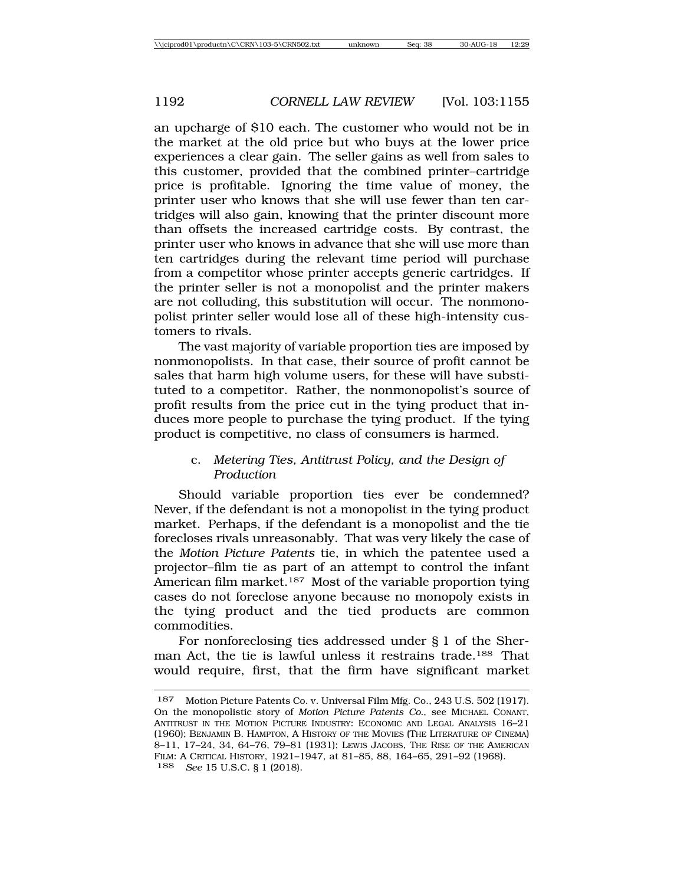an upcharge of \$10 each. The customer who would not be in the market at the old price but who buys at the lower price experiences a clear gain. The seller gains as well from sales to this customer, provided that the combined printer–cartridge price is profitable. Ignoring the time value of money, the printer user who knows that she will use fewer than ten cartridges will also gain, knowing that the printer discount more than offsets the increased cartridge costs. By contrast, the printer user who knows in advance that she will use more than ten cartridges during the relevant time period will purchase from a competitor whose printer accepts generic cartridges. If the printer seller is not a monopolist and the printer makers are not colluding, this substitution will occur. The nonmonopolist printer seller would lose all of these high-intensity customers to rivals.

The vast majority of variable proportion ties are imposed by nonmonopolists. In that case, their source of profit cannot be sales that harm high volume users, for these will have substituted to a competitor. Rather, the nonmonopolist's source of profit results from the price cut in the tying product that induces more people to purchase the tying product. If the tying product is competitive, no class of consumers is harmed.

#### c. *Metering Ties, Antitrust Policy, and the Design of Production*

Should variable proportion ties ever be condemned? Never, if the defendant is not a monopolist in the tying product market. Perhaps, if the defendant is a monopolist and the tie forecloses rivals unreasonably. That was very likely the case of the *Motion Picture Patents* tie, in which the patentee used a projector–film tie as part of an attempt to control the infant American film market.<sup>187</sup> Most of the variable proportion tying cases do not foreclose anyone because no monopoly exists in the tying product and the tied products are common commodities.

For nonforeclosing ties addressed under § 1 of the Sherman Act, the tie is lawful unless it restrains trade.188 That would require, first, that the firm have significant market

<sup>187</sup> Motion Picture Patents Co. v. Universal Film Mfg. Co., 243 U.S. 502 (1917). On the monopolistic story of *Motion Picture Patents Co.*, see MICHAEL CONANT, ANTITRUST IN THE MOTION PICTURE INDUSTRY: ECONOMIC AND LEGAL ANALYSIS 16–21 (1960); BENJAMIN B. HAMPTON, A HISTORY OF THE MOVIES (THE LITERATURE OF CINEMA) 8–11, 17–24, 34, 64–76, 79–81 (1931); LEWIS JACOBS, THE RISE OF THE AMERICAN FILM: A CRITICAL HISTORY, 1921–1947, at 81–85, 88, 164–65, 291–92 (1968). 188 *See* 15 U.S.C. § 1 (2018).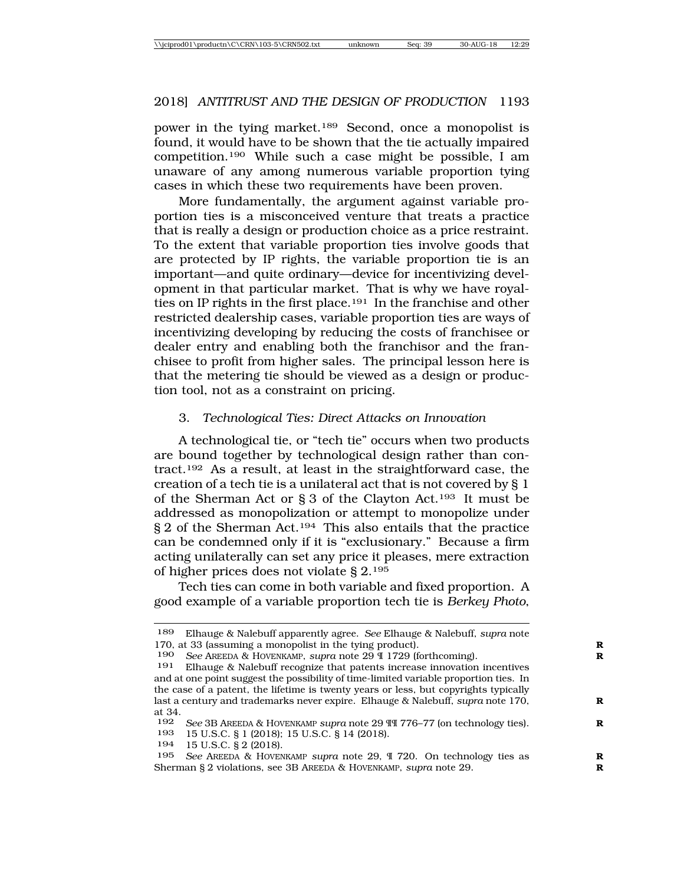power in the tying market.189 Second, once a monopolist is found, it would have to be shown that the tie actually impaired competition.190 While such a case might be possible, I am unaware of any among numerous variable proportion tying cases in which these two requirements have been proven.

More fundamentally, the argument against variable proportion ties is a misconceived venture that treats a practice that is really a design or production choice as a price restraint. To the extent that variable proportion ties involve goods that are protected by IP rights, the variable proportion tie is an important—and quite ordinary—device for incentivizing development in that particular market. That is why we have royalties on IP rights in the first place.191 In the franchise and other restricted dealership cases, variable proportion ties are ways of incentivizing developing by reducing the costs of franchisee or dealer entry and enabling both the franchisor and the franchisee to profit from higher sales. The principal lesson here is that the metering tie should be viewed as a design or production tool, not as a constraint on pricing.

#### 3. *Technological Ties: Direct Attacks on Innovation*

A technological tie, or "tech tie" occurs when two products are bound together by technological design rather than contract.192 As a result, at least in the straightforward case, the creation of a tech tie is a unilateral act that is not covered by § 1 of the Sherman Act or § 3 of the Clayton Act.193 It must be addressed as monopolization or attempt to monopolize under § 2 of the Sherman Act.194 This also entails that the practice can be condemned only if it is "exclusionary." Because a firm acting unilaterally can set any price it pleases, mere extraction of higher prices does not violate § 2.195

Tech ties can come in both variable and fixed proportion. A good example of a variable proportion tech tie is *Berkey Photo*,

193 15 U.S.C. § 1 (2018); 15 U.S.C. § 14 (2018).

194 15 U.S.C. § 2 (2018).

<sup>189</sup> Elhauge & Nalebuff apparently agree. *See* Elhauge & Nalebuff, *supra* note 170, at 33 (assuming a monopolist in the tying product). **R**

<sup>190</sup> *See* AREEDA & HOVENKAMP, *supra* note 29 ¶ 1729 (forthcoming). **R**

Elhauge & Nalebuff recognize that patents increase innovation incentives and at one point suggest the possibility of time-limited variable proportion ties. In the case of a patent, the lifetime is twenty years or less, but copyrights typically last a century and trademarks never expire. Elhauge & Nalebuff, *supra* note 170, **R** at 34.

<sup>192</sup> *See* 3B AREEDA & HOVENKAMP *supra* note 29 ¶¶ 776–77 (on technology ties).<br>193 **15 U S C 8 1 (2018)** 15 U S C 8 14 (2018)

<sup>195</sup> *See* AREEDA & HOVENKAMP *supra* note 29, ¶ 720. On technology ties as **R** Sherman § 2 violations, see 3B AREEDA & HOVENKAMP, *supra* note 29. **R**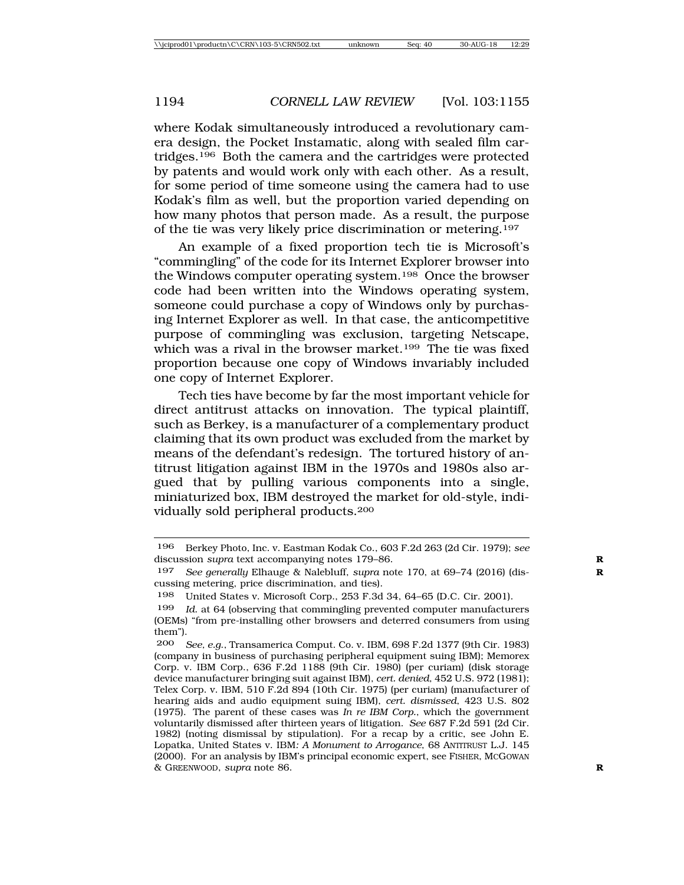where Kodak simultaneously introduced a revolutionary camera design, the Pocket Instamatic, along with sealed film cartridges.196 Both the camera and the cartridges were protected by patents and would work only with each other. As a result, for some period of time someone using the camera had to use Kodak's film as well, but the proportion varied depending on how many photos that person made. As a result, the purpose of the tie was very likely price discrimination or metering.197

An example of a fixed proportion tech tie is Microsoft's "commingling" of the code for its Internet Explorer browser into the Windows computer operating system.<sup>198</sup> Once the browser code had been written into the Windows operating system, someone could purchase a copy of Windows only by purchasing Internet Explorer as well. In that case, the anticompetitive purpose of commingling was exclusion, targeting Netscape, which was a rival in the browser market.<sup>199</sup> The tie was fixed proportion because one copy of Windows invariably included one copy of Internet Explorer.

Tech ties have become by far the most important vehicle for direct antitrust attacks on innovation. The typical plaintiff, such as Berkey, is a manufacturer of a complementary product claiming that its own product was excluded from the market by means of the defendant's redesign. The tortured history of antitrust litigation against IBM in the 1970s and 1980s also argued that by pulling various components into a single, miniaturized box, IBM destroyed the market for old-style, individually sold peripheral products.200

<sup>196</sup> Berkey Photo, Inc. v. Eastman Kodak Co., 603 F.2d 263 (2d Cir. 1979); *see* discussion *supra* text accompanying notes 179–86. **R**

<sup>197</sup> *See generally* Elhauge & Nalebluff, *supra* note 170, at 69–74 (2016) (dis- **R** cussing metering, price discrimination, and ties).

<sup>198</sup> United States v. Microsoft Corp., 253 F.3d 34, 64–65 (D.C. Cir. 2001).

<sup>199</sup> *Id*. at 64 (observing that commingling prevented computer manufacturers (OEMs) "from pre-installing other browsers and deterred consumers from using them").

<sup>200</sup> *See, e.g*., Transamerica Comput. Co. v. IBM, 698 F.2d 1377 (9th Cir. 1983) (company in business of purchasing peripheral equipment suing IBM); Memorex Corp. v. IBM Corp., 636 F.2d 1188 (9th Cir. 1980) (per curiam) (disk storage device manufacturer bringing suit against IBM), *cert. denied*, 452 U.S. 972 (1981); Telex Corp. v. IBM, 510 F.2d 894 (10th Cir. 1975) (per curiam) (manufacturer of hearing aids and audio equipment suing IBM), *cert. dismissed*, 423 U.S. 802 (1975). The parent of these cases was *In re IBM Corp.*, which the government voluntarily dismissed after thirteen years of litigation. *See* 687 F.2d 591 (2d Cir. 1982) (noting dismissal by stipulation). For a recap by a critic, see John E. Lopatka, United States v. IBM*: A Monument to Arrogance*, 68 ANTITRUST L.J. 145 (2000). For an analysis by IBM's principal economic expert, see FISHER, MCGOWAN & GREENWOOD, *supra* note 86. **R**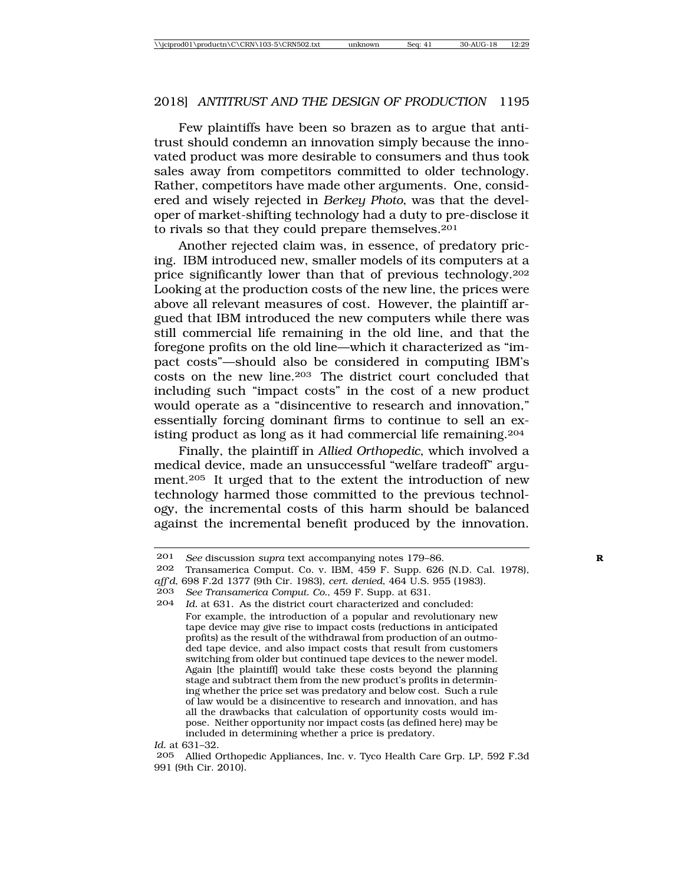Few plaintiffs have been so brazen as to argue that antitrust should condemn an innovation simply because the innovated product was more desirable to consumers and thus took sales away from competitors committed to older technology. Rather, competitors have made other arguments. One, considered and wisely rejected in *Berkey Photo*, was that the developer of market-shifting technology had a duty to pre-disclose it to rivals so that they could prepare themselves.201

Another rejected claim was, in essence, of predatory pricing. IBM introduced new, smaller models of its computers at a price significantly lower than that of previous technology.202 Looking at the production costs of the new line, the prices were above all relevant measures of cost. However, the plaintiff argued that IBM introduced the new computers while there was still commercial life remaining in the old line, and that the foregone profits on the old line—which it characterized as "impact costs"—should also be considered in computing IBM's costs on the new line.203 The district court concluded that including such "impact costs" in the cost of a new product would operate as a "disincentive to research and innovation," essentially forcing dominant firms to continue to sell an existing product as long as it had commercial life remaining.204

Finally, the plaintiff in *Allied Orthopedic*, which involved a medical device, made an unsuccessful "welfare tradeoff" argument.205 It urged that to the extent the introduction of new technology harmed those committed to the previous technology, the incremental costs of this harm should be balanced against the incremental benefit produced by the innovation.

#### *Id.* at 631–32.

205 Allied Orthopedic Appliances, Inc. v. Tyco Health Care Grp. LP, 592 F.3d 991 (9th Cir. 2010).

<sup>201</sup> *See* discussion *supra* text accompanying notes 179–86.<br>202 Transamerica Comput, Co. v. JBM 459 F. Supp. 626

Transamerica Comput. Co. v. IBM, 459 F. Supp. 626 (N.D. Cal. 1978),

*aff'd*, 698 F.2d 1377 (9th Cir. 1983), *cert. denied*, 464 U.S. 955 (1983).

<sup>203</sup> *See Transamerica Comput. Co.*, 459 F. Supp. at 631.

Id. at 631. As the district court characterized and concluded: For example, the introduction of a popular and revolutionary new tape device may give rise to impact costs (reductions in anticipated profits) as the result of the withdrawal from production of an outmoded tape device, and also impact costs that result from customers switching from older but continued tape devices to the newer model. Again [the plaintiff] would take these costs beyond the planning stage and subtract them from the new product's profits in determining whether the price set was predatory and below cost. Such a rule of law would be a disincentive to research and innovation, and has all the drawbacks that calculation of opportunity costs would impose. Neither opportunity nor impact costs (as defined here) may be included in determining whether a price is predatory.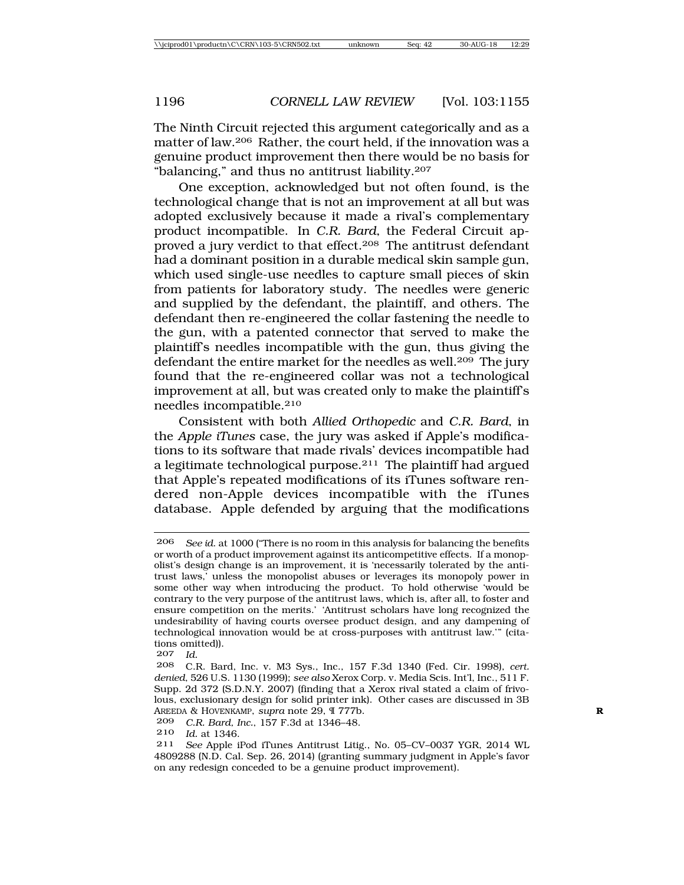The Ninth Circuit rejected this argument categorically and as a matter of law.206 Rather, the court held, if the innovation was a genuine product improvement then there would be no basis for "balancing," and thus no antitrust liability.207

One exception, acknowledged but not often found, is the technological change that is not an improvement at all but was adopted exclusively because it made a rival's complementary product incompatible. In *C.R. Bard*, the Federal Circuit approved a jury verdict to that effect.208 The antitrust defendant had a dominant position in a durable medical skin sample gun, which used single-use needles to capture small pieces of skin from patients for laboratory study. The needles were generic and supplied by the defendant, the plaintiff, and others. The defendant then re-engineered the collar fastening the needle to the gun, with a patented connector that served to make the plaintiff's needles incompatible with the gun, thus giving the defendant the entire market for the needles as well.<sup>209</sup> The jury found that the re-engineered collar was not a technological improvement at all, but was created only to make the plaintiff's needles incompatible.210

Consistent with both *Allied Orthopedic* and *C.R. Bard*, in the *Apple iTunes* case, the jury was asked if Apple's modifications to its software that made rivals' devices incompatible had a legitimate technological purpose.211 The plaintiff had argued that Apple's repeated modifications of its iTunes software rendered non-Apple devices incompatible with the iTunes database. Apple defended by arguing that the modifications

209 *C.R. Bard, Inc.*, 157 F.3d at 1346–48.

<sup>206</sup> *See id*. at 1000 ("There is no room in this analysis for balancing the benefits or worth of a product improvement against its anticompetitive effects. If a monopolist's design change is an improvement, it is 'necessarily tolerated by the antitrust laws,' unless the monopolist abuses or leverages its monopoly power in some other way when introducing the product. To hold otherwise 'would be contrary to the very purpose of the antitrust laws, which is, after all, to foster and ensure competition on the merits.' 'Antitrust scholars have long recognized the undesirability of having courts oversee product design, and any dampening of technological innovation would be at cross-purposes with antitrust law.'" (citations omitted)).

<sup>207</sup> *Id.*

<sup>208</sup> C.R. Bard, Inc. v. M3 Sys., Inc., 157 F.3d 1340 (Fed. Cir. 1998), *cert. denied*, 526 U.S. 1130 (1999); *see also* Xerox Corp. v. Media Scis. Int'l, Inc., 511 F. Supp. 2d 372 (S.D.N.Y. 2007) (finding that a Xerox rival stated a claim of frivolous, exclusionary design for solid printer ink). Other cases are discussed in 3B AREEDA & HOVENKAMP, *supra* note 29, ¶ 777b. **R**

<sup>210</sup> *Id.* at 1346.

<sup>211</sup> *See* Apple iPod iTunes Antitrust Litig., No. 05–CV–0037 YGR, 2014 WL 4809288 (N.D. Cal. Sep. 26, 2014) (granting summary judgment in Apple's favor on any redesign conceded to be a genuine product improvement).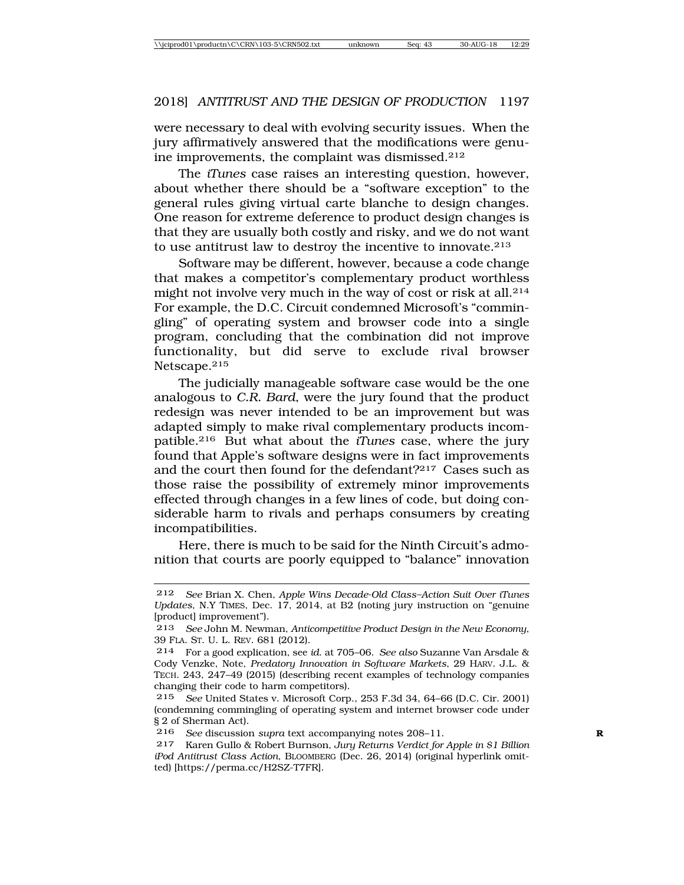were necessary to deal with evolving security issues. When the jury affirmatively answered that the modifications were genuine improvements, the complaint was dismissed.212

The *iTunes* case raises an interesting question, however, about whether there should be a "software exception" to the general rules giving virtual carte blanche to design changes. One reason for extreme deference to product design changes is that they are usually both costly and risky, and we do not want to use antitrust law to destroy the incentive to innovate.213

Software may be different, however, because a code change that makes a competitor's complementary product worthless might not involve very much in the way of cost or risk at all.214 For example, the D.C. Circuit condemned Microsoft's "commingling" of operating system and browser code into a single program, concluding that the combination did not improve functionality, but did serve to exclude rival browser Netscape.215

The judicially manageable software case would be the one analogous to *C.R. Bard*, were the jury found that the product redesign was never intended to be an improvement but was adapted simply to make rival complementary products incompatible.216 But what about the *iTunes* case, where the jury found that Apple's software designs were in fact improvements and the court then found for the defendant?217 Cases such as those raise the possibility of extremely minor improvements effected through changes in a few lines of code, but doing considerable harm to rivals and perhaps consumers by creating incompatibilities.

Here, there is much to be said for the Ninth Circuit's admonition that courts are poorly equipped to "balance" innovation

<sup>212</sup> *See* Brian X. Chen, *Apple Wins Decade-Old Class–Action Suit Over iTunes Updates*, N.Y TIMES, Dec. 17, 2014, at B2 (noting jury instruction on "genuine [product] improvement").

<sup>213</sup> *See* John M. Newman, *Anticompetitive Product Design in the New Economy*, 39 FLA. ST. U. L. REV. 681 (2012).

<sup>214</sup> For a good explication, see *id*. at 705–06. *See also* Suzanne Van Arsdale & Cody Venzke, Note, *Predatory Innovation in Software Markets*, 29 HARV. J.L. & TECH. 243, 247–49 (2015) (describing recent examples of technology companies changing their code to harm competitors).

<sup>215</sup> *See* United States v. Microsoft Corp., 253 F.3d 34, 64–66 (D.C. Cir. 2001) (condemning commingling of operating system and internet browser code under § 2 of Sherman Act).

<sup>216</sup> *See* discussion *supra* text accompanying notes 208–11. **R**

<sup>217</sup> Karen Gullo & Robert Burnson, *Jury Returns Verdict for Apple in \$1 Billion iPod Antitrust Class Action*, BLOOMBERG (Dec. 26, 2014) (original hyperlink omitted) [https://perma.cc/H2SZ-T7FR].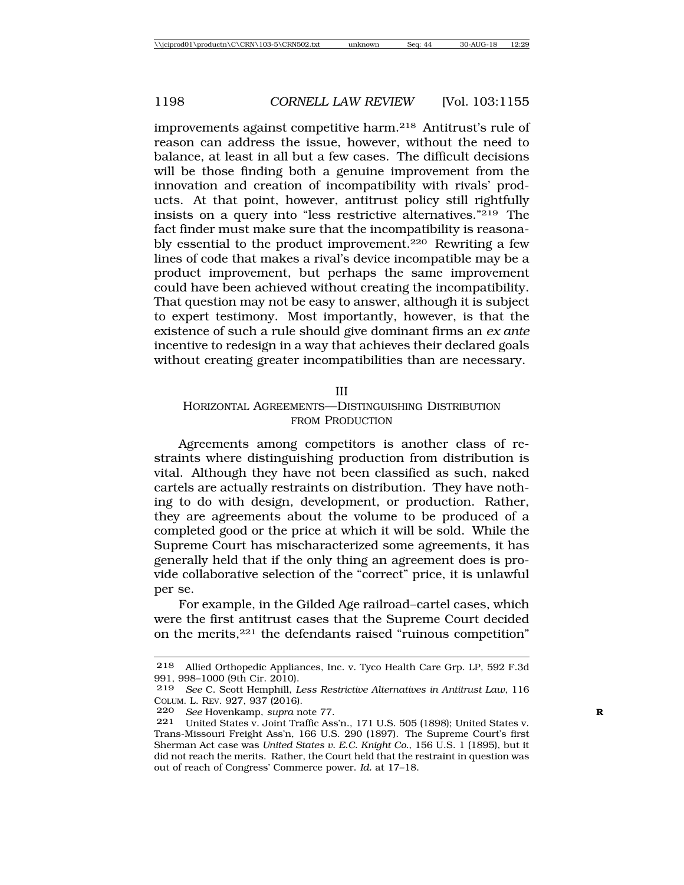improvements against competitive harm.218 Antitrust's rule of reason can address the issue, however, without the need to balance, at least in all but a few cases. The difficult decisions will be those finding both a genuine improvement from the innovation and creation of incompatibility with rivals' products. At that point, however, antitrust policy still rightfully insists on a query into "less restrictive alternatives."219 The fact finder must make sure that the incompatibility is reasonably essential to the product improvement.220 Rewriting a few lines of code that makes a rival's device incompatible may be a product improvement, but perhaps the same improvement could have been achieved without creating the incompatibility. That question may not be easy to answer, although it is subject to expert testimony. Most importantly, however, is that the existence of such a rule should give dominant firms an *ex ante* incentive to redesign in a way that achieves their declared goals without creating greater incompatibilities than are necessary.

III

#### HORIZONTAL AGREEMENTS—DISTINGUISHING DISTRIBUTION FROM PRODUCTION

Agreements among competitors is another class of restraints where distinguishing production from distribution is vital. Although they have not been classified as such, naked cartels are actually restraints on distribution. They have nothing to do with design, development, or production. Rather, they are agreements about the volume to be produced of a completed good or the price at which it will be sold. While the Supreme Court has mischaracterized some agreements, it has generally held that if the only thing an agreement does is provide collaborative selection of the "correct" price, it is unlawful per se.

For example, in the Gilded Age railroad–cartel cases, which were the first antitrust cases that the Supreme Court decided on the merits,221 the defendants raised "ruinous competition"

<sup>218</sup> Allied Orthopedic Appliances, Inc. v. Tyco Health Care Grp. LP, 592 F.3d 991, 998–1000 (9th Cir. 2010).

<sup>219</sup> *See* C. Scott Hemphill, *Less Restrictive Alternatives in Antitrust Law*, 116 COLUM. L. REV. 927, 937 (2016).

<sup>220</sup> *See* Hovenkamp, *supra* note 77. **R**

<sup>221</sup> United States v. Joint Traffic Ass'n., 171 U.S. 505 (1898); United States v. Trans-Missouri Freight Ass'n, 166 U.S. 290 (1897). The Supreme Court's first Sherman Act case was *United States v. E.C. Knight Co.*, 156 U.S. 1 (1895), but it did not reach the merits. Rather, the Court held that the restraint in question was out of reach of Congress' Commerce power. *Id.* at 17–18.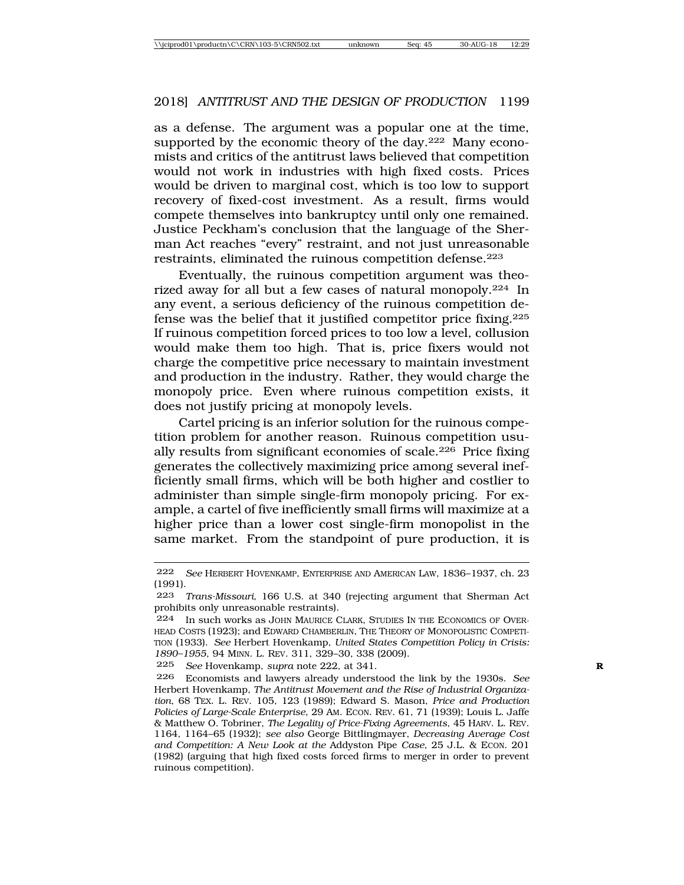as a defense. The argument was a popular one at the time, supported by the economic theory of the day.<sup>222</sup> Many economists and critics of the antitrust laws believed that competition would not work in industries with high fixed costs. Prices would be driven to marginal cost, which is too low to support recovery of fixed-cost investment. As a result, firms would compete themselves into bankruptcy until only one remained. Justice Peckham's conclusion that the language of the Sherman Act reaches "every" restraint, and not just unreasonable restraints, eliminated the ruinous competition defense.<sup>223</sup>

Eventually, the ruinous competition argument was theorized away for all but a few cases of natural monopoly.224 In any event, a serious deficiency of the ruinous competition defense was the belief that it justified competitor price fixing.225 If ruinous competition forced prices to too low a level, collusion would make them too high. That is, price fixers would not charge the competitive price necessary to maintain investment and production in the industry. Rather, they would charge the monopoly price. Even where ruinous competition exists, it does not justify pricing at monopoly levels.

Cartel pricing is an inferior solution for the ruinous competition problem for another reason. Ruinous competition usually results from significant economies of scale.226 Price fixing generates the collectively maximizing price among several inefficiently small firms, which will be both higher and costlier to administer than simple single-firm monopoly pricing. For example, a cartel of five inefficiently small firms will maximize at a higher price than a lower cost single-firm monopolist in the same market. From the standpoint of pure production, it is

<sup>222</sup> *See* HERBERT HOVENKAMP, ENTERPRISE AND AMERICAN LAW, 1836–1937, ch. 23 (1991).

<sup>223</sup> *Trans-Missouri*, 166 U.S. at 340 (rejecting argument that Sherman Act prohibits only unreasonable restraints).

<sup>224</sup> In such works as JOHN MAURICE CLARK, STUDIES IN THE ECONOMICS OF OVER-HEAD COSTS (1923); and EDWARD CHAMBERLIN, THE THEORY OF MONOPOLISTIC COMPETI-TION (1933). *See* Herbert Hovenkamp, *United States Competition Policy in Crisis: 1890–1955*, 94 MINN. L. REV. 311, 329–30, 338 (2009).

<sup>225</sup> *See* Hovenkamp, *supra* note 222, at 341. **R**

<sup>226</sup> Economists and lawyers already understood the link by the 1930s. *See* Herbert Hovenkamp, *The Antitrust Movement and the Rise of Industrial Organization*, 68 TEX. L. REV. 105, 123 (1989); Edward S. Mason, *Price and Production Policies of Large-Scale Enterprise*, 29 AM. ECON. REV. 61, 71 (1939); Louis L. Jaffe & Matthew O. Tobriner, *The Legality of Price-Fixing Agreements*, 45 HARV. L. REV. 1164, 1164–65 (1932); *see also* George Bittlingmayer, *Decreasing Average Cost and Competition: A New Look at the* Addyston Pipe *Case*, 25 J.L. & ECON. 201 (1982) (arguing that high fixed costs forced firms to merger in order to prevent ruinous competition).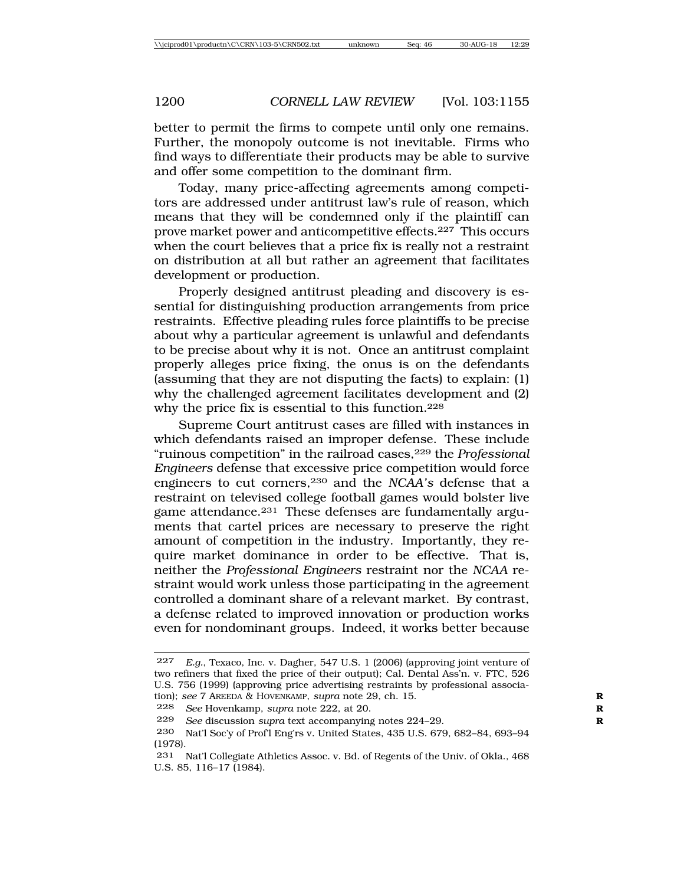better to permit the firms to compete until only one remains. Further, the monopoly outcome is not inevitable. Firms who find ways to differentiate their products may be able to survive and offer some competition to the dominant firm.

Today, many price-affecting agreements among competitors are addressed under antitrust law's rule of reason, which means that they will be condemned only if the plaintiff can prove market power and anticompetitive effects.227 This occurs when the court believes that a price fix is really not a restraint on distribution at all but rather an agreement that facilitates development or production.

Properly designed antitrust pleading and discovery is essential for distinguishing production arrangements from price restraints. Effective pleading rules force plaintiffs to be precise about why a particular agreement is unlawful and defendants to be precise about why it is not. Once an antitrust complaint properly alleges price fixing, the onus is on the defendants (assuming that they are not disputing the facts) to explain: (1) why the challenged agreement facilitates development and (2) why the price fix is essential to this function.228

Supreme Court antitrust cases are filled with instances in which defendants raised an improper defense. These include "ruinous competition" in the railroad cases,229 the *Professional Engineers* defense that excessive price competition would force engineers to cut corners,230 and the *NCAA's* defense that a restraint on televised college football games would bolster live game attendance.231 These defenses are fundamentally arguments that cartel prices are necessary to preserve the right amount of competition in the industry. Importantly, they require market dominance in order to be effective. That is, neither the *Professional Engineers* restraint nor the *NCAA* restraint would work unless those participating in the agreement controlled a dominant share of a relevant market. By contrast, a defense related to improved innovation or production works even for nondominant groups. Indeed, it works better because

<sup>227</sup> *E.g.*, Texaco, Inc. v. Dagher, 547 U.S. 1 (2006) (approving joint venture of two refiners that fixed the price of their output); Cal. Dental Ass'n. v. FTC, 526 U.S. 756 (1999) (approving price advertising restraints by professional association); *see* 7 AREEDA & HOVENKAMP, *supra* note 29, ch. 15. **R**

<sup>228</sup> *See* Hovenkamp, *supra* note 222, at 20. **R**

<sup>229</sup> *See* discussion *supra* text accompanying notes 224–29. **R**

<sup>230</sup> Nat'l Soc'y of Prof'l Eng'rs v. United States, 435 U.S. 679, 682–84, 693–94 (1978).

<sup>231</sup> Nat'l Collegiate Athletics Assoc. v. Bd. of Regents of the Univ. of Okla., 468 U.S. 85, 116–17 (1984).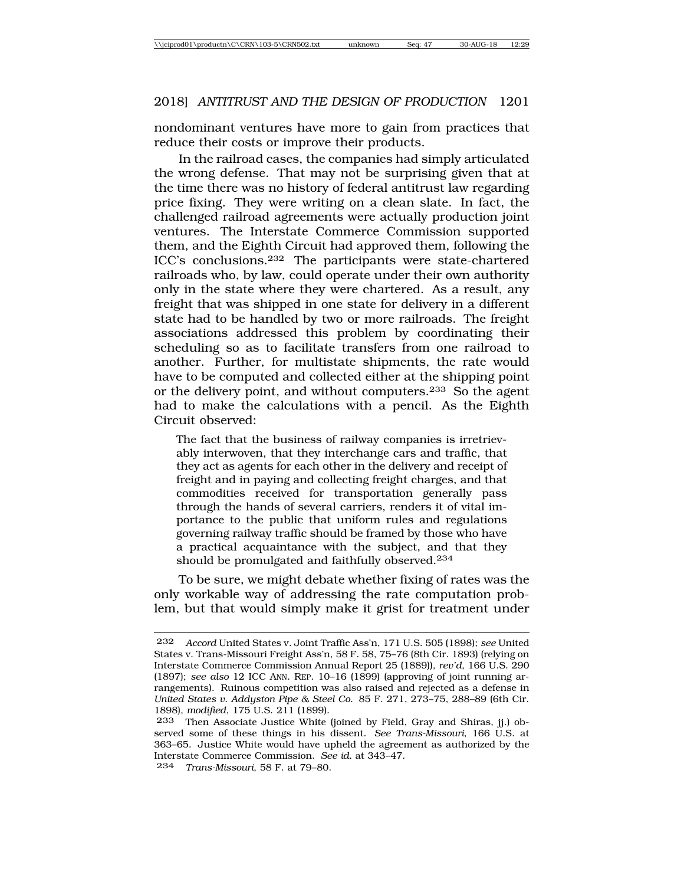nondominant ventures have more to gain from practices that reduce their costs or improve their products.

In the railroad cases, the companies had simply articulated the wrong defense. That may not be surprising given that at the time there was no history of federal antitrust law regarding price fixing. They were writing on a clean slate. In fact, the challenged railroad agreements were actually production joint ventures. The Interstate Commerce Commission supported them, and the Eighth Circuit had approved them, following the ICC's conclusions.232 The participants were state-chartered railroads who, by law, could operate under their own authority only in the state where they were chartered. As a result, any freight that was shipped in one state for delivery in a different state had to be handled by two or more railroads. The freight associations addressed this problem by coordinating their scheduling so as to facilitate transfers from one railroad to another. Further, for multistate shipments, the rate would have to be computed and collected either at the shipping point or the delivery point, and without computers.233 So the agent had to make the calculations with a pencil. As the Eighth Circuit observed:

The fact that the business of railway companies is irretrievably interwoven, that they interchange cars and traffic, that they act as agents for each other in the delivery and receipt of freight and in paying and collecting freight charges, and that commodities received for transportation generally pass through the hands of several carriers, renders it of vital importance to the public that uniform rules and regulations governing railway traffic should be framed by those who have a practical acquaintance with the subject, and that they should be promulgated and faithfully observed.234

To be sure, we might debate whether fixing of rates was the only workable way of addressing the rate computation problem, but that would simply make it grist for treatment under

<sup>232</sup> *Accord* United States v. Joint Traffic Ass'n, 171 U.S. 505 (1898); *see* United States v. Trans-Missouri Freight Ass'n, 58 F. 58, 75–76 (8th Cir. 1893) (relying on Interstate Commerce Commission Annual Report 25 (1889)), *rev'd*, 166 U.S. 290 (1897); *see also* 12 ICC ANN. REP. 10–16 (1899) (approving of joint running arrangements). Ruinous competition was also raised and rejected as a defense in *United States v. Addyston Pipe & Steel Co.* 85 F. 271, 273–75, 288–89 (6th Cir. 1898), *modified*, 175 U.S. 211 (1899).

Then Associate Justice White (joined by Field, Gray and Shiras, jj.) observed some of these things in his dissent. *See Trans-Missouri*, 166 U.S. at 363–65. Justice White would have upheld the agreement as authorized by the Interstate Commerce Commission. *See id.* at 343–47.

<sup>234</sup> *Trans-Missouri*, 58 F. at 79–80.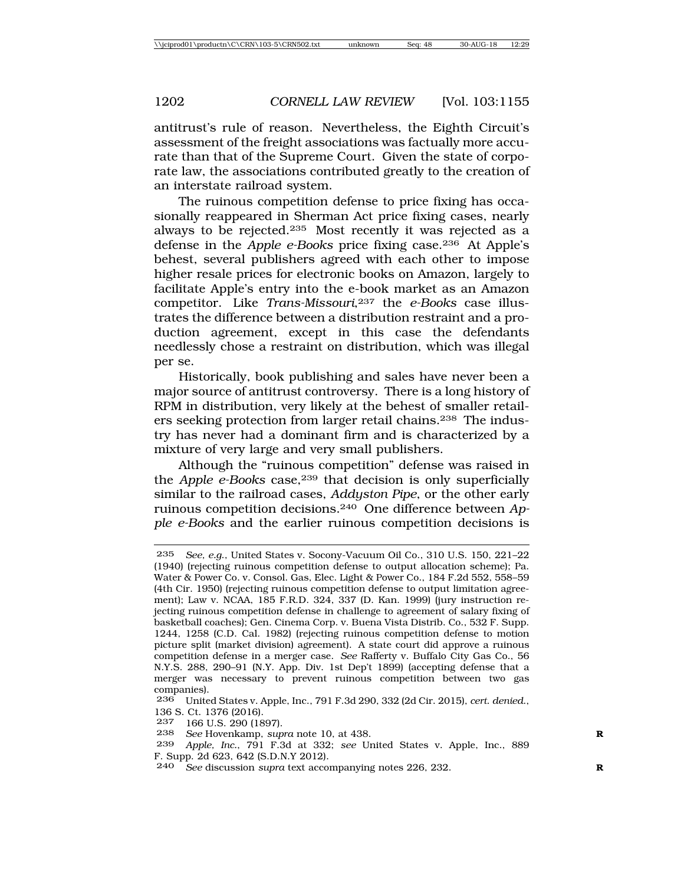antitrust's rule of reason. Nevertheless, the Eighth Circuit's assessment of the freight associations was factually more accurate than that of the Supreme Court. Given the state of corporate law, the associations contributed greatly to the creation of an interstate railroad system.

The ruinous competition defense to price fixing has occasionally reappeared in Sherman Act price fixing cases, nearly always to be rejected.235 Most recently it was rejected as a defense in the *Apple e-Books* price fixing case.236 At Apple's behest, several publishers agreed with each other to impose higher resale prices for electronic books on Amazon, largely to facilitate Apple's entry into the e-book market as an Amazon competitor. Like *Trans-Missouri*,237 the *e-Books* case illustrates the difference between a distribution restraint and a production agreement, except in this case the defendants needlessly chose a restraint on distribution, which was illegal per se.

Historically, book publishing and sales have never been a major source of antitrust controversy. There is a long history of RPM in distribution, very likely at the behest of smaller retailers seeking protection from larger retail chains.238 The industry has never had a dominant firm and is characterized by a mixture of very large and very small publishers.

Although the "ruinous competition" defense was raised in the *Apple e-Books* case,239 that decision is only superficially similar to the railroad cases, *Addyston Pipe*, or the other early ruinous competition decisions.240 One difference between *Apple e-Books* and the earlier ruinous competition decisions is

237 166 U.S. 290 (1897).

<sup>235</sup> *See, e.g*., United States v. Socony-Vacuum Oil Co., 310 U.S. 150, 221–22 (1940) (rejecting ruinous competition defense to output allocation scheme); Pa. Water & Power Co. v. Consol. Gas, Elec. Light & Power Co., 184 F.2d 552, 558–59 (4th Cir. 1950) (rejecting ruinous competition defense to output limitation agreement); Law v. NCAA, 185 F.R.D. 324, 337 (D. Kan. 1999) (jury instruction rejecting ruinous competition defense in challenge to agreement of salary fixing of basketball coaches); Gen. Cinema Corp. v. Buena Vista Distrib. Co., 532 F. Supp. 1244, 1258 (C.D. Cal. 1982) (rejecting ruinous competition defense to motion picture split (market division) agreement). A state court did approve a ruinous competition defense in a merger case. *See* Rafferty v. Buffalo City Gas Co., 56 N.Y.S. 288, 290–91 (N.Y. App. Div. 1st Dep't 1899) (accepting defense that a merger was necessary to prevent ruinous competition between two gas companies).

<sup>236</sup> United States v. Apple, Inc., 791 F.3d 290, 332 (2d Cir. 2015), *cert*. *denied*., 136 S. Ct. 1376 (2016).

<sup>238</sup> *See* Hovenkamp, *supra* note 10, at 438. **R**

<sup>239</sup> *Apple, Inc.*, 791 F.3d at 332; *see* United States v. Apple, Inc., 889 F. Supp. 2d 623, 642 (S.D.N.Y 2012).

<sup>240</sup> *See* discussion *supra* text accompanying notes 226, 232. **R**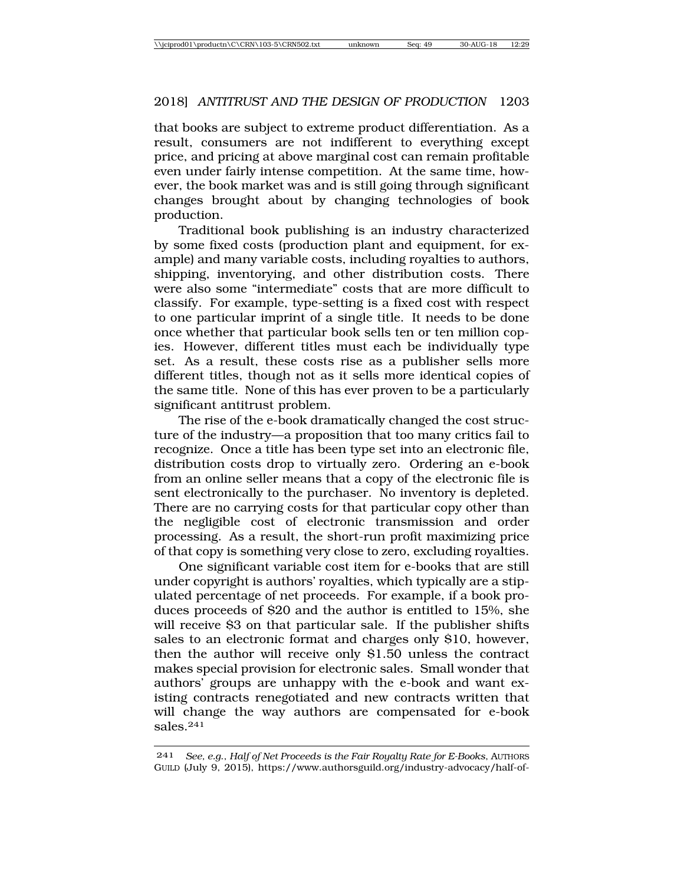that books are subject to extreme product differentiation. As a result, consumers are not indifferent to everything except price, and pricing at above marginal cost can remain profitable even under fairly intense competition. At the same time, however, the book market was and is still going through significant changes brought about by changing technologies of book production.

Traditional book publishing is an industry characterized by some fixed costs (production plant and equipment, for example) and many variable costs, including royalties to authors, shipping, inventorying, and other distribution costs. There were also some "intermediate" costs that are more difficult to classify. For example, type-setting is a fixed cost with respect to one particular imprint of a single title. It needs to be done once whether that particular book sells ten or ten million copies. However, different titles must each be individually type set. As a result, these costs rise as a publisher sells more different titles, though not as it sells more identical copies of the same title. None of this has ever proven to be a particularly significant antitrust problem.

The rise of the e-book dramatically changed the cost structure of the industry—a proposition that too many critics fail to recognize. Once a title has been type set into an electronic file, distribution costs drop to virtually zero. Ordering an e-book from an online seller means that a copy of the electronic file is sent electronically to the purchaser. No inventory is depleted. There are no carrying costs for that particular copy other than the negligible cost of electronic transmission and order processing. As a result, the short-run profit maximizing price of that copy is something very close to zero, excluding royalties.

One significant variable cost item for e-books that are still under copyright is authors' royalties, which typically are a stipulated percentage of net proceeds. For example, if a book produces proceeds of \$20 and the author is entitled to 15%, she will receive \$3 on that particular sale. If the publisher shifts sales to an electronic format and charges only \$10, however, then the author will receive only \$1.50 unless the contract makes special provision for electronic sales. Small wonder that authors' groups are unhappy with the e-book and want existing contracts renegotiated and new contracts written that will change the way authors are compensated for e-book sales.241

<sup>241</sup> *See, e.g*., *Half of Net Proceeds is the Fair Royalty Rate for E-Books*, AUTHORS GUILD (July 9, 2015), https://www.authorsguild.org/industry-advocacy/half-of-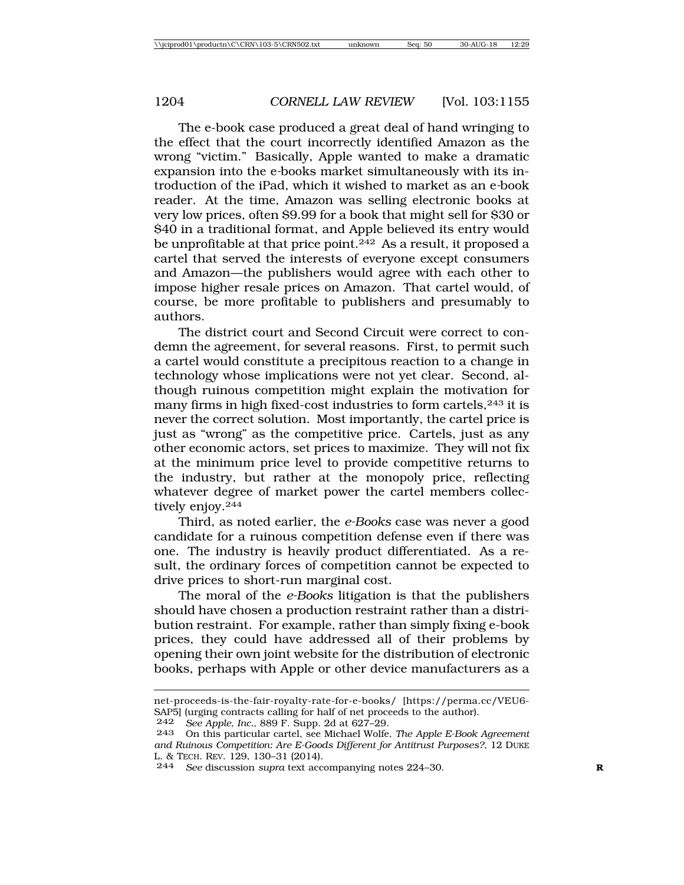The e-book case produced a great deal of hand wringing to the effect that the court incorrectly identified Amazon as the wrong "victim." Basically, Apple wanted to make a dramatic expansion into the e*-*books market simultaneously with its introduction of the iPad, which it wished to market as an e*-*book reader. At the time, Amazon was selling electronic books at very low prices, often \$9.99 for a book that might sell for \$30 or \$40 in a traditional format, and Apple believed its entry would be unprofitable at that price point.242 As a result, it proposed a cartel that served the interests of everyone except consumers and Amazon—the publishers would agree with each other to impose higher resale prices on Amazon. That cartel would, of course, be more profitable to publishers and presumably to authors.

The district court and Second Circuit were correct to condemn the agreement, for several reasons. First, to permit such a cartel would constitute a precipitous reaction to a change in technology whose implications were not yet clear. Second, although ruinous competition might explain the motivation for many firms in high fixed-cost industries to form cartels,243 it is never the correct solution. Most importantly, the cartel price is just as "wrong" as the competitive price. Cartels, just as any other economic actors, set prices to maximize. They will not fix at the minimum price level to provide competitive returns to the industry, but rather at the monopoly price, reflecting whatever degree of market power the cartel members collectively enjoy.<sup>244</sup>

Third, as noted earlier, the *e-Books* case was never a good candidate for a ruinous competition defense even if there was one. The industry is heavily product differentiated. As a result, the ordinary forces of competition cannot be expected to drive prices to short-run marginal cost.

The moral of the *e-Books* litigation is that the publishers should have chosen a production restraint rather than a distribution restraint. For example, rather than simply fixing e-book prices, they could have addressed all of their problems by opening their own joint website for the distribution of electronic books, perhaps with Apple or other device manufacturers as a

242 *See Apple, Inc.*, 889 F. Supp. 2d at 627–29.

net-proceeds-is-the-fair-royalty-rate-for-e-books/ [https://perma.cc/VEU6- SAP5] (urging contracts calling for half of net proceeds to the author).

<sup>243</sup> On this particular cartel, see Michael Wolfe, *The Apple E-Book Agreement and Ruinous Competition: Are E-Goods Different for Antitrust Purposes?*, 12 DUKE L. & TECH. REV. 129, 130–31 (2014).

<sup>244</sup> *See* discussion *supra* text accompanying notes 224–30. **R**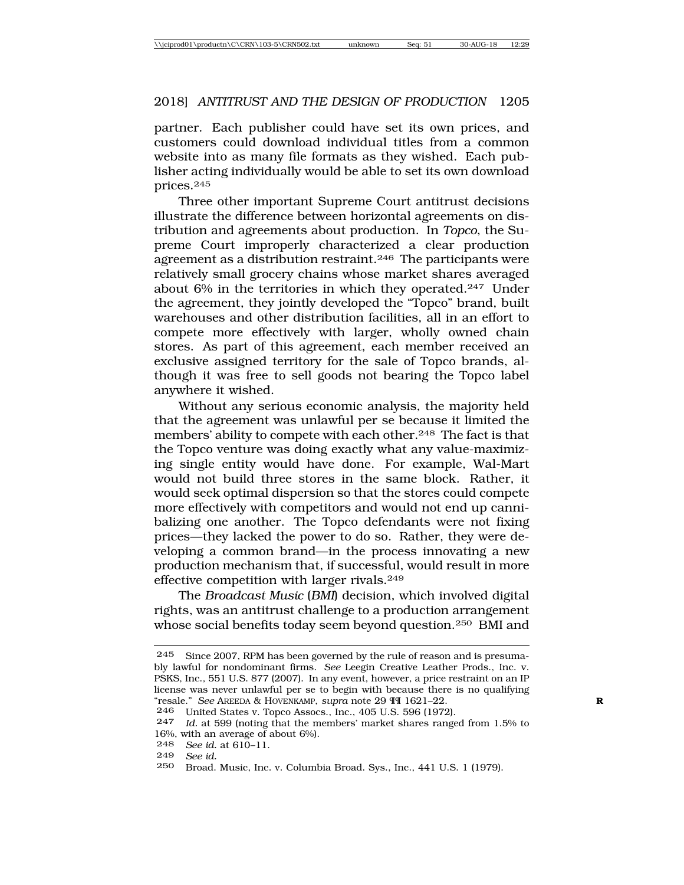partner. Each publisher could have set its own prices, and customers could download individual titles from a common website into as many file formats as they wished. Each publisher acting individually would be able to set its own download prices.245

Three other important Supreme Court antitrust decisions illustrate the difference between horizontal agreements on distribution and agreements about production. In *Topco*, the Supreme Court improperly characterized a clear production agreement as a distribution restraint.<sup>246</sup> The participants were relatively small grocery chains whose market shares averaged about 6% in the territories in which they operated.<sup>247</sup> Under the agreement, they jointly developed the "Topco" brand, built warehouses and other distribution facilities, all in an effort to compete more effectively with larger, wholly owned chain stores. As part of this agreement, each member received an exclusive assigned territory for the sale of Topco brands, although it was free to sell goods not bearing the Topco label anywhere it wished.

Without any serious economic analysis, the majority held that the agreement was unlawful per se because it limited the members' ability to compete with each other.248 The fact is that the Topco venture was doing exactly what any value-maximizing single entity would have done. For example, Wal-Mart would not build three stores in the same block. Rather, it would seek optimal dispersion so that the stores could compete more effectively with competitors and would not end up cannibalizing one another. The Topco defendants were not fixing prices—they lacked the power to do so. Rather, they were developing a common brand—in the process innovating a new production mechanism that, if successful, would result in more effective competition with larger rivals.249

The *Broadcast Music* (*BMI*) decision, which involved digital rights, was an antitrust challenge to a production arrangement whose social benefits today seem beyond question.250 BMI and

```
248 See id. at 610–11.
```

```
249 See id.
```
<sup>245</sup> Since 2007, RPM has been governed by the rule of reason and is presumably lawful for nondominant firms. *See* Leegin Creative Leather Prods., Inc. v. PSKS, Inc., 551 U.S. 877 (2007). In any event, however, a price restraint on an IP license was never unlawful per se to begin with because there is no qualifying "resale." *See* AREEDA & HOVENKAMP, *supra* note 29 ¶¶ 1621–22. **R**

<sup>246</sup> United States v. Topco Assocs., Inc., 405 U.S. 596 (1972).

<sup>247</sup> *Id.* at 599 (noting that the members' market shares ranged from 1.5% to 16%, with an average of about 6%).

<sup>250</sup> Broad. Music, Inc. v. Columbia Broad. Sys., Inc., 441 U.S. 1 (1979).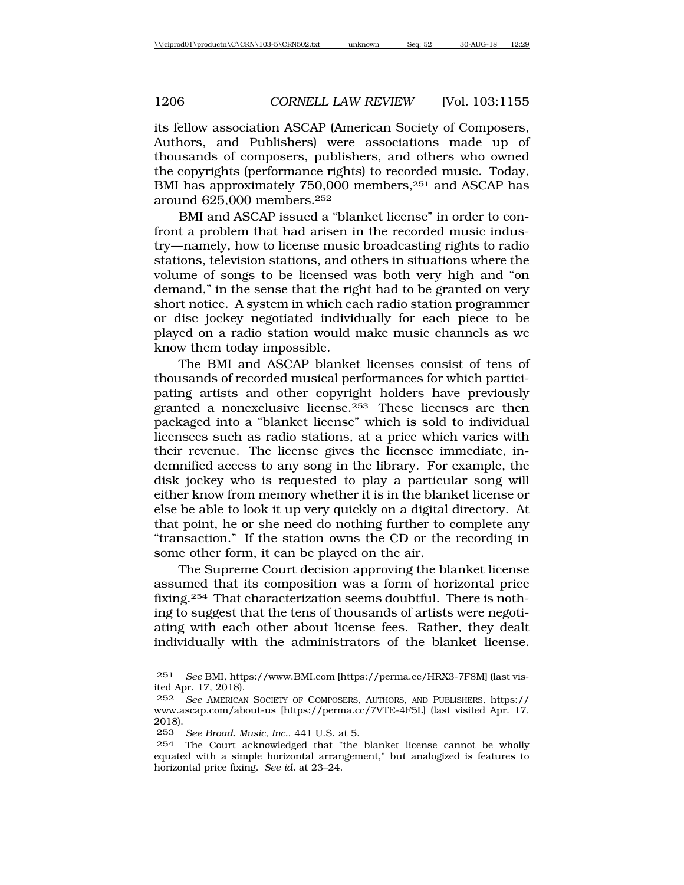its fellow association ASCAP (American Society of Composers, Authors, and Publishers) were associations made up of thousands of composers, publishers, and others who owned the copyrights (performance rights) to recorded music. Today, BMI has approximately 750,000 members,<sup>251</sup> and ASCAP has around 625,000 members.252

BMI and ASCAP issued a "blanket license" in order to confront a problem that had arisen in the recorded music industry—namely, how to license music broadcasting rights to radio stations, television stations, and others in situations where the volume of songs to be licensed was both very high and "on demand," in the sense that the right had to be granted on very short notice. A system in which each radio station programmer or disc jockey negotiated individually for each piece to be played on a radio station would make music channels as we know them today impossible.

The BMI and ASCAP blanket licenses consist of tens of thousands of recorded musical performances for which participating artists and other copyright holders have previously granted a nonexclusive license.253 These licenses are then packaged into a "blanket license" which is sold to individual licensees such as radio stations, at a price which varies with their revenue. The license gives the licensee immediate, indemnified access to any song in the library. For example, the disk jockey who is requested to play a particular song will either know from memory whether it is in the blanket license or else be able to look it up very quickly on a digital directory. At that point, he or she need do nothing further to complete any "transaction." If the station owns the CD or the recording in some other form, it can be played on the air.

The Supreme Court decision approving the blanket license assumed that its composition was a form of horizontal price fixing.254 That characterization seems doubtful. There is nothing to suggest that the tens of thousands of artists were negotiating with each other about license fees. Rather, they dealt individually with the administrators of the blanket license.

<sup>251</sup> *See* BMI, https://www.BMI.com [https://perma.cc/HRX3-7F8M] (last visited Apr. 17, 2018).

<sup>252</sup> *See* AMERICAN SOCIETY OF COMPOSERS, AUTHORS, AND PUBLISHERS, https:// www.ascap.com/about-us [https://perma.cc/7VTE-4F5L] (last visited Apr. 17, 2018).

<sup>253</sup> *See Broad. Music, Inc.*, 441 U.S. at 5.

<sup>254</sup> The Court acknowledged that "the blanket license cannot be wholly equated with a simple horizontal arrangement," but analogized is features to horizontal price fixing. *See id.* at 23–24.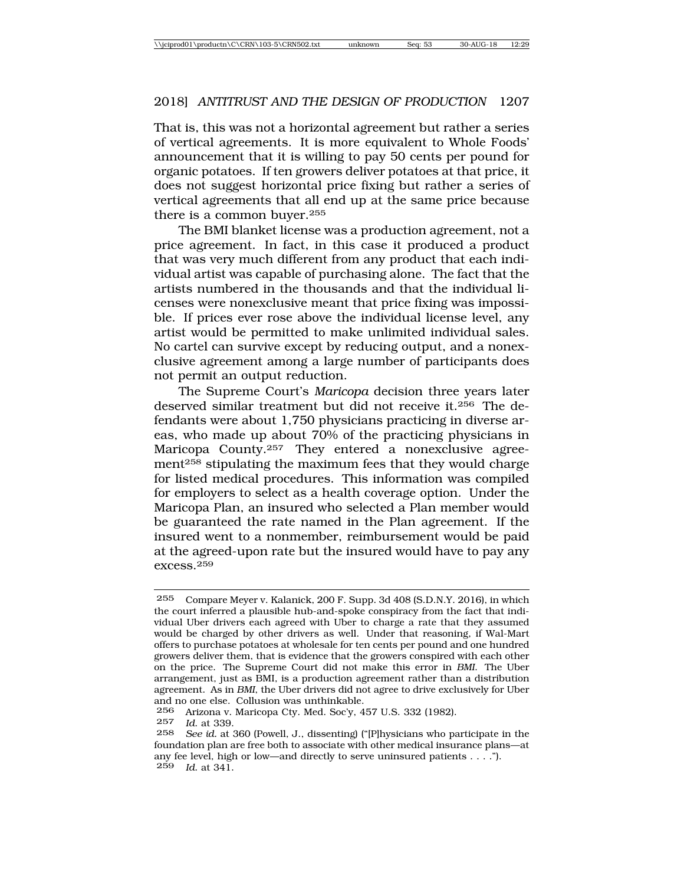That is, this was not a horizontal agreement but rather a series of vertical agreements. It is more equivalent to Whole Foods' announcement that it is willing to pay 50 cents per pound for organic potatoes. If ten growers deliver potatoes at that price, it does not suggest horizontal price fixing but rather a series of vertical agreements that all end up at the same price because there is a common buyer.255

The BMI blanket license was a production agreement, not a price agreement. In fact, in this case it produced a product that was very much different from any product that each individual artist was capable of purchasing alone. The fact that the artists numbered in the thousands and that the individual licenses were nonexclusive meant that price fixing was impossible. If prices ever rose above the individual license level, any artist would be permitted to make unlimited individual sales. No cartel can survive except by reducing output, and a nonexclusive agreement among a large number of participants does not permit an output reduction.

The Supreme Court's *Maricopa* decision three years later deserved similar treatment but did not receive it.256 The defendants were about 1,750 physicians practicing in diverse areas, who made up about 70% of the practicing physicians in Maricopa County.<sup>257</sup> They entered a nonexclusive agreement<sup>258</sup> stipulating the maximum fees that they would charge for listed medical procedures. This information was compiled for employers to select as a health coverage option. Under the Maricopa Plan, an insured who selected a Plan member would be guaranteed the rate named in the Plan agreement. If the insured went to a nonmember, reimbursement would be paid at the agreed-upon rate but the insured would have to pay any excess.259

<sup>255</sup> Compare Meyer v. Kalanick, 200 F. Supp. 3d 408 (S.D.N.Y. 2016), in which the court inferred a plausible hub-and-spoke conspiracy from the fact that individual Uber drivers each agreed with Uber to charge a rate that they assumed would be charged by other drivers as well. Under that reasoning, if Wal-Mart offers to purchase potatoes at wholesale for ten cents per pound and one hundred growers deliver them, that is evidence that the growers conspired with each other on the price. The Supreme Court did not make this error in *BMI*. The Uber arrangement, just as BMI, is a production agreement rather than a distribution agreement. As in *BMI*, the Uber drivers did not agree to drive exclusively for Uber and no one else. Collusion was unthinkable.

<sup>256</sup> Arizona v. Maricopa Cty. Med. Soc'y, 457 U.S. 332 (1982).<br>257 Id. at 339 257 *Id*. at 339.

See id. at 360 (Powell, J., dissenting) ("[P]hysicians who participate in the foundation plan are free both to associate with other medical insurance plans—at any fee level, high or low—and directly to serve uninsured patients . . . ."). 259 *Id*. at 341.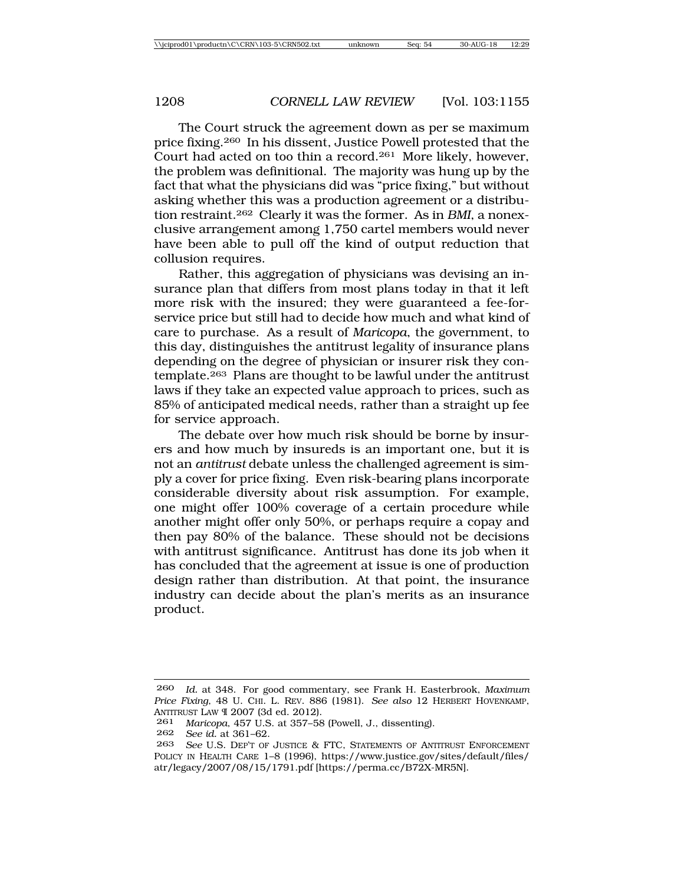The Court struck the agreement down as per se maximum price fixing.260 In his dissent, Justice Powell protested that the Court had acted on too thin a record.261 More likely, however, the problem was definitional. The majority was hung up by the fact that what the physicians did was "price fixing," but without asking whether this was a production agreement or a distribution restraint.262 Clearly it was the former. As in *BMI*, a nonexclusive arrangement among 1,750 cartel members would never have been able to pull off the kind of output reduction that collusion requires.

Rather, this aggregation of physicians was devising an insurance plan that differs from most plans today in that it left more risk with the insured; they were guaranteed a fee-forservice price but still had to decide how much and what kind of care to purchase. As a result of *Maricopa*, the government, to this day, distinguishes the antitrust legality of insurance plans depending on the degree of physician or insurer risk they contemplate.263 Plans are thought to be lawful under the antitrust laws if they take an expected value approach to prices, such as 85% of anticipated medical needs, rather than a straight up fee for service approach.

The debate over how much risk should be borne by insurers and how much by insureds is an important one, but it is not an *antitrust* debate unless the challenged agreement is simply a cover for price fixing. Even risk-bearing plans incorporate considerable diversity about risk assumption. For example, one might offer 100% coverage of a certain procedure while another might offer only 50%, or perhaps require a copay and then pay 80% of the balance. These should not be decisions with antitrust significance. Antitrust has done its job when it has concluded that the agreement at issue is one of production design rather than distribution. At that point, the insurance industry can decide about the plan's merits as an insurance product.

<sup>260</sup> *Id.* at 348. For good commentary, see Frank H. Easterbrook, *Maximum Price Fixing*, 48 U. CHI. L. REV. 886 (1981). *See also* 12 HERBERT HOVENKAMP, ANTITRUST LAW ¶ 2007 (3d ed. 2012).

<sup>261</sup> *Maricopa*, 457 U.S. at 357–58 (Powell, J., dissenting).

<sup>262</sup> *See id.* at 361–62.

<sup>263</sup> *See* U.S. DEP'T OF JUSTICE & FTC, STATEMENTS OF ANTITRUST ENFORCEMENT POLICY IN HEALTH CARE 1–8 (1996), https://www.justice.gov/sites/default/files/ atr/legacy/2007/08/15/1791.pdf [https://perma.cc/B72X-MR5N].